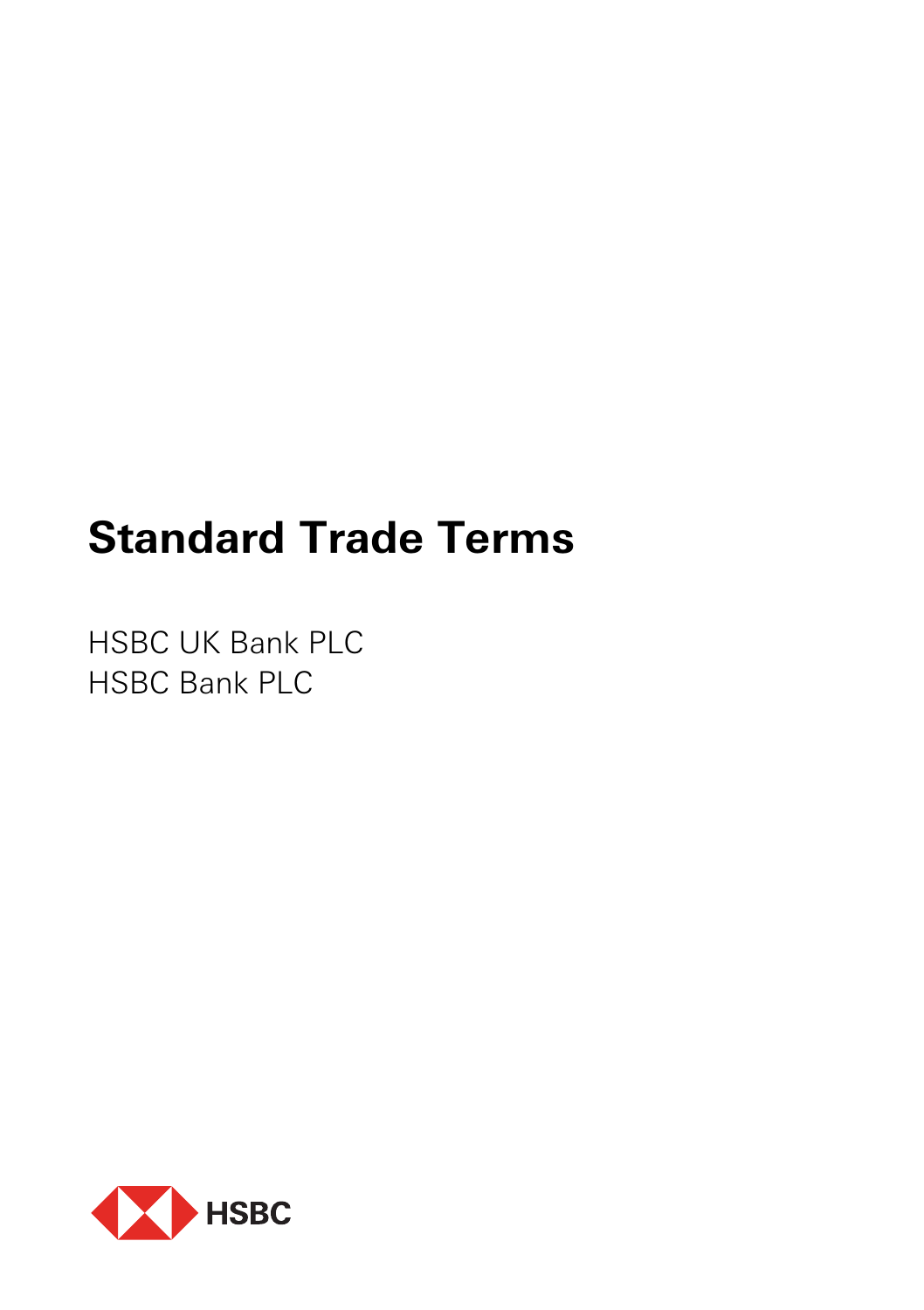# **Standard Trade Terms**

HSBC UK Bank PLC HSBC Bank PLC

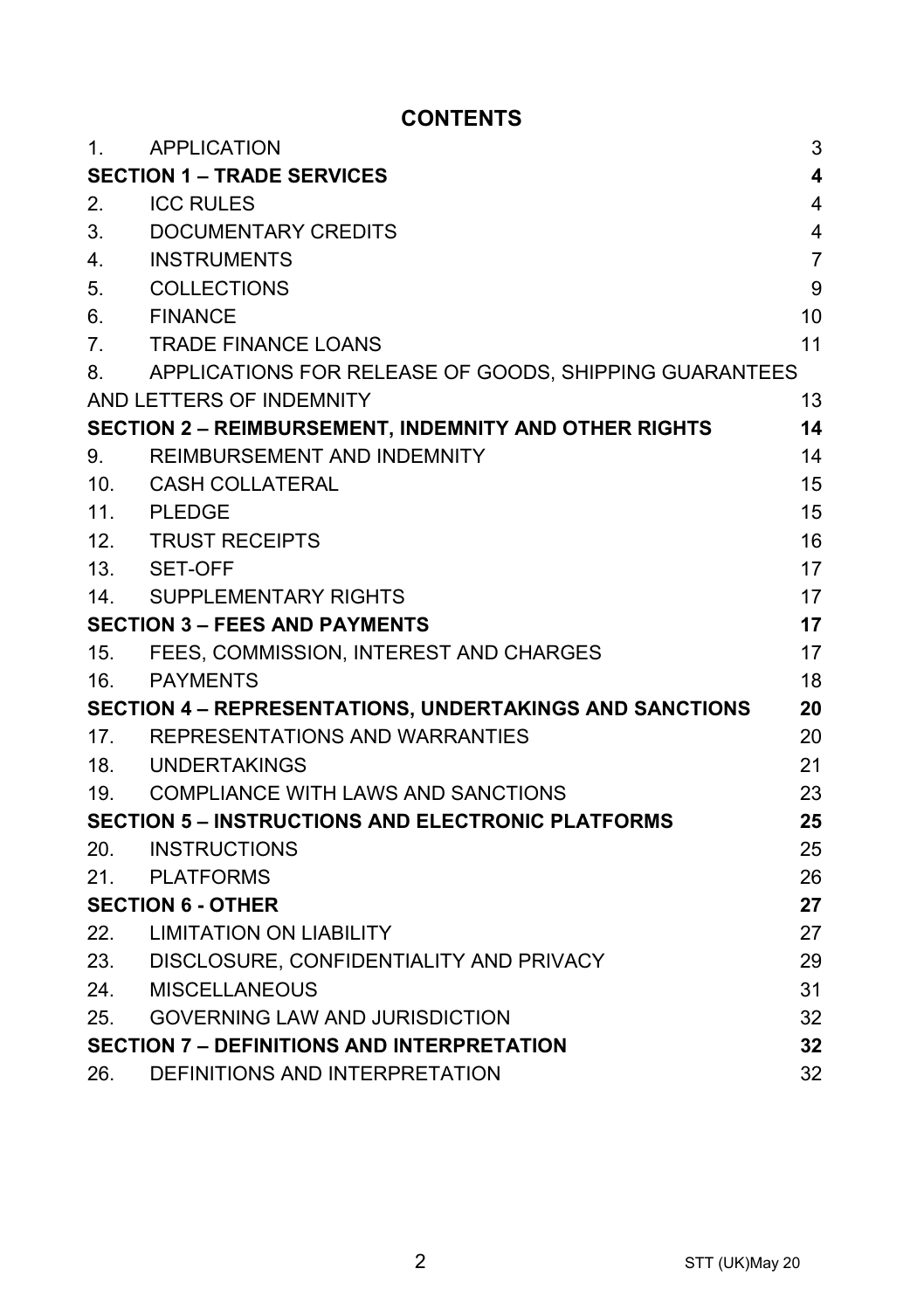# **CONTENTS**

| 1.                                                             | APPLICATION                                                  | 3              |
|----------------------------------------------------------------|--------------------------------------------------------------|----------------|
| <b>SECTION 1 - TRADE SERVICES</b><br>4                         |                                                              |                |
| 2.                                                             | <b>ICC RULES</b>                                             | 4              |
| 3.                                                             | DOCUMENTARY CREDITS                                          | 4              |
| 4.                                                             | <b>INSTRUMENTS</b>                                           | $\overline{7}$ |
| 5.                                                             | COLLECTIONS                                                  | 9              |
| 6.                                                             | <b>FINANCE</b>                                               | 10             |
| 7.                                                             | <b>TRADE FINANCE LOANS</b>                                   | 11             |
| 8.                                                             | APPLICATIONS FOR RELEASE OF GOODS, SHIPPING GUARANTEES       |                |
|                                                                | AND LETTERS OF INDEMNITY                                     | 13             |
|                                                                | <b>SECTION 2 - REIMBURSEMENT, INDEMNITY AND OTHER RIGHTS</b> | 14             |
| 9.                                                             | REIMBURSEMENT AND INDEMNITY                                  | 14             |
|                                                                | 10. CASH COLLATERAL                                          | 15             |
|                                                                | 11. PLEDGE                                                   | 15             |
|                                                                | 12. TRUST RECEIPTS                                           | 16             |
|                                                                | 13. SET-OFF                                                  | 17             |
|                                                                | 14. SUPPLEMENTARY RIGHTS                                     | 17             |
| <b>SECTION 3 - FEES AND PAYMENTS</b>                           |                                                              | 17             |
|                                                                | 15. FEES, COMMISSION, INTEREST AND CHARGES                   | 17             |
| 16.                                                            | PAYMENTS                                                     | 18             |
| <b>SECTION 4 - REPRESENTATIONS, UNDERTAKINGS AND SANCTIONS</b> |                                                              | 20             |
|                                                                | 17. REPRESENTATIONS AND WARRANTIES                           | 20             |
|                                                                | 18. UNDERTAKINGS                                             | 21             |
|                                                                | 19. COMPLIANCE WITH LAWS AND SANCTIONS                       | 23             |
| <b>SECTION 5 - INSTRUCTIONS AND ELECTRONIC PLATFORMS</b><br>25 |                                                              |                |
| 20.                                                            | <b>INSTRUCTIONS</b>                                          | 25             |
| 21.                                                            | PLATFORMS                                                    | 26             |
| <b>SECTION 6 - OTHER</b>                                       |                                                              | 27             |
| 22.                                                            | <b>LIMITATION ON LIABILITY</b>                               | 27             |
|                                                                | 23. DISCLOSURE, CONFIDENTIALITY AND PRIVACY                  | 29             |
| 24.                                                            | MISCELLANEOUS                                                | 31             |
| 25.                                                            | <b>GOVERNING LAW AND JURISDICTION</b>                        | 32             |
| <b>SECTION 7 - DEFINITIONS AND INTERPRETATION</b>              |                                                              | 32             |
| 26.                                                            | DEFINITIONS AND INTERPRETATION                               | 32             |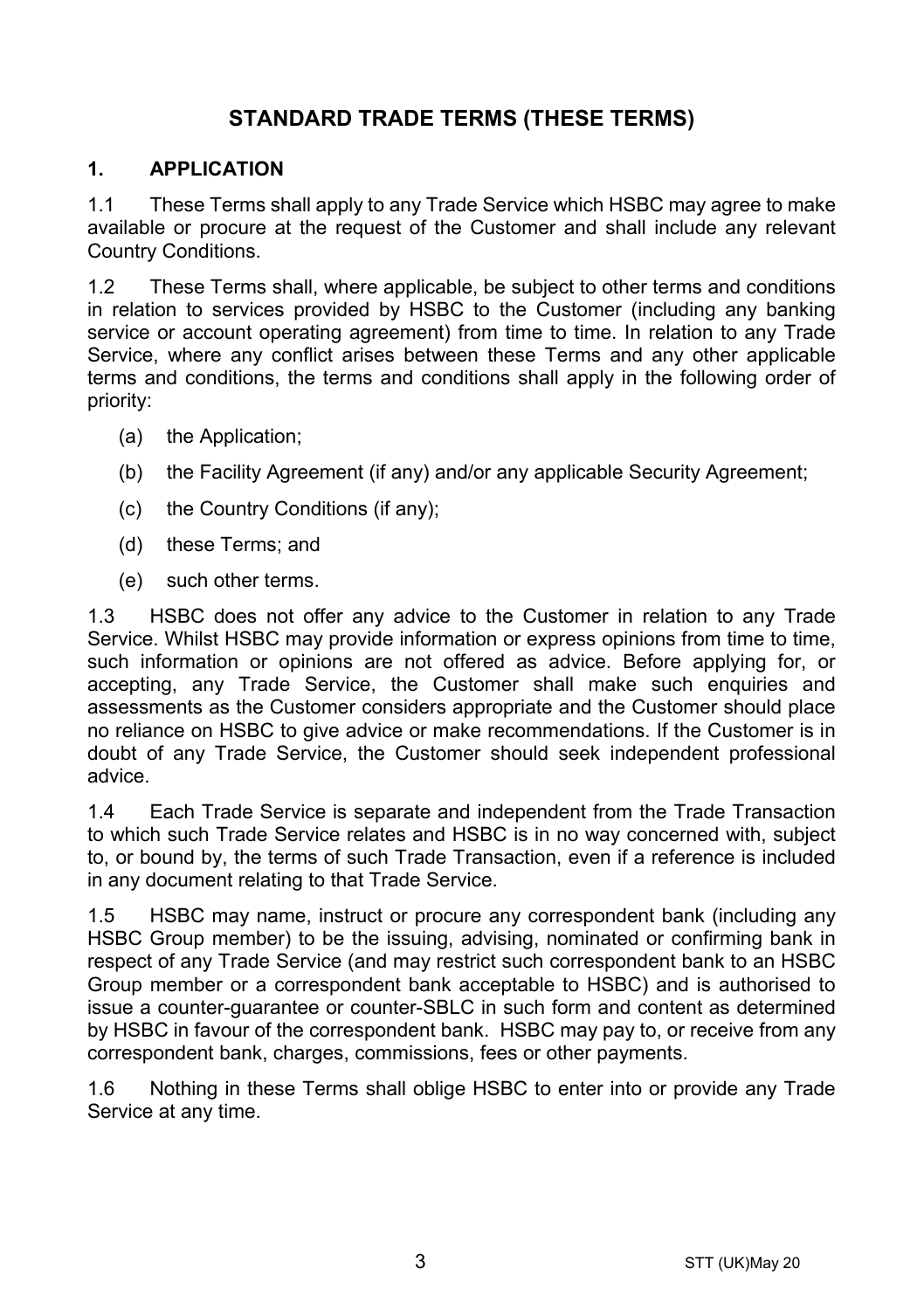# **STANDARD TRADE TERMS (THESE TERMS)**

#### **1. APPLICATION**

1.1 These Terms shall apply to any Trade Service which HSBC may agree to make available or procure at the request of the Customer and shall include any relevant Country Conditions.

1.2 These Terms shall, where applicable, be subject to other terms and conditions in relation to services provided by HSBC to the Customer (including any banking service or account operating agreement) from time to time. In relation to any Trade Service, where any conflict arises between these Terms and any other applicable terms and conditions, the terms and conditions shall apply in the following order of priority:

- (a) the Application;
- (b) the Facility Agreement (if any) and/or any applicable Security Agreement;
- (c) the Country Conditions (if any);
- (d) these Terms; and
- (e) such other terms.

1.3 HSBC does not offer any advice to the Customer in relation to any Trade Service. Whilst HSBC may provide information or express opinions from time to time, such information or opinions are not offered as advice. Before applying for, or accepting, any Trade Service, the Customer shall make such enquiries and assessments as the Customer considers appropriate and the Customer should place no reliance on HSBC to give advice or make recommendations. If the Customer is in doubt of any Trade Service, the Customer should seek independent professional advice.

1.4 Each Trade Service is separate and independent from the Trade Transaction to which such Trade Service relates and HSBC is in no way concerned with, subject to, or bound by, the terms of such Trade Transaction, even if a reference is included in any document relating to that Trade Service.

1.5 HSBC may name, instruct or procure any correspondent bank (including any HSBC Group member) to be the issuing, advising, nominated or confirming bank in respect of any Trade Service (and may restrict such correspondent bank to an HSBC Group member or a correspondent bank acceptable to HSBC) and is authorised to issue a counter-guarantee or counter-SBLC in such form and content as determined by HSBC in favour of the correspondent bank. HSBC may pay to, or receive from any correspondent bank, charges, commissions, fees or other payments.

1.6 Nothing in these Terms shall oblige HSBC to enter into or provide any Trade Service at any time.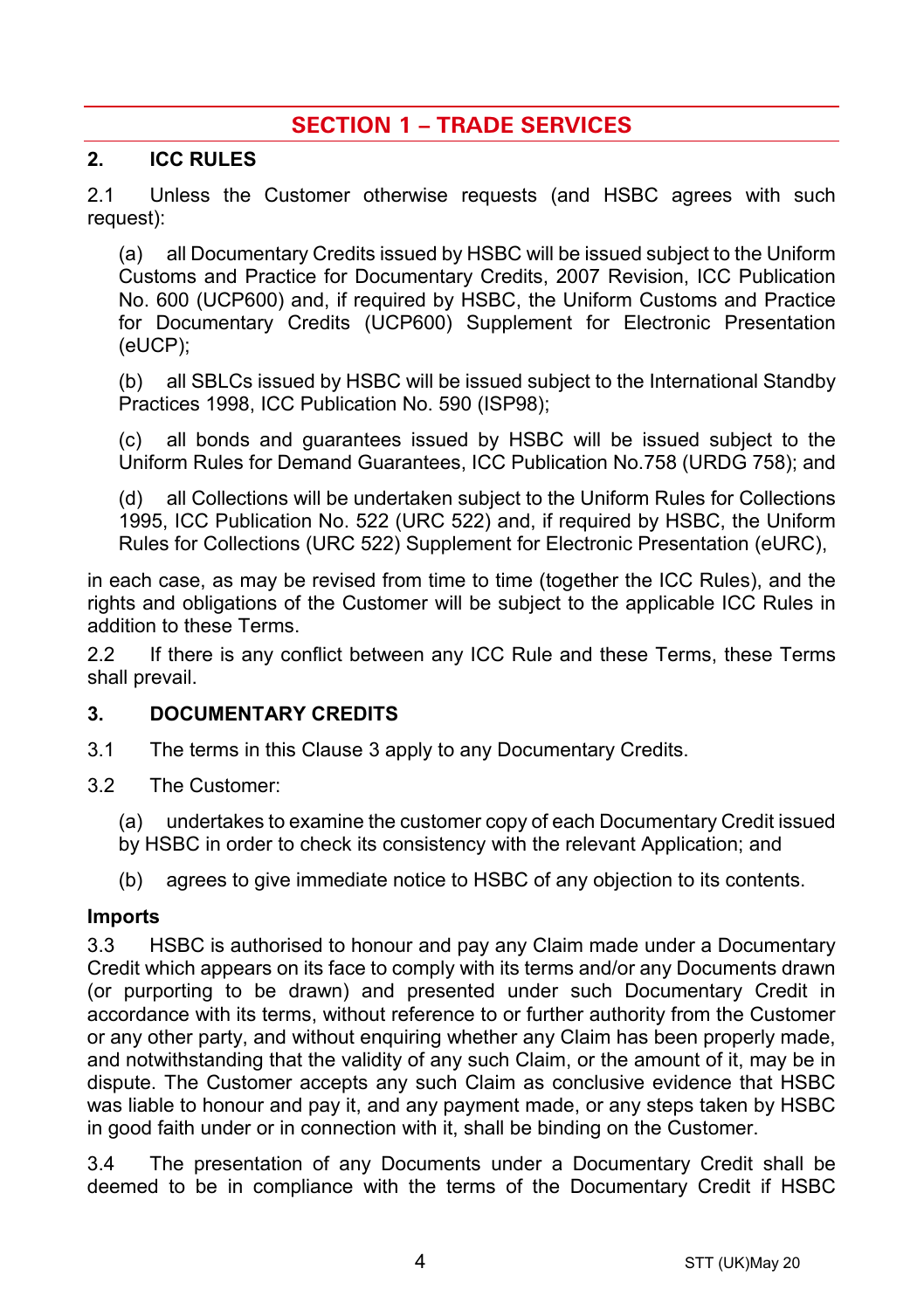# **SECTION 1 – TRADE SERVICES**

#### **2. ICC RULES**

2.1 Unless the Customer otherwise requests (and HSBC agrees with such request):

(a) all Documentary Credits issued by HSBC will be issued subject to the Uniform Customs and Practice for Documentary Credits, 2007 Revision, ICC Publication No. 600 (UCP600) and, if required by HSBC, the Uniform Customs and Practice for Documentary Credits (UCP600) Supplement for Electronic Presentation (eUCP);

(b) all SBLCs issued by HSBC will be issued subject to the International Standby Practices 1998, ICC Publication No. 590 (ISP98);

(c) all bonds and guarantees issued by HSBC will be issued subject to the Uniform Rules for Demand Guarantees, ICC Publication No.758 (URDG 758); and

(d) all Collections will be undertaken subject to the Uniform Rules for Collections 1995, ICC Publication No. 522 (URC 522) and, if required by HSBC, the Uniform Rules for Collections (URC 522) Supplement for Electronic Presentation (eURC),

in each case, as may be revised from time to time (together the ICC Rules), and the rights and obligations of the Customer will be subject to the applicable ICC Rules in addition to these Terms.

2.2 If there is any conflict between any ICC Rule and these Terms, these Terms shall prevail.

#### <span id="page-3-0"></span>**3. DOCUMENTARY CREDITS**

- 3.1 The terms in this Claus[e 3](#page-3-0) apply to any Documentary Credits.
- 3.2 The Customer:
	- (a) undertakes to examine the customer copy of each Documentary Credit issued
	- by HSBC in order to check its consistency with the relevant Application; and
	- (b) agrees to give immediate notice to HSBC of any objection to its contents.

#### **Imports**

3.3 HSBC is authorised to honour and pay any Claim made under a Documentary Credit which appears on its face to comply with its terms and/or any Documents drawn (or purporting to be drawn) and presented under such Documentary Credit in accordance with its terms, without reference to or further authority from the Customer or any other party, and without enquiring whether any Claim has been properly made, and notwithstanding that the validity of any such Claim, or the amount of it, may be in dispute. The Customer accepts any such Claim as conclusive evidence that HSBC was liable to honour and pay it, and any payment made, or any steps taken by HSBC in good faith under or in connection with it, shall be binding on the Customer.

3.4 The presentation of any Documents under a Documentary Credit shall be deemed to be in compliance with the terms of the Documentary Credit if HSBC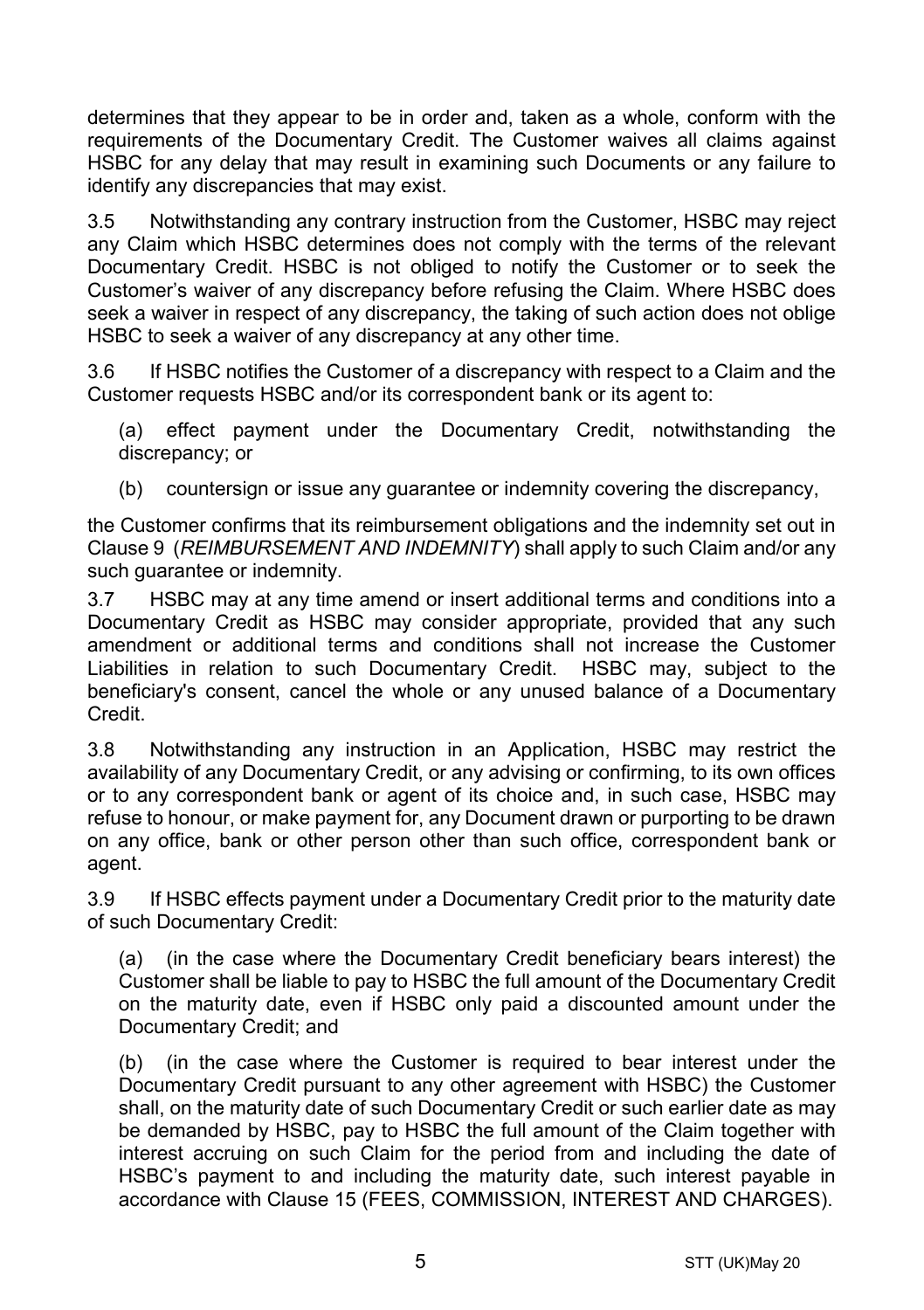determines that they appear to be in order and, taken as a whole, conform with the requirements of the Documentary Credit. The Customer waives all claims against HSBC for any delay that may result in examining such Documents or any failure to identify any discrepancies that may exist.

3.5 Notwithstanding any contrary instruction from the Customer, HSBC may reject any Claim which HSBC determines does not comply with the terms of the relevant Documentary Credit. HSBC is not obliged to notify the Customer or to seek the Customer's waiver of any discrepancy before refusing the Claim. Where HSBC does seek a waiver in respect of any discrepancy, the taking of such action does not oblige HSBC to seek a waiver of any discrepancy at any other time.

3.6 If HSBC notifies the Customer of a discrepancy with respect to a Claim and the Customer requests HSBC and/or its correspondent bank or its agent to:

(a) effect payment under the Documentary Credit, notwithstanding the discrepancy; or

(b) countersign or issue any guarantee or indemnity covering the discrepancy,

the Customer confirms that its reimbursement obligations and the indemnity set out in Claus[e 9](#page-13-0) (*[REIMBURSEMENT AND INDEMNITY](#page-13-0)*) shall apply to such Claim and/or any such guarantee or indemnity.

3.7 HSBC may at any time amend or insert additional terms and conditions into a Documentary Credit as HSBC may consider appropriate, provided that any such amendment or additional terms and conditions shall not increase the Customer Liabilities in relation to such Documentary Credit. HSBC may, subject to the beneficiary's consent, cancel the whole or any unused balance of a Documentary Credit.

3.8 Notwithstanding any instruction in an Application, HSBC may restrict the availability of any Documentary Credit, or any advising or confirming, to its own offices or to any correspondent bank or agent of its choice and, in such case, HSBC may refuse to honour, or make payment for, any Document drawn or purporting to be drawn on any office, bank or other person other than such office, correspondent bank or agent.

3.9 If HSBC effects payment under a Documentary Credit prior to the maturity date of such Documentary Credit:

(a) (in the case where the Documentary Credit beneficiary bears interest) the Customer shall be liable to pay to HSBC the full amount of the Documentary Credit on the maturity date, even if HSBC only paid a discounted amount under the Documentary Credit; and

(b) (in the case where the Customer is required to bear interest under the Documentary Credit pursuant to any other agreement with HSBC) the Customer shall, on the maturity date of such Documentary Credit or such earlier date as may be demanded by HSBC, pay to HSBC the full amount of the Claim together with interest accruing on such Claim for the period from and including the date of HSBC's payment to and including the maturity date, such interest payable in accordance with Clause [15](#page-16-0) [\(FEES, COMMISSION, INTEREST AND CHARGES\)](#page-16-0).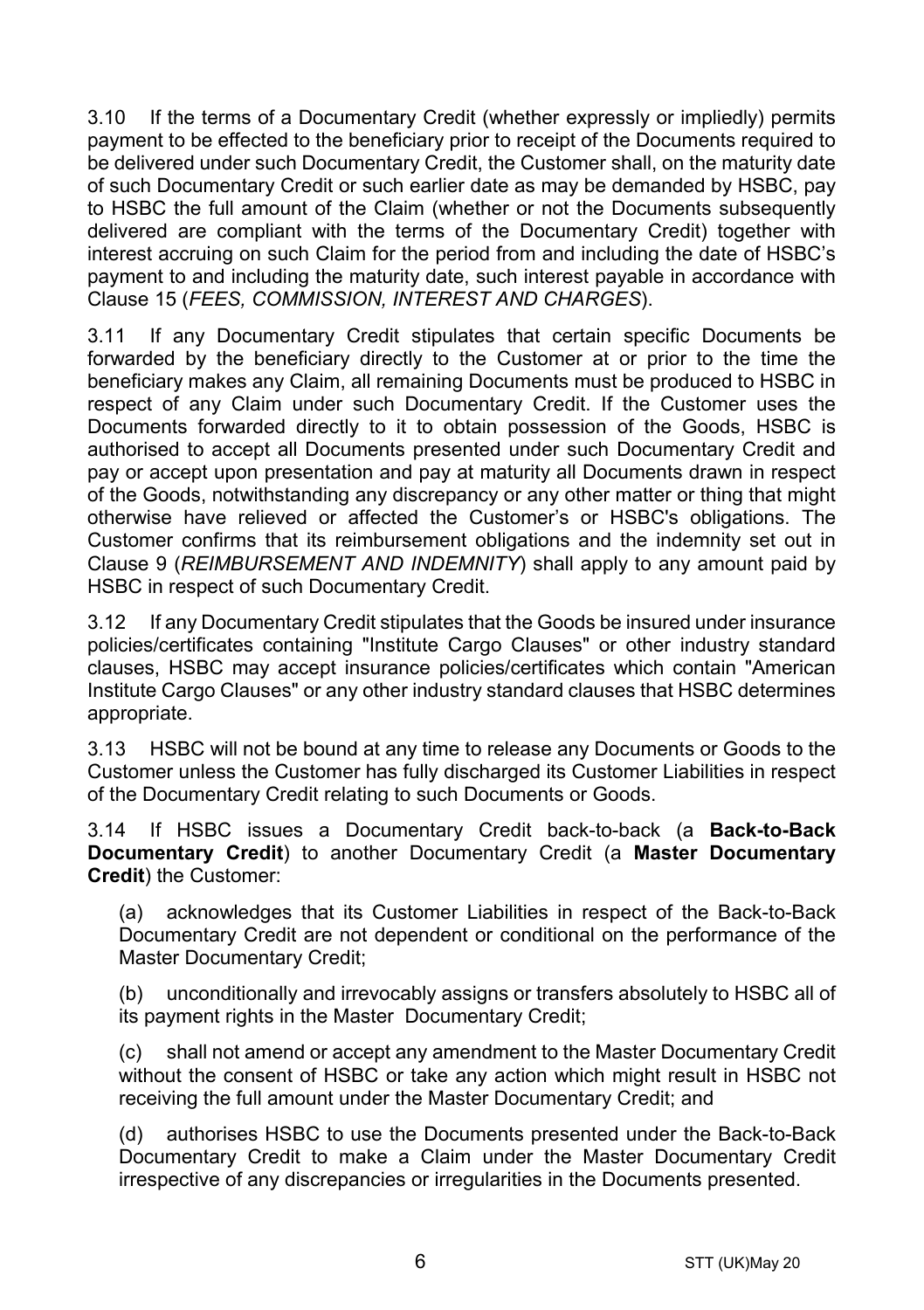3.10 If the terms of a Documentary Credit (whether expressly or impliedly) permits payment to be effected to the beneficiary prior to receipt of the Documents required to be delivered under such Documentary Credit, the Customer shall, on the maturity date of such Documentary Credit or such earlier date as may be demanded by HSBC, pay to HSBC the full amount of the Claim (whether or not the Documents subsequently delivered are compliant with the terms of the Documentary Credit) together with interest accruing on such Claim for the period from and including the date of HSBC's payment to and including the maturity date, such interest payable in accordance with Clause [15](#page-16-0) (*[FEES, COMMISSION, INTEREST AND CHARGES](#page-16-0)*).

3.11 If any Documentary Credit stipulates that certain specific Documents be forwarded by the beneficiary directly to the Customer at or prior to the time the beneficiary makes any Claim, all remaining Documents must be produced to HSBC in respect of any Claim under such Documentary Credit. If the Customer uses the Documents forwarded directly to it to obtain possession of the Goods, HSBC is authorised to accept all Documents presented under such Documentary Credit and pay or accept upon presentation and pay at maturity all Documents drawn in respect of the Goods, notwithstanding any discrepancy or any other matter or thing that might otherwise have relieved or affected the Customer's or HSBC's obligations. The Customer confirms that its reimbursement obligations and the indemnity set out in Clause [9](#page-13-0) (*[REIMBURSEMENT AND INDEMNITY](#page-13-0)*) shall apply to any amount paid by HSBC in respect of such Documentary Credit.

3.12 If any Documentary Credit stipulates that the Goods be insured under insurance policies/certificates containing "Institute Cargo Clauses" or other industry standard clauses, HSBC may accept insurance policies/certificates which contain "American Institute Cargo Clauses" or any other industry standard clauses that HSBC determines appropriate.

3.13 HSBC will not be bound at any time to release any Documents or Goods to the Customer unless the Customer has fully discharged its Customer Liabilities in respect of the Documentary Credit relating to such Documents or Goods.

<span id="page-5-0"></span>3.14 If HSBC issues a Documentary Credit back-to-back (a **Back-to-Back Documentary Credit**) to another Documentary Credit (a **Master Documentary Credit**) the Customer:

(a) acknowledges that its Customer Liabilities in respect of the Back-to-Back Documentary Credit are not dependent or conditional on the performance of the Master Documentary Credit;

(b) unconditionally and irrevocably assigns or transfers absolutely to HSBC all of its payment rights in the Master Documentary Credit;

(c) shall not amend or accept any amendment to the Master Documentary Credit without the consent of HSBC or take any action which might result in HSBC not receiving the full amount under the Master Documentary Credit; and

(d) authorises HSBC to use the Documents presented under the Back-to-Back Documentary Credit to make a Claim under the Master Documentary Credit irrespective of any discrepancies or irregularities in the Documents presented.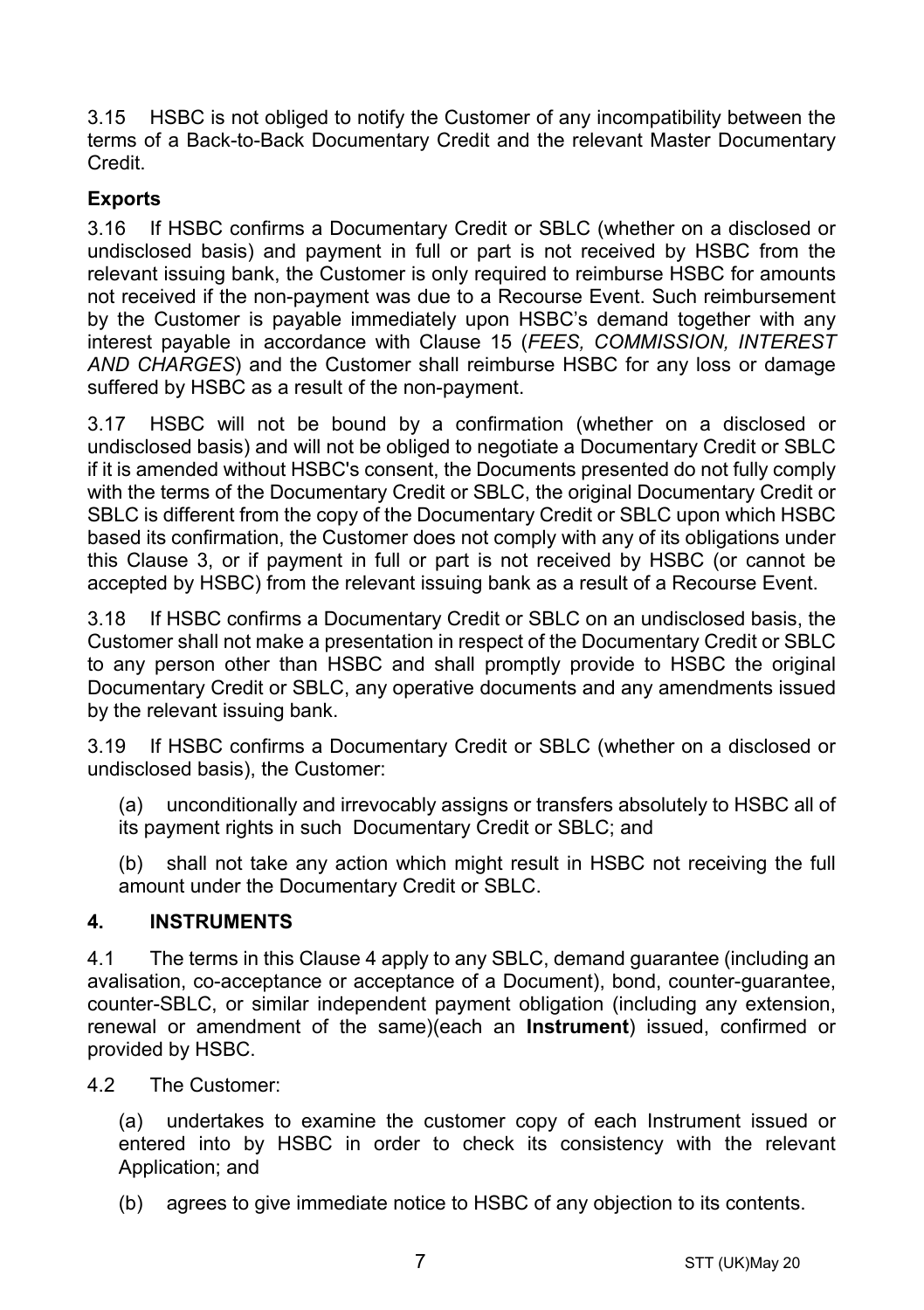3.15 HSBC is not obliged to notify the Customer of any incompatibility between the terms of a Back-to-Back Documentary Credit and the relevant Master Documentary Credit.

## **Exports**

3.16 If HSBC confirms a Documentary Credit or SBLC (whether on a disclosed or undisclosed basis) and payment in full or part is not received by HSBC from the relevant issuing bank, the Customer is only required to reimburse HSBC for amounts not received if the non-payment was due to a Recourse Event. Such reimbursement by the Customer is payable immediately upon HSBC's demand together with any interest payable in accordance with Clause [15](#page-16-0) (*[FEES, COMMISSION, INTEREST](#page-16-0)  [AND CHARGES](#page-16-0)*) and the Customer shall reimburse HSBC for any loss or damage suffered by HSBC as a result of the non-payment.

3.17 HSBC will not be bound by a confirmation (whether on a disclosed or undisclosed basis) and will not be obliged to negotiate a Documentary Credit or SBLC if it is amended without HSBC's consent, the Documents presented do not fully comply with the terms of the Documentary Credit or SBLC, the original Documentary Credit or SBLC is different from the copy of the Documentary Credit or SBLC upon which HSBC based its confirmation, the Customer does not comply with any of its obligations under this Clause [3,](#page-3-0) or if payment in full or part is not received by HSBC (or cannot be accepted by HSBC) from the relevant issuing bank as a result of a Recourse Event.

3.18 If HSBC confirms a Documentary Credit or SBLC on an undisclosed basis, the Customer shall not make a presentation in respect of the Documentary Credit or SBLC to any person other than HSBC and shall promptly provide to HSBC the original Documentary Credit or SBLC, any operative documents and any amendments issued by the relevant issuing bank.

3.19 If HSBC confirms a Documentary Credit or SBLC (whether on a disclosed or undisclosed basis), the Customer:

(a) unconditionally and irrevocably assigns or transfers absolutely to HSBC all of its payment rights in such Documentary Credit or SBLC; and

(b) shall not take any action which might result in HSBC not receiving the full amount under the Documentary Credit or SBLC.

## <span id="page-6-0"></span>**4. INSTRUMENTS**

4.1 The terms in this Clause [4](#page-6-0) apply to any SBLC, demand guarantee (including an avalisation, co-acceptance or acceptance of a Document), bond, counter-guarantee, counter-SBLC, or similar independent payment obligation (including any extension, renewal or amendment of the same)(each an **Instrument**) issued, confirmed or provided by HSBC.

4.2 The Customer:

(a) undertakes to examine the customer copy of each Instrument issued or entered into by HSBC in order to check its consistency with the relevant Application; and

(b) agrees to give immediate notice to HSBC of any objection to its contents.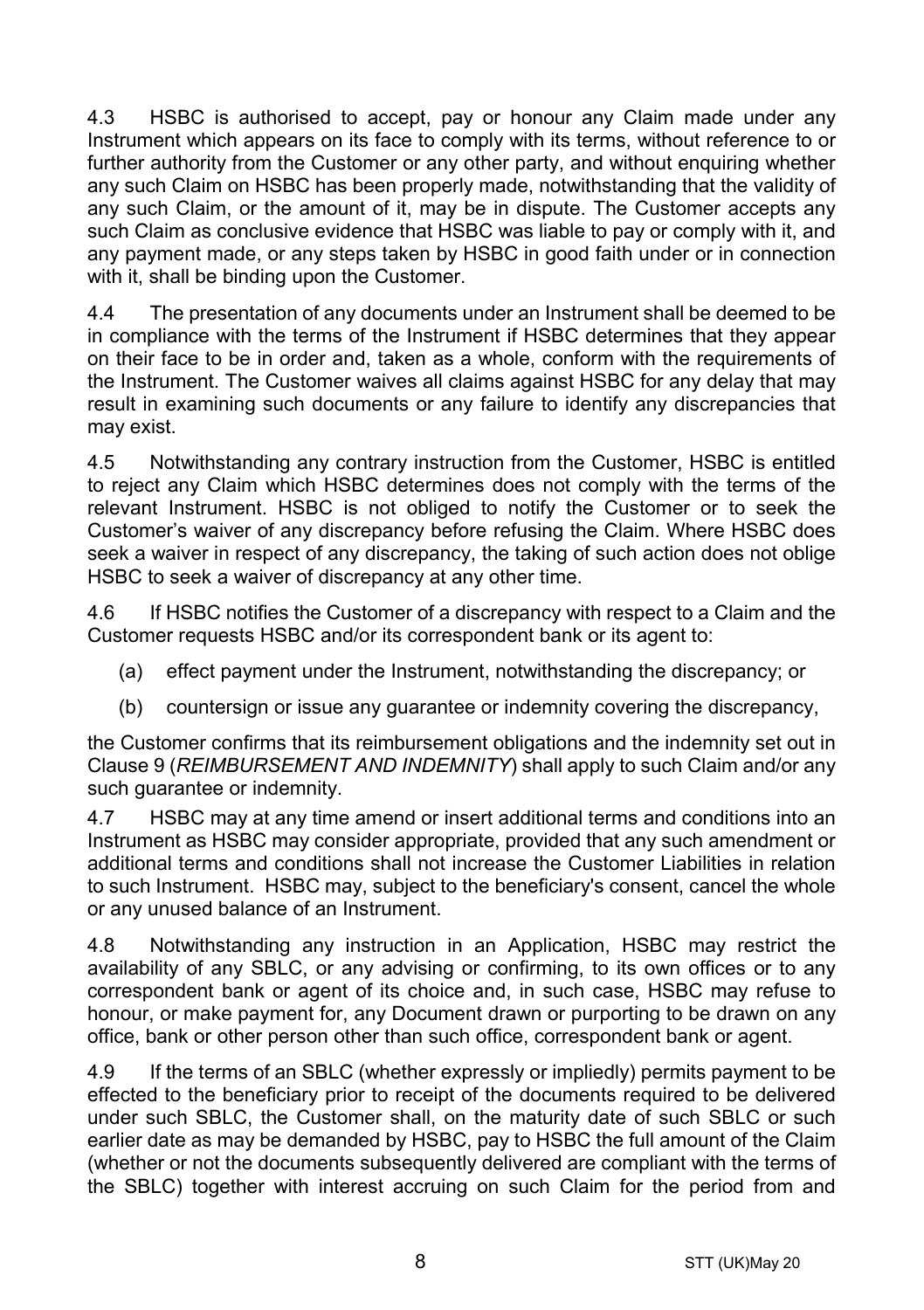4.3 HSBC is authorised to accept, pay or honour any Claim made under any Instrument which appears on its face to comply with its terms, without reference to or further authority from the Customer or any other party, and without enquiring whether any such Claim on HSBC has been properly made, notwithstanding that the validity of any such Claim, or the amount of it, may be in dispute. The Customer accepts any such Claim as conclusive evidence that HSBC was liable to pay or comply with it, and any payment made, or any steps taken by HSBC in good faith under or in connection with it, shall be binding upon the Customer.

4.4 The presentation of any documents under an Instrument shall be deemed to be in compliance with the terms of the Instrument if HSBC determines that they appear on their face to be in order and, taken as a whole, conform with the requirements of the Instrument. The Customer waives all claims against HSBC for any delay that may result in examining such documents or any failure to identify any discrepancies that may exist.

4.5 Notwithstanding any contrary instruction from the Customer, HSBC is entitled to reject any Claim which HSBC determines does not comply with the terms of the relevant Instrument. HSBC is not obliged to notify the Customer or to seek the Customer's waiver of any discrepancy before refusing the Claim. Where HSBC does seek a waiver in respect of any discrepancy, the taking of such action does not oblige HSBC to seek a waiver of discrepancy at any other time.

4.6 If HSBC notifies the Customer of a discrepancy with respect to a Claim and the Customer requests HSBC and/or its correspondent bank or its agent to:

- (a) effect payment under the Instrument, notwithstanding the discrepancy; or
- (b) countersign or issue any guarantee or indemnity covering the discrepancy,

the Customer confirms that its reimbursement obligations and the indemnity set out in Clause [9](#page-13-0) (*[REIMBURSEMENT AND INDEMNITY](#page-13-0)*) shall apply to such Claim and/or any such guarantee or indemnity.

4.7 HSBC may at any time amend or insert additional terms and conditions into an Instrument as HSBC may consider appropriate, provided that any such amendment or additional terms and conditions shall not increase the Customer Liabilities in relation to such Instrument. HSBC may, subject to the beneficiary's consent, cancel the whole or any unused balance of an Instrument.

4.8 Notwithstanding any instruction in an Application, HSBC may restrict the availability of any SBLC, or any advising or confirming, to its own offices or to any correspondent bank or agent of its choice and, in such case, HSBC may refuse to honour, or make payment for, any Document drawn or purporting to be drawn on any office, bank or other person other than such office, correspondent bank or agent.

4.9 If the terms of an SBLC (whether expressly or impliedly) permits payment to be effected to the beneficiary prior to receipt of the documents required to be delivered under such SBLC, the Customer shall, on the maturity date of such SBLC or such earlier date as may be demanded by HSBC, pay to HSBC the full amount of the Claim (whether or not the documents subsequently delivered are compliant with the terms of the SBLC) together with interest accruing on such Claim for the period from and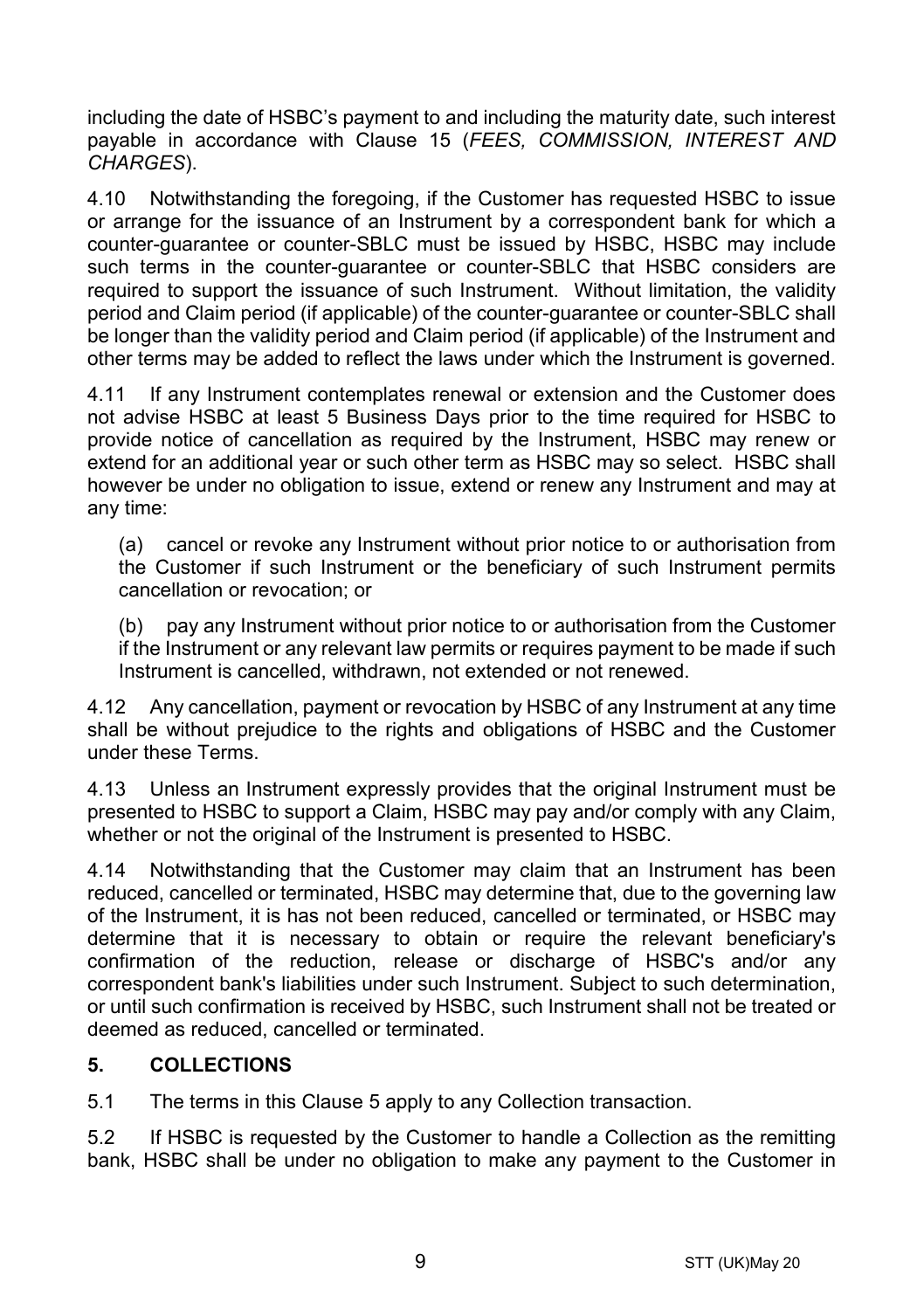including the date of HSBC's payment to and including the maturity date, such interest payable in accordance with Clause [15](#page-16-0) (*[FEES, COMMISSION, INTEREST AND](#page-16-0)  [CHARGES](#page-16-0)*).

4.10 Notwithstanding the foregoing, if the Customer has requested HSBC to issue or arrange for the issuance of an Instrument by a correspondent bank for which a counter-guarantee or counter-SBLC must be issued by HSBC, HSBC may include such terms in the counter-guarantee or counter-SBLC that HSBC considers are required to support the issuance of such Instrument. Without limitation, the validity period and Claim period (if applicable) of the counter-guarantee or counter-SBLC shall be longer than the validity period and Claim period (if applicable) of the Instrument and other terms may be added to reflect the laws under which the Instrument is governed.

4.11 If any Instrument contemplates renewal or extension and the Customer does not advise HSBC at least 5 Business Days prior to the time required for HSBC to provide notice of cancellation as required by the Instrument, HSBC may renew or extend for an additional year or such other term as HSBC may so select. HSBC shall however be under no obligation to issue, extend or renew any Instrument and may at any time:

(a) cancel or revoke any Instrument without prior notice to or authorisation from the Customer if such Instrument or the beneficiary of such Instrument permits cancellation or revocation; or

(b) pay any Instrument without prior notice to or authorisation from the Customer if the Instrument or any relevant law permits or requires payment to be made if such Instrument is cancelled, withdrawn, not extended or not renewed.

4.12 Any cancellation, payment or revocation by HSBC of any Instrument at any time shall be without prejudice to the rights and obligations of HSBC and the Customer under these Terms.

4.13 Unless an Instrument expressly provides that the original Instrument must be presented to HSBC to support a Claim, HSBC may pay and/or comply with any Claim, whether or not the original of the Instrument is presented to HSBC.

4.14 Notwithstanding that the Customer may claim that an Instrument has been reduced, cancelled or terminated, HSBC may determine that, due to the governing law of the Instrument, it is has not been reduced, cancelled or terminated, or HSBC may determine that it is necessary to obtain or require the relevant beneficiary's confirmation of the reduction, release or discharge of HSBC's and/or any correspondent bank's liabilities under such Instrument. Subject to such determination, or until such confirmation is received by HSBC, such Instrument shall not be treated or deemed as reduced, cancelled or terminated.

## <span id="page-8-0"></span>**5. COLLECTIONS**

5.1 The terms in this Claus[e 5](#page-8-0) apply to any Collection transaction.

5.2 If HSBC is requested by the Customer to handle a Collection as the remitting bank, HSBC shall be under no obligation to make any payment to the Customer in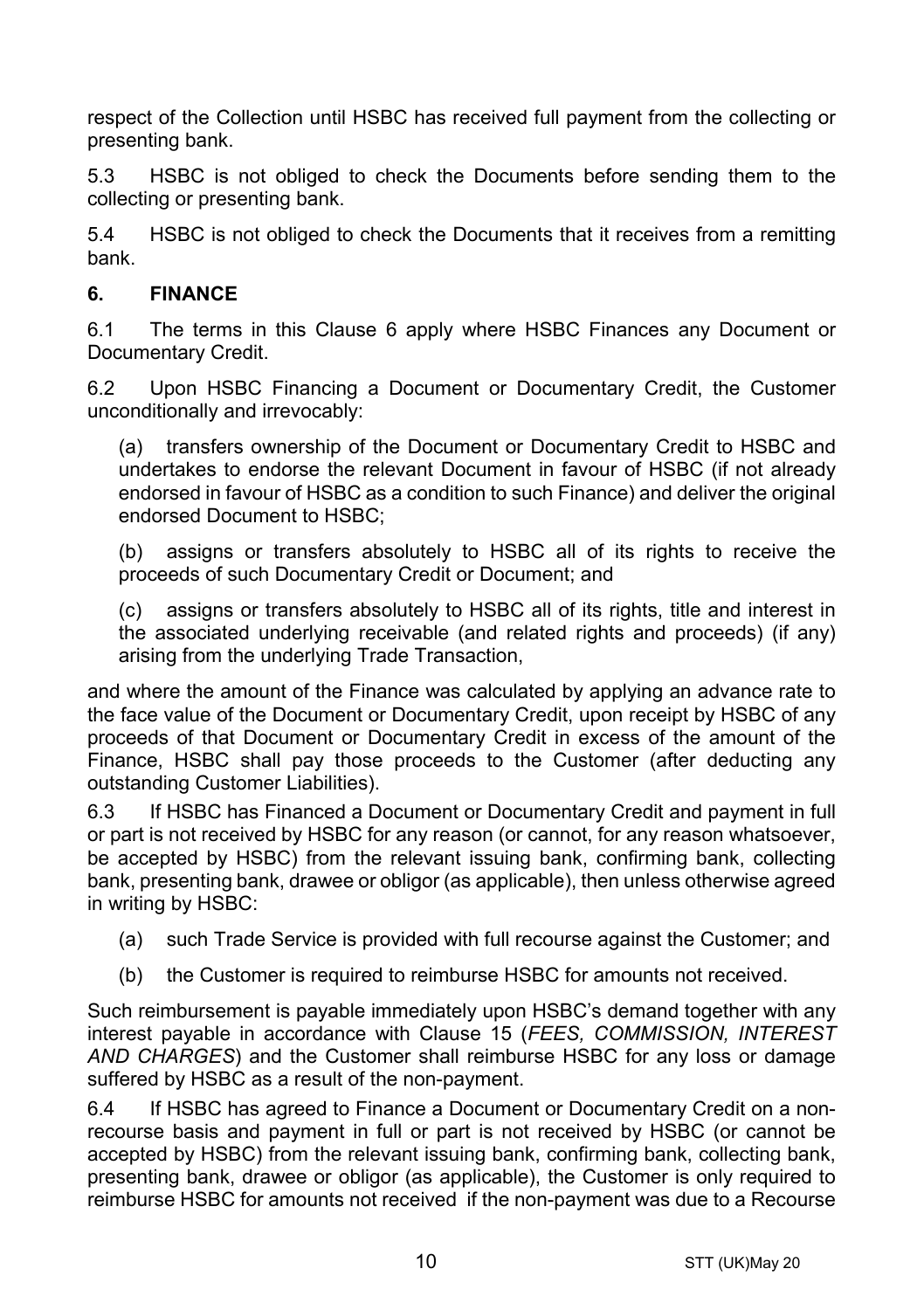respect of the Collection until HSBC has received full payment from the collecting or presenting bank.

5.3 HSBC is not obliged to check the Documents before sending them to the collecting or presenting bank.

5.4 HSBC is not obliged to check the Documents that it receives from a remitting bank.

## <span id="page-9-0"></span>**6. FINANCE**

6.1 The terms in this Clause [6](#page-9-0) apply where HSBC Finances any Document or Documentary Credit.

6.2 Upon HSBC Financing a Document or Documentary Credit, the Customer unconditionally and irrevocably:

(a) transfers ownership of the Document or Documentary Credit to HSBC and undertakes to endorse the relevant Document in favour of HSBC (if not already endorsed in favour of HSBC as a condition to such Finance) and deliver the original endorsed Document to HSBC;

(b) assigns or transfers absolutely to HSBC all of its rights to receive the proceeds of such Documentary Credit or Document; and

(c) assigns or transfers absolutely to HSBC all of its rights, title and interest in the associated underlying receivable (and related rights and proceeds) (if any) arising from the underlying Trade Transaction,

and where the amount of the Finance was calculated by applying an advance rate to the face value of the Document or Documentary Credit, upon receipt by HSBC of any proceeds of that Document or Documentary Credit in excess of the amount of the Finance, HSBC shall pay those proceeds to the Customer (after deducting any outstanding Customer Liabilities).

6.3 If HSBC has Financed a Document or Documentary Credit and payment in full or part is not received by HSBC for any reason (or cannot, for any reason whatsoever, be accepted by HSBC) from the relevant issuing bank, confirming bank, collecting bank, presenting bank, drawee or obligor (as applicable), then unless otherwise agreed in writing by HSBC:

- (a) such Trade Service is provided with full recourse against the Customer; and
- (b) the Customer is required to reimburse HSBC for amounts not received.

Such reimbursement is payable immediately upon HSBC's demand together with any interest payable in accordance with Clause [15](#page-16-0) (*[FEES, COMMISSION, INTEREST](#page-16-0)  [AND CHARGES](#page-16-0)*) and the Customer shall reimburse HSBC for any loss or damage suffered by HSBC as a result of the non-payment.

6.4 If HSBC has agreed to Finance a Document or Documentary Credit on a nonrecourse basis and payment in full or part is not received by HSBC (or cannot be accepted by HSBC) from the relevant issuing bank, confirming bank, collecting bank, presenting bank, drawee or obligor (as applicable), the Customer is only required to reimburse HSBC for amounts not received if the non-payment was due to a Recourse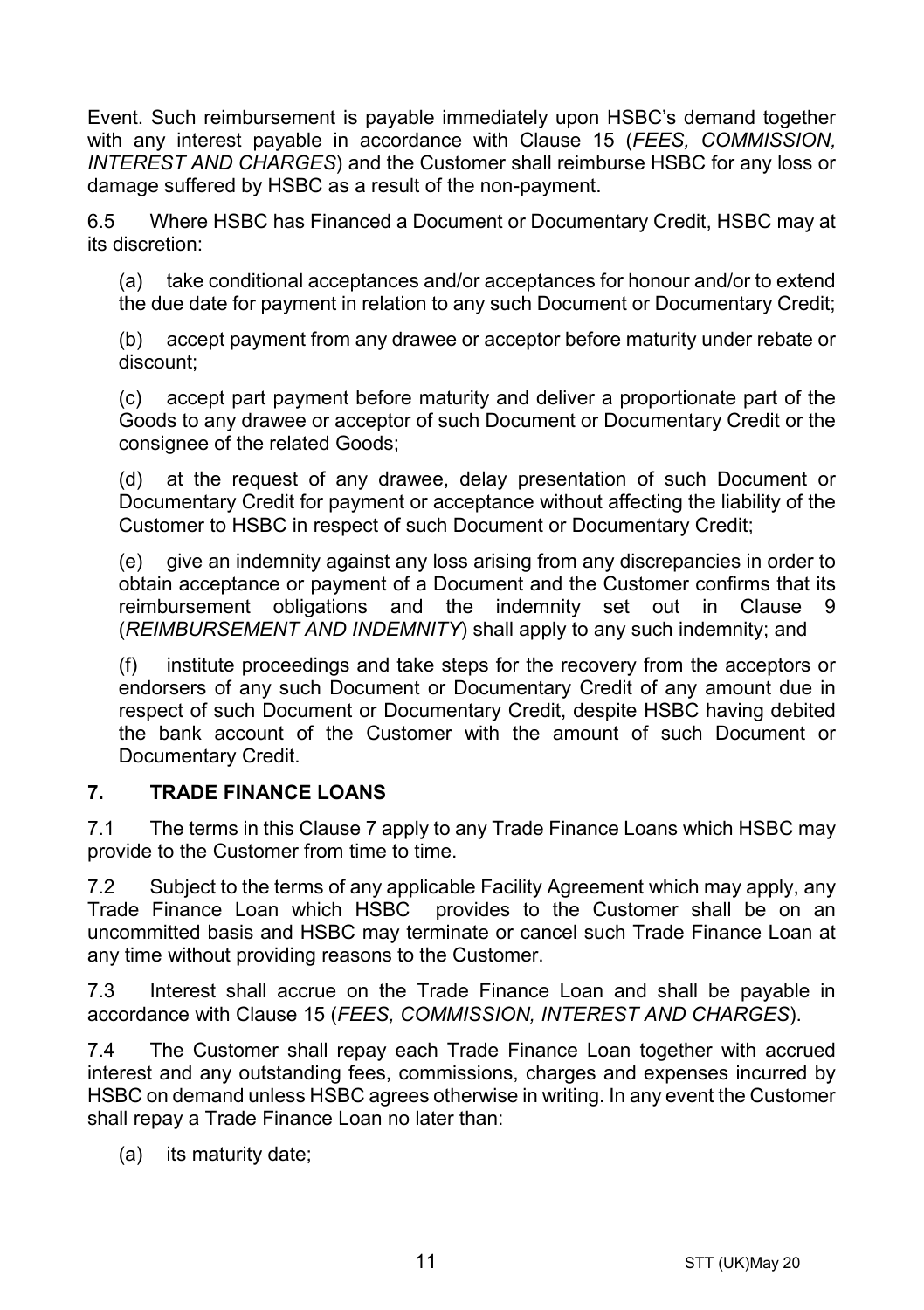Event. Such reimbursement is payable immediately upon HSBC's demand together with any interest payable in accordance with Clause [15](#page-16-0) (*[FEES, COMMISSION,](#page-16-0)  [INTEREST AND CHARGES](#page-16-0)*) and the Customer shall reimburse HSBC for any loss or damage suffered by HSBC as a result of the non-payment.

6.5 Where HSBC has Financed a Document or Documentary Credit, HSBC may at its discretion:

(a) take conditional acceptances and/or acceptances for honour and/or to extend the due date for payment in relation to any such Document or Documentary Credit;

(b) accept payment from any drawee or acceptor before maturity under rebate or discount;

(c) accept part payment before maturity and deliver a proportionate part of the Goods to any drawee or acceptor of such Document or Documentary Credit or the consignee of the related Goods;

(d) at the request of any drawee, delay presentation of such Document or Documentary Credit for payment or acceptance without affecting the liability of the Customer to HSBC in respect of such Document or Documentary Credit;

(e) give an indemnity against any loss arising from any discrepancies in order to obtain acceptance or payment of a Document and the Customer confirms that its reimbursement obligations and the indemnity set out in Clause [9](#page-13-0) (*[REIMBURSEMENT AND INDEMNITY](#page-13-0)*) shall apply to any such indemnity; and

(f) institute proceedings and take steps for the recovery from the acceptors or endorsers of any such Document or Documentary Credit of any amount due in respect of such Document or Documentary Credit, despite HSBC having debited the bank account of the Customer with the amount of such Document or Documentary Credit.

## <span id="page-10-0"></span>**7. TRADE FINANCE LOANS**

7.1 The terms in this Clause [7](#page-10-0) apply to any Trade Finance Loans which HSBC may provide to the Customer from time to time.

7.2 Subject to the terms of any applicable Facility Agreement which may apply, any Trade Finance Loan which HSBC provides to the Customer shall be on an uncommitted basis and HSBC may terminate or cancel such Trade Finance Loan at any time without providing reasons to the Customer.

7.3 Interest shall accrue on the Trade Finance Loan and shall be payable in accordance with Clause [15](#page-16-0) (*[FEES, COMMISSION, INTEREST AND CHARGES](#page-16-0)*).

7.4 The Customer shall repay each Trade Finance Loan together with accrued interest and any outstanding fees, commissions, charges and expenses incurred by HSBC on demand unless HSBC agrees otherwise in writing. In any event the Customer shall repay a Trade Finance Loan no later than:

(a) its maturity date;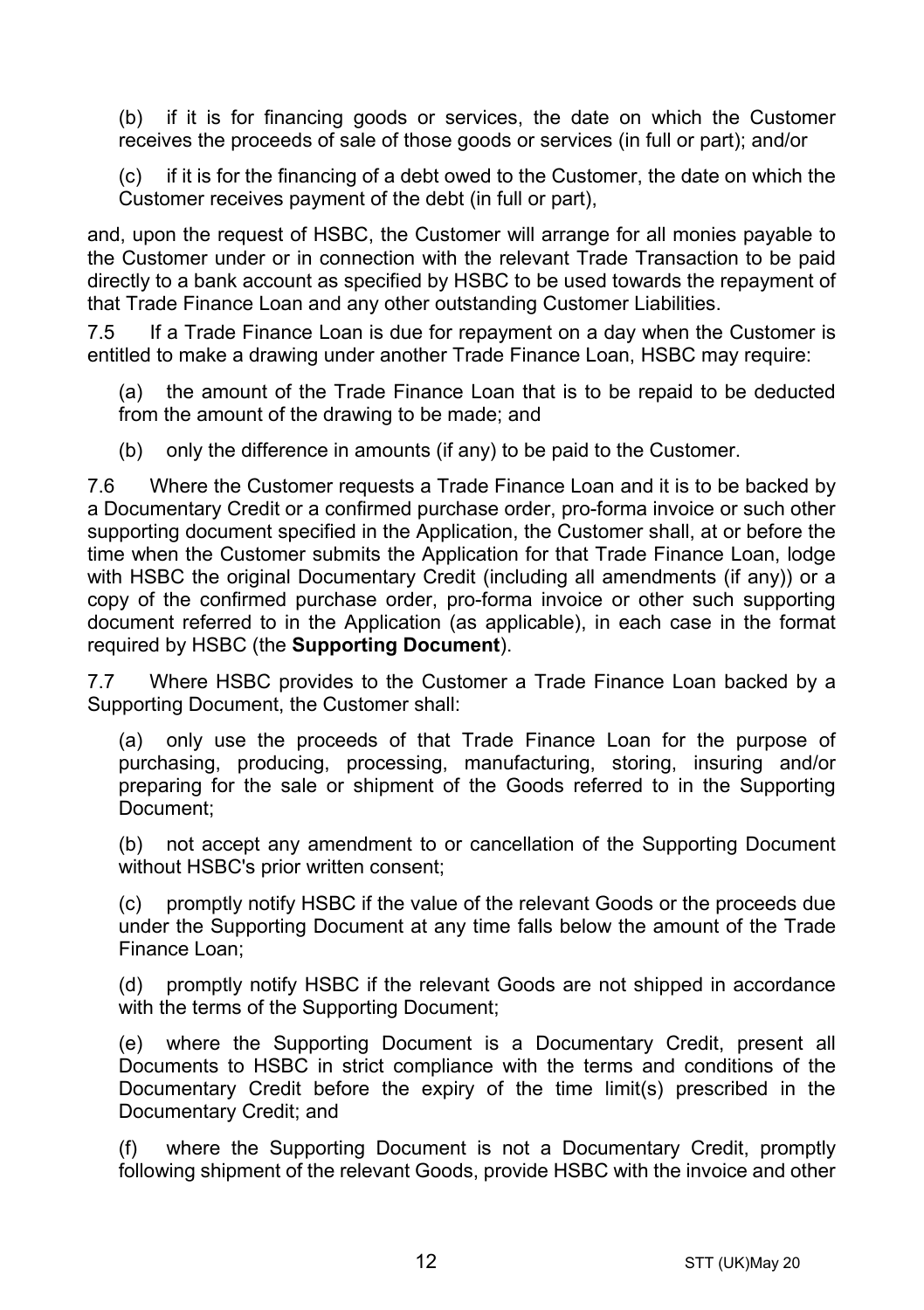(b) if it is for financing goods or services, the date on which the Customer receives the proceeds of sale of those goods or services (in full or part); and/or

(c) if it is for the financing of a debt owed to the Customer, the date on which the Customer receives payment of the debt (in full or part),

and, upon the request of HSBC, the Customer will arrange for all monies payable to the Customer under or in connection with the relevant Trade Transaction to be paid directly to a bank account as specified by HSBC to be used towards the repayment of that Trade Finance Loan and any other outstanding Customer Liabilities.

7.5 If a Trade Finance Loan is due for repayment on a day when the Customer is entitled to make a drawing under another Trade Finance Loan, HSBC may require:

(a) the amount of the Trade Finance Loan that is to be repaid to be deducted from the amount of the drawing to be made; and

(b) only the difference in amounts (if any) to be paid to the Customer.

7.6 Where the Customer requests a Trade Finance Loan and it is to be backed by a Documentary Credit or a confirmed purchase order, pro-forma invoice or such other supporting document specified in the Application, the Customer shall, at or before the time when the Customer submits the Application for that Trade Finance Loan, lodge with HSBC the original Documentary Credit (including all amendments (if any)) or a copy of the confirmed purchase order, pro-forma invoice or other such supporting document referred to in the Application (as applicable), in each case in the format required by HSBC (the **Supporting Document**).

7.7 Where HSBC provides to the Customer a Trade Finance Loan backed by a Supporting Document, the Customer shall:

(a) only use the proceeds of that Trade Finance Loan for the purpose of purchasing, producing, processing, manufacturing, storing, insuring and/or preparing for the sale or shipment of the Goods referred to in the Supporting Document;

(b) not accept any amendment to or cancellation of the Supporting Document without HSBC's prior written consent;

(c) promptly notify HSBC if the value of the relevant Goods or the proceeds due under the Supporting Document at any time falls below the amount of the Trade Finance Loan;

(d) promptly notify HSBC if the relevant Goods are not shipped in accordance with the terms of the Supporting Document;

(e) where the Supporting Document is a Documentary Credit, present all Documents to HSBC in strict compliance with the terms and conditions of the Documentary Credit before the expiry of the time limit(s) prescribed in the Documentary Credit; and

(f) where the Supporting Document is not a Documentary Credit, promptly following shipment of the relevant Goods, provide HSBC with the invoice and other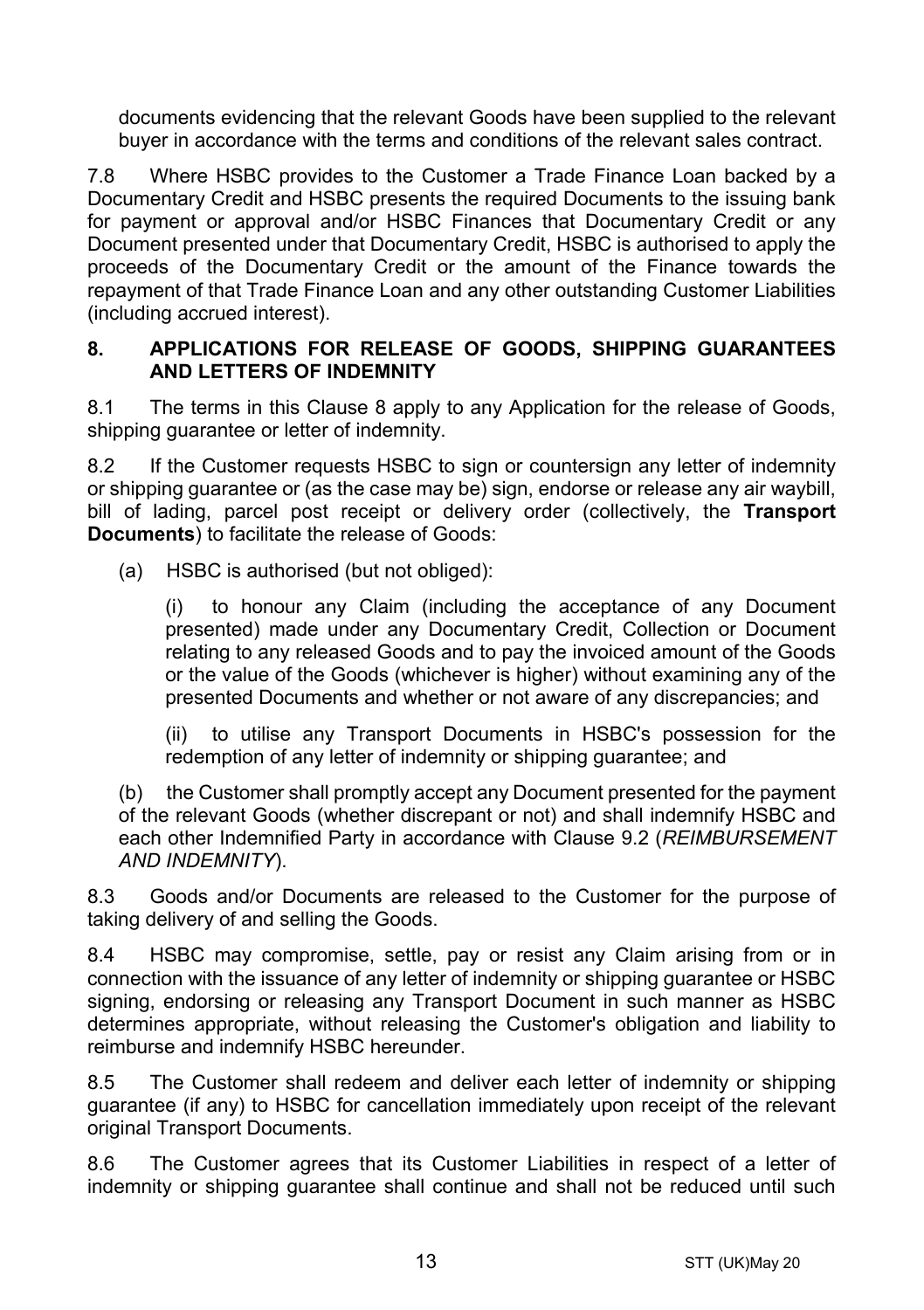documents evidencing that the relevant Goods have been supplied to the relevant buyer in accordance with the terms and conditions of the relevant sales contract.

7.8 Where HSBC provides to the Customer a Trade Finance Loan backed by a Documentary Credit and HSBC presents the required Documents to the issuing bank for payment or approval and/or HSBC Finances that Documentary Credit or any Document presented under that Documentary Credit, HSBC is authorised to apply the proceeds of the Documentary Credit or the amount of the Finance towards the repayment of that Trade Finance Loan and any other outstanding Customer Liabilities (including accrued interest).

#### <span id="page-12-0"></span>**8. APPLICATIONS FOR RELEASE OF GOODS, SHIPPING GUARANTEES AND LETTERS OF INDEMNITY**

8.1 The terms in this Clause [8](#page-12-0) apply to any Application for the release of Goods, shipping quarantee or letter of indemnity.

8.2 If the Customer requests HSBC to sign or countersign any letter of indemnity or shipping guarantee or (as the case may be) sign, endorse or release any air waybill, bill of lading, parcel post receipt or delivery order (collectively, the **Transport Documents**) to facilitate the release of Goods:

(a) HSBC is authorised (but not obliged):

(i) to honour any Claim (including the acceptance of any Document presented) made under any Documentary Credit, Collection or Document relating to any released Goods and to pay the invoiced amount of the Goods or the value of the Goods (whichever is higher) without examining any of the presented Documents and whether or not aware of any discrepancies; and

(ii) to utilise any Transport Documents in HSBC's possession for the redemption of any letter of indemnity or shipping guarantee; and

(b) the Customer shall promptly accept any Document presented for the payment of the relevant Goods (whether discrepant or not) and shall indemnify HSBC and each other Indemnified Party in accordance with Clause [9.2](#page-13-1) (*[REIMBURSEMENT](#page-13-0)  [AND INDEMNITY](#page-13-0)*).

8.3 Goods and/or Documents are released to the Customer for the purpose of taking delivery of and selling the Goods.

8.4 HSBC may compromise, settle, pay or resist any Claim arising from or in connection with the issuance of any letter of indemnity or shipping guarantee or HSBC signing, endorsing or releasing any Transport Document in such manner as HSBC determines appropriate, without releasing the Customer's obligation and liability to reimburse and indemnify HSBC hereunder.

8.5 The Customer shall redeem and deliver each letter of indemnity or shipping guarantee (if any) to HSBC for cancellation immediately upon receipt of the relevant original Transport Documents.

8.6 The Customer agrees that its Customer Liabilities in respect of a letter of indemnity or shipping guarantee shall continue and shall not be reduced until such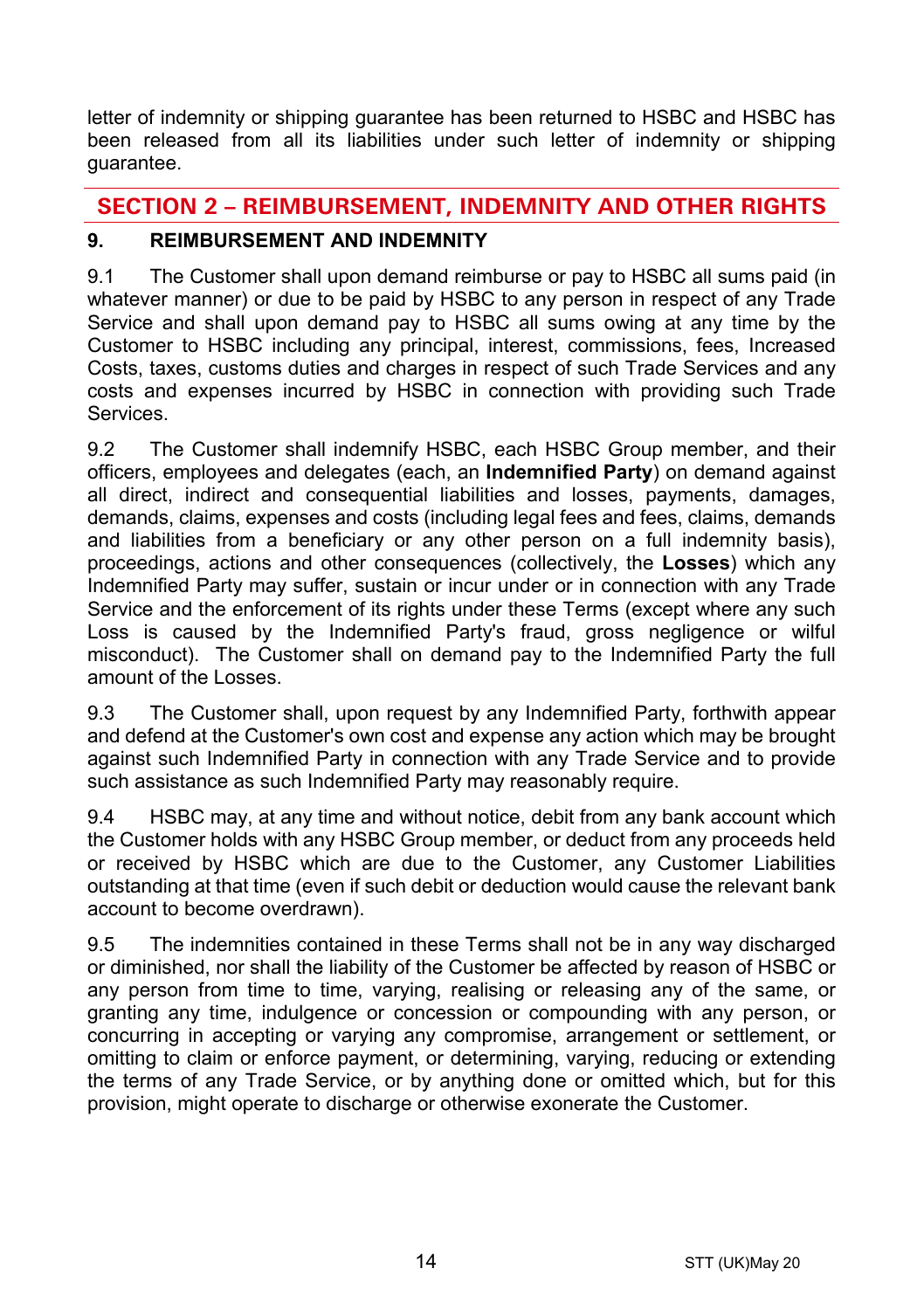letter of indemnity or shipping guarantee has been returned to HSBC and HSBC has been released from all its liabilities under such letter of indemnity or shipping guarantee.

# **SECTION 2 – REIMBURSEMENT, INDEMNITY AND OTHER RIGHTS**

## <span id="page-13-0"></span>**9. REIMBURSEMENT AND INDEMNITY**

9.1 The Customer shall upon demand reimburse or pay to HSBC all sums paid (in whatever manner) or due to be paid by HSBC to any person in respect of any Trade Service and shall upon demand pay to HSBC all sums owing at any time by the Customer to HSBC including any principal, interest, commissions, fees, Increased Costs, taxes, customs duties and charges in respect of such Trade Services and any costs and expenses incurred by HSBC in connection with providing such Trade **Services** 

<span id="page-13-1"></span>9.2 The Customer shall indemnify HSBC, each HSBC Group member, and their officers, employees and delegates (each, an **Indemnified Party**) on demand against all direct, indirect and consequential liabilities and losses, payments, damages, demands, claims, expenses and costs (including legal fees and fees, claims, demands and liabilities from a beneficiary or any other person on a full indemnity basis), proceedings, actions and other consequences (collectively, the **Losses**) which any Indemnified Party may suffer, sustain or incur under or in connection with any Trade Service and the enforcement of its rights under these Terms (except where any such Loss is caused by the Indemnified Party's fraud, gross negligence or wilful misconduct). The Customer shall on demand pay to the Indemnified Party the full amount of the Losses.

9.3 The Customer shall, upon request by any Indemnified Party, forthwith appear and defend at the Customer's own cost and expense any action which may be brought against such Indemnified Party in connection with any Trade Service and to provide such assistance as such Indemnified Party may reasonably require.

9.4 HSBC may, at any time and without notice, debit from any bank account which the Customer holds with any HSBC Group member, or deduct from any proceeds held or received by HSBC which are due to the Customer, any Customer Liabilities outstanding at that time (even if such debit or deduction would cause the relevant bank account to become overdrawn).

9.5 The indemnities contained in these Terms shall not be in any way discharged or diminished, nor shall the liability of the Customer be affected by reason of HSBC or any person from time to time, varying, realising or releasing any of the same, or granting any time, indulgence or concession or compounding with any person, or concurring in accepting or varying any compromise, arrangement or settlement, or omitting to claim or enforce payment, or determining, varying, reducing or extending the terms of any Trade Service, or by anything done or omitted which, but for this provision, might operate to discharge or otherwise exonerate the Customer.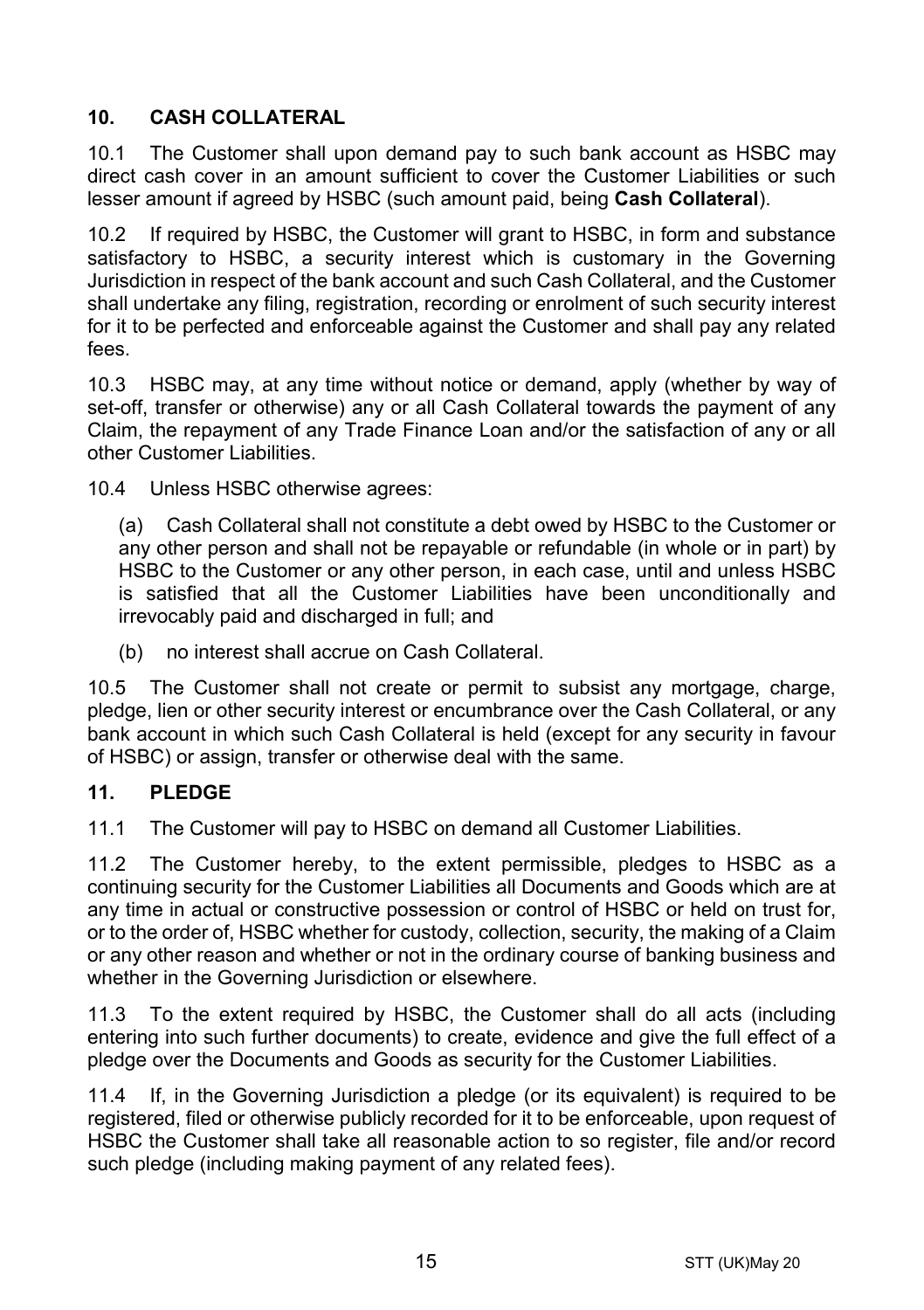# <span id="page-14-1"></span>**10. CASH COLLATERAL**

10.1 The Customer shall upon demand pay to such bank account as HSBC may direct cash cover in an amount sufficient to cover the Customer Liabilities or such lesser amount if agreed by HSBC (such amount paid, being **Cash Collateral**).

10.2 If required by HSBC, the Customer will grant to HSBC, in form and substance satisfactory to HSBC, a security interest which is customary in the Governing Jurisdiction in respect of the bank account and such Cash Collateral, and the Customer shall undertake any filing, registration, recording or enrolment of such security interest for it to be perfected and enforceable against the Customer and shall pay any related fees.

10.3 HSBC may, at any time without notice or demand, apply (whether by way of set-off, transfer or otherwise) any or all Cash Collateral towards the payment of any Claim, the repayment of any Trade Finance Loan and/or the satisfaction of any or all other Customer Liabilities.

10.4 Unless HSBC otherwise agrees:

(a) Cash Collateral shall not constitute a debt owed by HSBC to the Customer or any other person and shall not be repayable or refundable (in whole or in part) by HSBC to the Customer or any other person, in each case, until and unless HSBC is satisfied that all the Customer Liabilities have been unconditionally and irrevocably paid and discharged in full; and

(b) no interest shall accrue on Cash Collateral.

10.5 The Customer shall not create or permit to subsist any mortgage, charge, pledge, lien or other security interest or encumbrance over the Cash Collateral, or any bank account in which such Cash Collateral is held (except for any security in favour of HSBC) or assign, transfer or otherwise deal with the same.

## <span id="page-14-0"></span>**11. PLEDGE**

11.1 The Customer will pay to HSBC on demand all Customer Liabilities.

11.2 The Customer hereby, to the extent permissible, pledges to HSBC as a continuing security for the Customer Liabilities all Documents and Goods which are at any time in actual or constructive possession or control of HSBC or held on trust for, or to the order of, HSBC whether for custody, collection, security, the making of a Claim or any other reason and whether or not in the ordinary course of banking business and whether in the Governing Jurisdiction or elsewhere.

11.3 To the extent required by HSBC, the Customer shall do all acts (including entering into such further documents) to create, evidence and give the full effect of a pledge over the Documents and Goods as security for the Customer Liabilities.

11.4 If, in the Governing Jurisdiction a pledge (or its equivalent) is required to be registered, filed or otherwise publicly recorded for it to be enforceable, upon request of HSBC the Customer shall take all reasonable action to so register, file and/or record such pledge (including making payment of any related fees).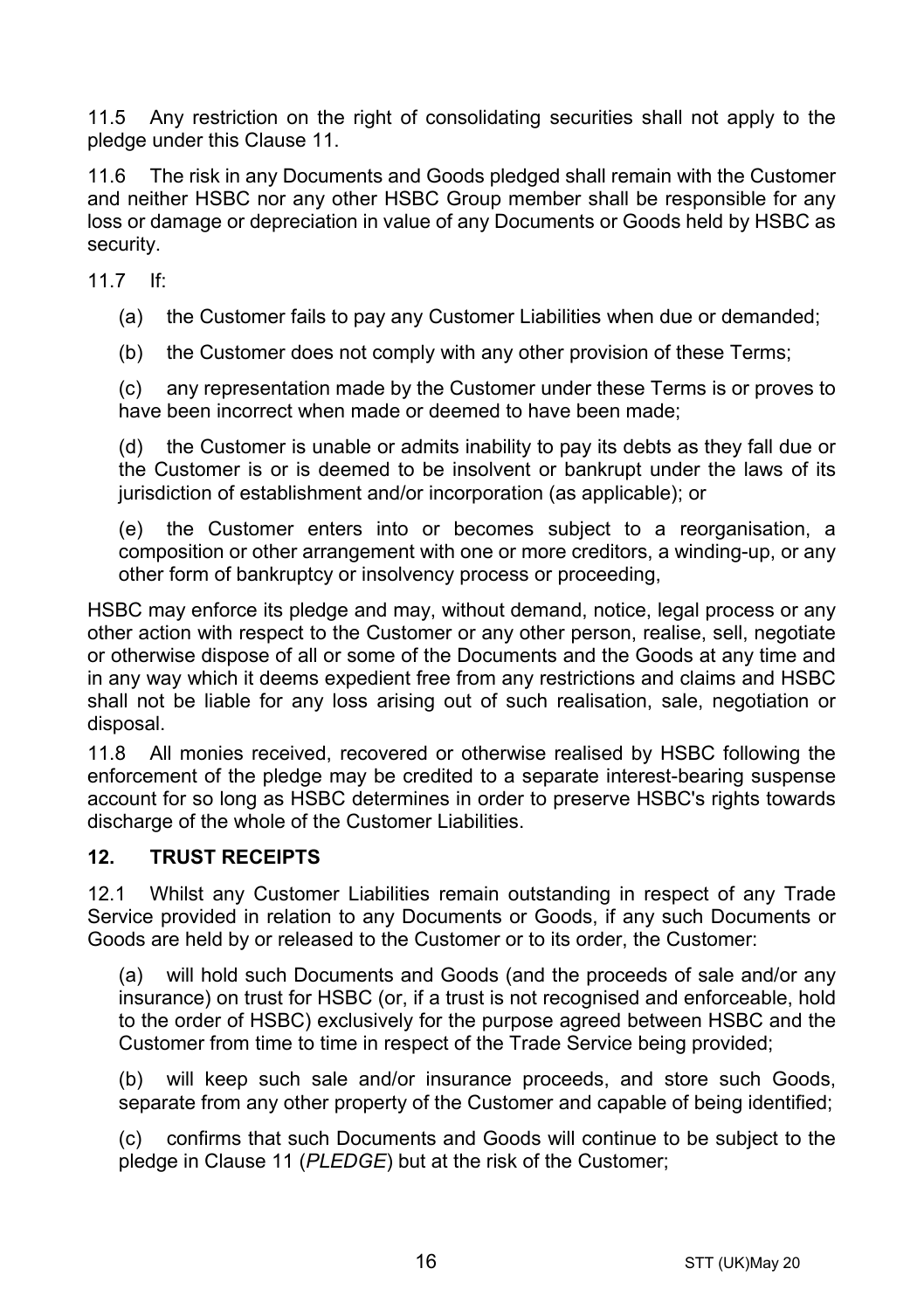11.5 Any restriction on the right of consolidating securities shall not apply to the pledge under this Clause [11.](#page-14-0)

11.6 The risk in any Documents and Goods pledged shall remain with the Customer and neither HSBC nor any other HSBC Group member shall be responsible for any loss or damage or depreciation in value of any Documents or Goods held by HSBC as security.

11.7 If:

(a) the Customer fails to pay any Customer Liabilities when due or demanded;

(b) the Customer does not comply with any other provision of these Terms;

(c) any representation made by the Customer under these Terms is or proves to have been incorrect when made or deemed to have been made;

(d) the Customer is unable or admits inability to pay its debts as they fall due or the Customer is or is deemed to be insolvent or bankrupt under the laws of its jurisdiction of establishment and/or incorporation (as applicable); or

(e) the Customer enters into or becomes subject to a reorganisation, a composition or other arrangement with one or more creditors, a winding-up, or any other form of bankruptcy or insolvency process or proceeding,

HSBC may enforce its pledge and may, without demand, notice, legal process or any other action with respect to the Customer or any other person, realise, sell, negotiate or otherwise dispose of all or some of the Documents and the Goods at any time and in any way which it deems expedient free from any restrictions and claims and HSBC shall not be liable for any loss arising out of such realisation, sale, negotiation or disposal.

11.8 All monies received, recovered or otherwise realised by HSBC following the enforcement of the pledge may be credited to a separate interest-bearing suspense account for so long as HSBC determines in order to preserve HSBC's rights towards discharge of the whole of the Customer Liabilities.

## **12. TRUST RECEIPTS**

12.1 Whilst any Customer Liabilities remain outstanding in respect of any Trade Service provided in relation to any Documents or Goods, if any such Documents or Goods are held by or released to the Customer or to its order, the Customer:

(a) will hold such Documents and Goods (and the proceeds of sale and/or any insurance) on trust for HSBC (or, if a trust is not recognised and enforceable, hold to the order of HSBC) exclusively for the purpose agreed between HSBC and the Customer from time to time in respect of the Trade Service being provided;

(b) will keep such sale and/or insurance proceeds, and store such Goods, separate from any other property of the Customer and capable of being identified;

(c) confirms that such Documents and Goods will continue to be subject to the pledge in Claus[e 11](#page-14-0) (*[PLEDGE](#page-14-0)*) but at the risk of the Customer;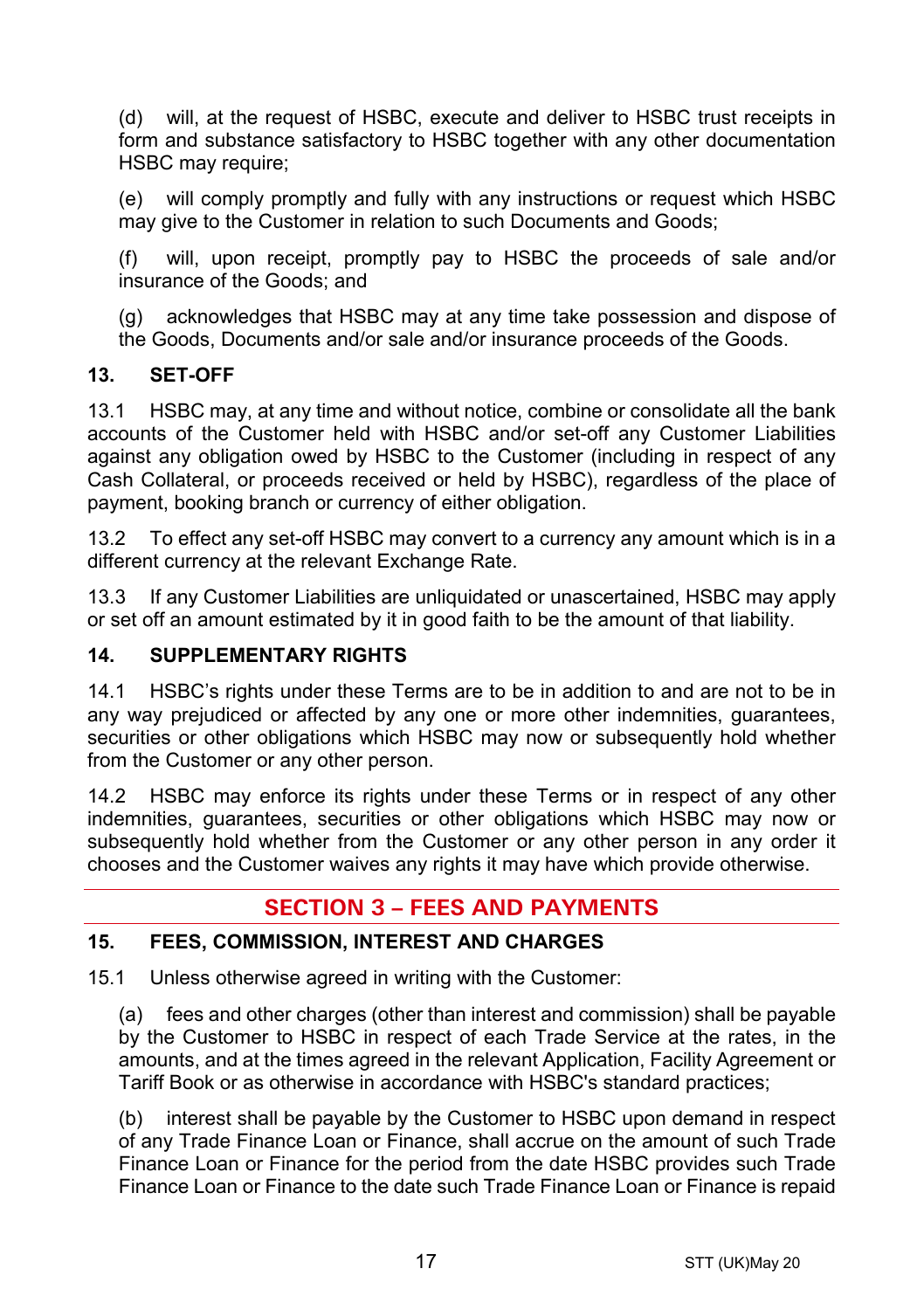(d) will, at the request of HSBC, execute and deliver to HSBC trust receipts in form and substance satisfactory to HSBC together with any other documentation HSBC may require;

(e) will comply promptly and fully with any instructions or request which HSBC may give to the Customer in relation to such Documents and Goods;

(f) will, upon receipt, promptly pay to HSBC the proceeds of sale and/or insurance of the Goods; and

(g) acknowledges that HSBC may at any time take possession and dispose of the Goods, Documents and/or sale and/or insurance proceeds of the Goods.

## **13. SET-OFF**

13.1 HSBC may, at any time and without notice, combine or consolidate all the bank accounts of the Customer held with HSBC and/or set-off any Customer Liabilities against any obligation owed by HSBC to the Customer (including in respect of any Cash Collateral, or proceeds received or held by HSBC), regardless of the place of payment, booking branch or currency of either obligation.

13.2 To effect any set-off HSBC may convert to a currency any amount which is in a different currency at the relevant Exchange Rate.

13.3 If any Customer Liabilities are unliquidated or unascertained, HSBC may apply or set off an amount estimated by it in good faith to be the amount of that liability.

## **14. SUPPLEMENTARY RIGHTS**

14.1 HSBC's rights under these Terms are to be in addition to and are not to be in any way prejudiced or affected by any one or more other indemnities, guarantees, securities or other obligations which HSBC may now or subsequently hold whether from the Customer or any other person.

14.2 HSBC may enforce its rights under these Terms or in respect of any other indemnities, guarantees, securities or other obligations which HSBC may now or subsequently hold whether from the Customer or any other person in any order it chooses and the Customer waives any rights it may have which provide otherwise.

# **SECTION 3 – FEES AND PAYMENTS**

## <span id="page-16-0"></span>**15. FEES, COMMISSION, INTEREST AND CHARGES**

15.1 Unless otherwise agreed in writing with the Customer:

(a) fees and other charges (other than interest and commission) shall be payable by the Customer to HSBC in respect of each Trade Service at the rates, in the amounts, and at the times agreed in the relevant Application, Facility Agreement or Tariff Book or as otherwise in accordance with HSBC's standard practices;

(b) interest shall be payable by the Customer to HSBC upon demand in respect of any Trade Finance Loan or Finance, shall accrue on the amount of such Trade Finance Loan or Finance for the period from the date HSBC provides such Trade Finance Loan or Finance to the date such Trade Finance Loan or Finance is repaid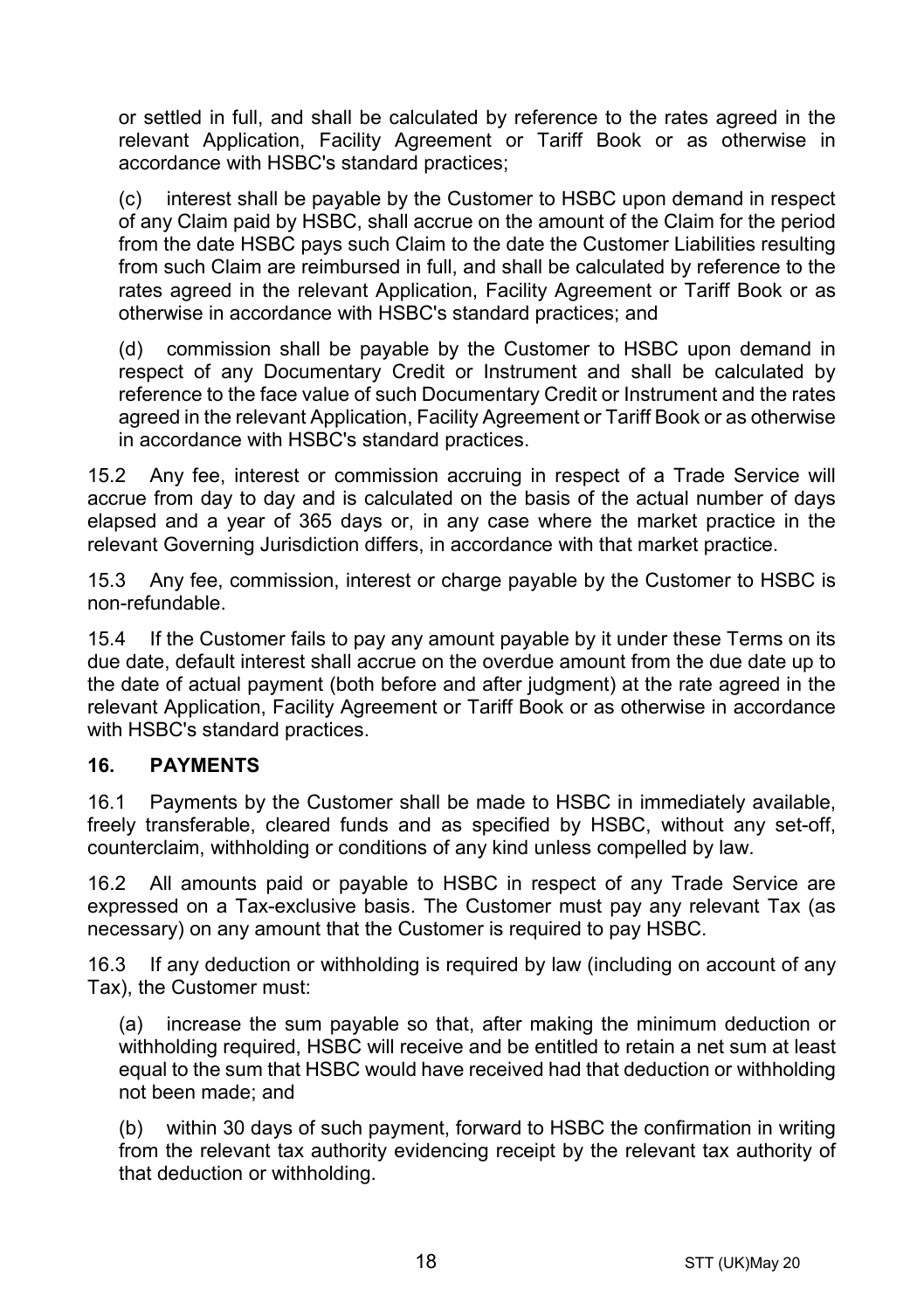or settled in full, and shall be calculated by reference to the rates agreed in the relevant Application, Facility Agreement or Tariff Book or as otherwise in accordance with HSBC's standard practices;

(c) interest shall be payable by the Customer to HSBC upon demand in respect of any Claim paid by HSBC, shall accrue on the amount of the Claim for the period from the date HSBC pays such Claim to the date the Customer Liabilities resulting from such Claim are reimbursed in full, and shall be calculated by reference to the rates agreed in the relevant Application, Facility Agreement or Tariff Book or as otherwise in accordance with HSBC's standard practices; and

(d) commission shall be payable by the Customer to HSBC upon demand in respect of any Documentary Credit or Instrument and shall be calculated by reference to the face value of such Documentary Credit or Instrument and the rates agreed in the relevant Application, Facility Agreement or Tariff Book or as otherwise in accordance with HSBC's standard practices.

15.2 Any fee, interest or commission accruing in respect of a Trade Service will accrue from day to day and is calculated on the basis of the actual number of days elapsed and a year of 365 days or, in any case where the market practice in the relevant Governing Jurisdiction differs, in accordance with that market practice.

15.3 Any fee, commission, interest or charge payable by the Customer to HSBC is non-refundable.

15.4 If the Customer fails to pay any amount payable by it under these Terms on its due date, default interest shall accrue on the overdue amount from the due date up to the date of actual payment (both before and after judgment) at the rate agreed in the relevant Application, Facility Agreement or Tariff Book or as otherwise in accordance with HSBC's standard practices.

## **16. PAYMENTS**

16.1 Payments by the Customer shall be made to HSBC in immediately available, freely transferable, cleared funds and as specified by HSBC, without any set-off, counterclaim, withholding or conditions of any kind unless compelled by law.

16.2 All amounts paid or payable to HSBC in respect of any Trade Service are expressed on a Tax-exclusive basis. The Customer must pay any relevant Tax (as necessary) on any amount that the Customer is required to pay HSBC.

16.3 If any deduction or withholding is required by law (including on account of any Tax), the Customer must:

(a) increase the sum payable so that, after making the minimum deduction or withholding required, HSBC will receive and be entitled to retain a net sum at least equal to the sum that HSBC would have received had that deduction or withholding not been made; and

(b) within 30 days of such payment, forward to HSBC the confirmation in writing from the relevant tax authority evidencing receipt by the relevant tax authority of that deduction or withholding.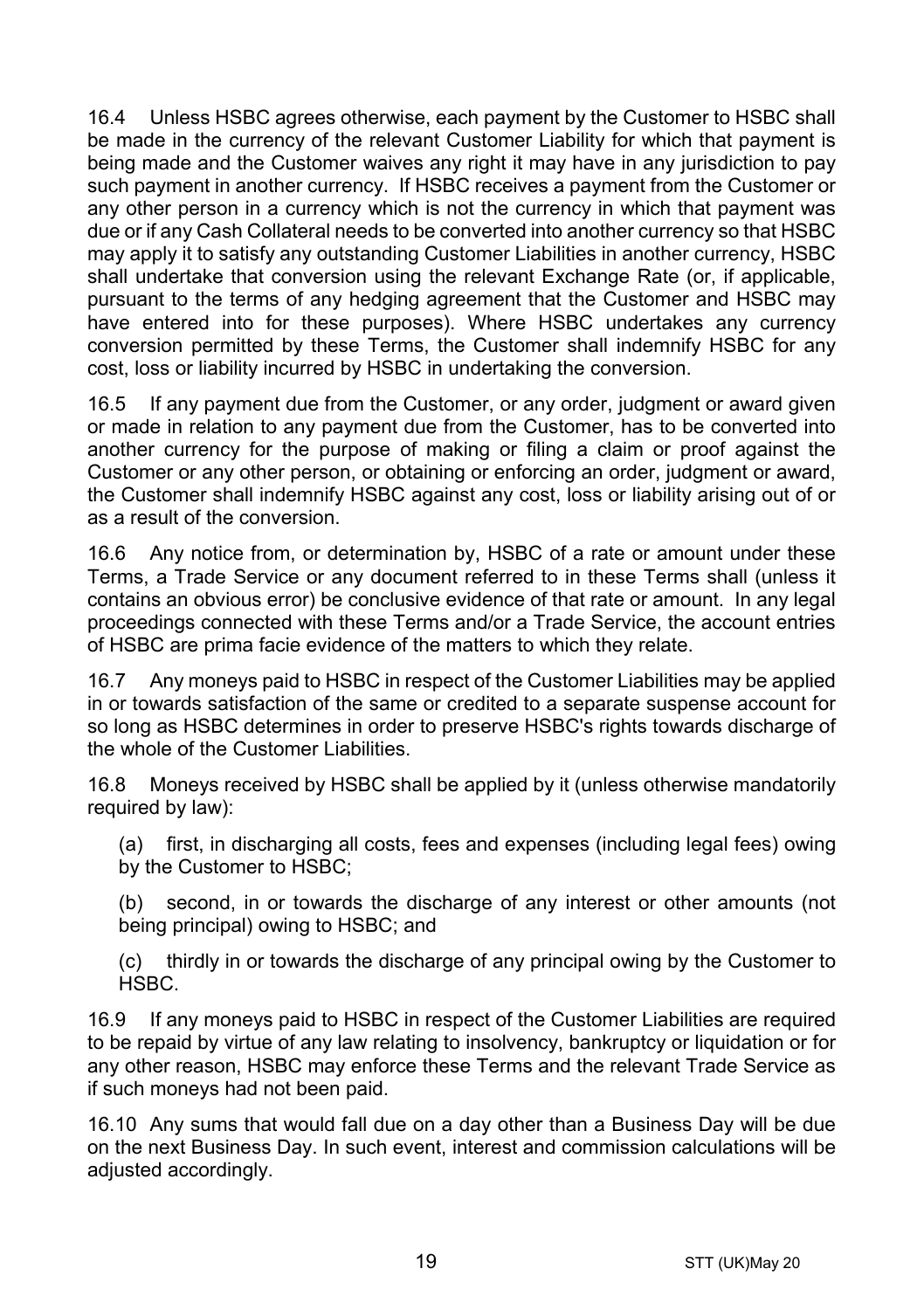16.4 Unless HSBC agrees otherwise, each payment by the Customer to HSBC shall be made in the currency of the relevant Customer Liability for which that payment is being made and the Customer waives any right it may have in any jurisdiction to pay such payment in another currency. If HSBC receives a payment from the Customer or any other person in a currency which is not the currency in which that payment was due or if any Cash Collateral needs to be converted into another currency so that HSBC may apply it to satisfy any outstanding Customer Liabilities in another currency, HSBC shall undertake that conversion using the relevant Exchange Rate (or, if applicable, pursuant to the terms of any hedging agreement that the Customer and HSBC may have entered into for these purposes). Where HSBC undertakes any currency conversion permitted by these Terms, the Customer shall indemnify HSBC for any cost, loss or liability incurred by HSBC in undertaking the conversion.

16.5 If any payment due from the Customer, or any order, judgment or award given or made in relation to any payment due from the Customer, has to be converted into another currency for the purpose of making or filing a claim or proof against the Customer or any other person, or obtaining or enforcing an order, judgment or award, the Customer shall indemnify HSBC against any cost, loss or liability arising out of or as a result of the conversion.

16.6 Any notice from, or determination by, HSBC of a rate or amount under these Terms, a Trade Service or any document referred to in these Terms shall (unless it contains an obvious error) be conclusive evidence of that rate or amount. In any legal proceedings connected with these Terms and/or a Trade Service, the account entries of HSBC are prima facie evidence of the matters to which they relate.

16.7 Any moneys paid to HSBC in respect of the Customer Liabilities may be applied in or towards satisfaction of the same or credited to a separate suspense account for so long as HSBC determines in order to preserve HSBC's rights towards discharge of the whole of the Customer Liabilities.

16.8 Moneys received by HSBC shall be applied by it (unless otherwise mandatorily required by law):

(a) first, in discharging all costs, fees and expenses (including legal fees) owing by the Customer to HSBC;

(b) second, in or towards the discharge of any interest or other amounts (not being principal) owing to HSBC; and

(c) thirdly in or towards the discharge of any principal owing by the Customer to HSBC.

16.9 If any moneys paid to HSBC in respect of the Customer Liabilities are required to be repaid by virtue of any law relating to insolvency, bankruptcy or liquidation or for any other reason, HSBC may enforce these Terms and the relevant Trade Service as if such moneys had not been paid.

16.10 Any sums that would fall due on a day other than a Business Day will be due on the next Business Day. In such event, interest and commission calculations will be adjusted accordingly.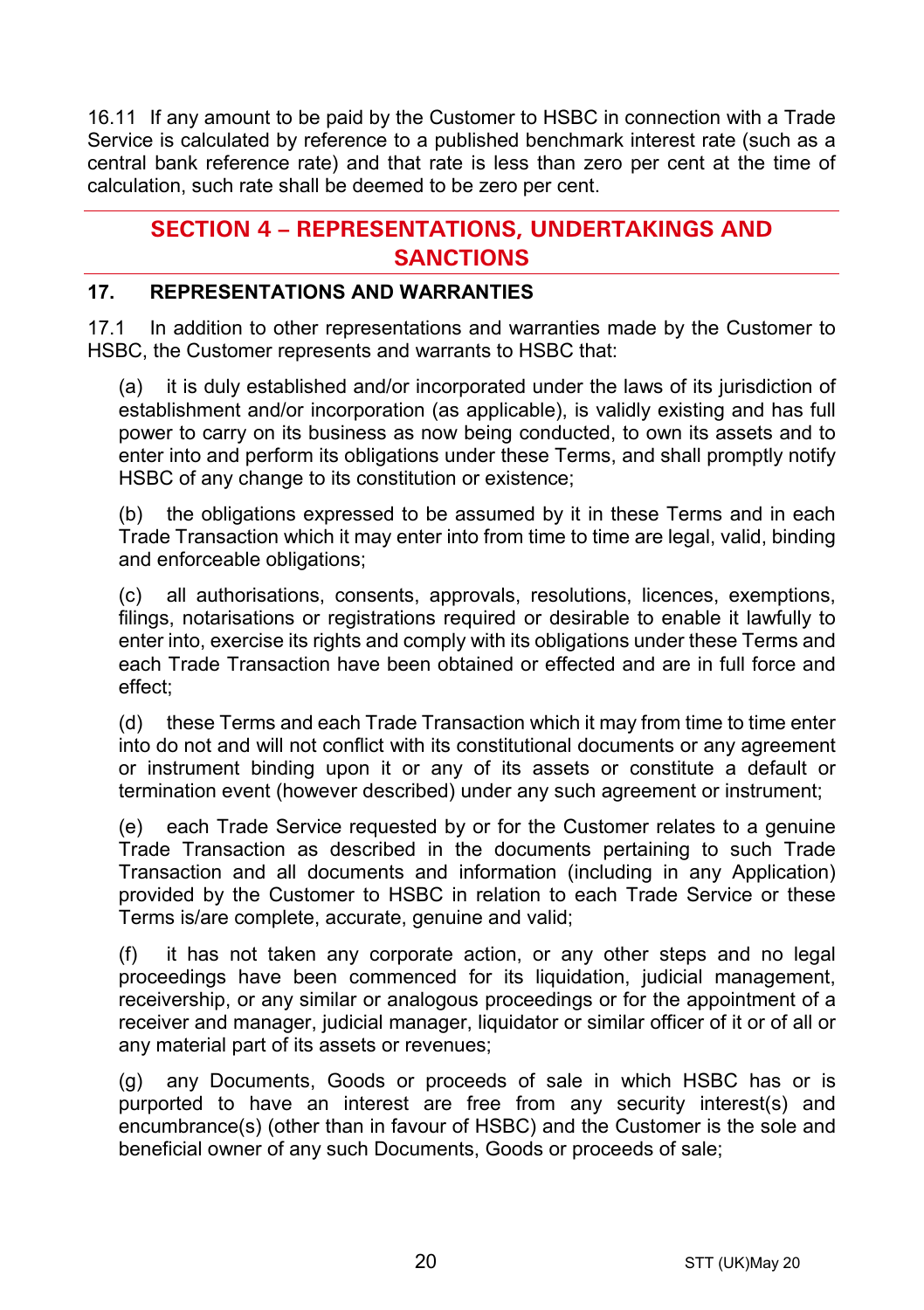16.11 If any amount to be paid by the Customer to HSBC in connection with a Trade Service is calculated by reference to a published benchmark interest rate (such as a central bank reference rate) and that rate is less than zero per cent at the time of calculation, such rate shall be deemed to be zero per cent.

# **SECTION 4 – REPRESENTATIONS, UNDERTAKINGS AND SANCTIONS**

## **17. REPRESENTATIONS AND WARRANTIES**

17.1 In addition to other representations and warranties made by the Customer to HSBC, the Customer represents and warrants to HSBC that:

(a) it is duly established and/or incorporated under the laws of its jurisdiction of establishment and/or incorporation (as applicable), is validly existing and has full power to carry on its business as now being conducted, to own its assets and to enter into and perform its obligations under these Terms, and shall promptly notify HSBC of any change to its constitution or existence;

(b) the obligations expressed to be assumed by it in these Terms and in each Trade Transaction which it may enter into from time to time are legal, valid, binding and enforceable obligations;

(c) all authorisations, consents, approvals, resolutions, licences, exemptions, filings, notarisations or registrations required or desirable to enable it lawfully to enter into, exercise its rights and comply with its obligations under these Terms and each Trade Transaction have been obtained or effected and are in full force and effect;

(d) these Terms and each Trade Transaction which it may from time to time enter into do not and will not conflict with its constitutional documents or any agreement or instrument binding upon it or any of its assets or constitute a default or termination event (however described) under any such agreement or instrument;

(e) each Trade Service requested by or for the Customer relates to a genuine Trade Transaction as described in the documents pertaining to such Trade Transaction and all documents and information (including in any Application) provided by the Customer to HSBC in relation to each Trade Service or these Terms is/are complete, accurate, genuine and valid;

(f) it has not taken any corporate action, or any other steps and no legal proceedings have been commenced for its liquidation, judicial management, receivership, or any similar or analogous proceedings or for the appointment of a receiver and manager, judicial manager, liquidator or similar officer of it or of all or any material part of its assets or revenues;

(g) any Documents, Goods or proceeds of sale in which HSBC has or is purported to have an interest are free from any security interest(s) and encumbrance(s) (other than in favour of HSBC) and the Customer is the sole and beneficial owner of any such Documents, Goods or proceeds of sale;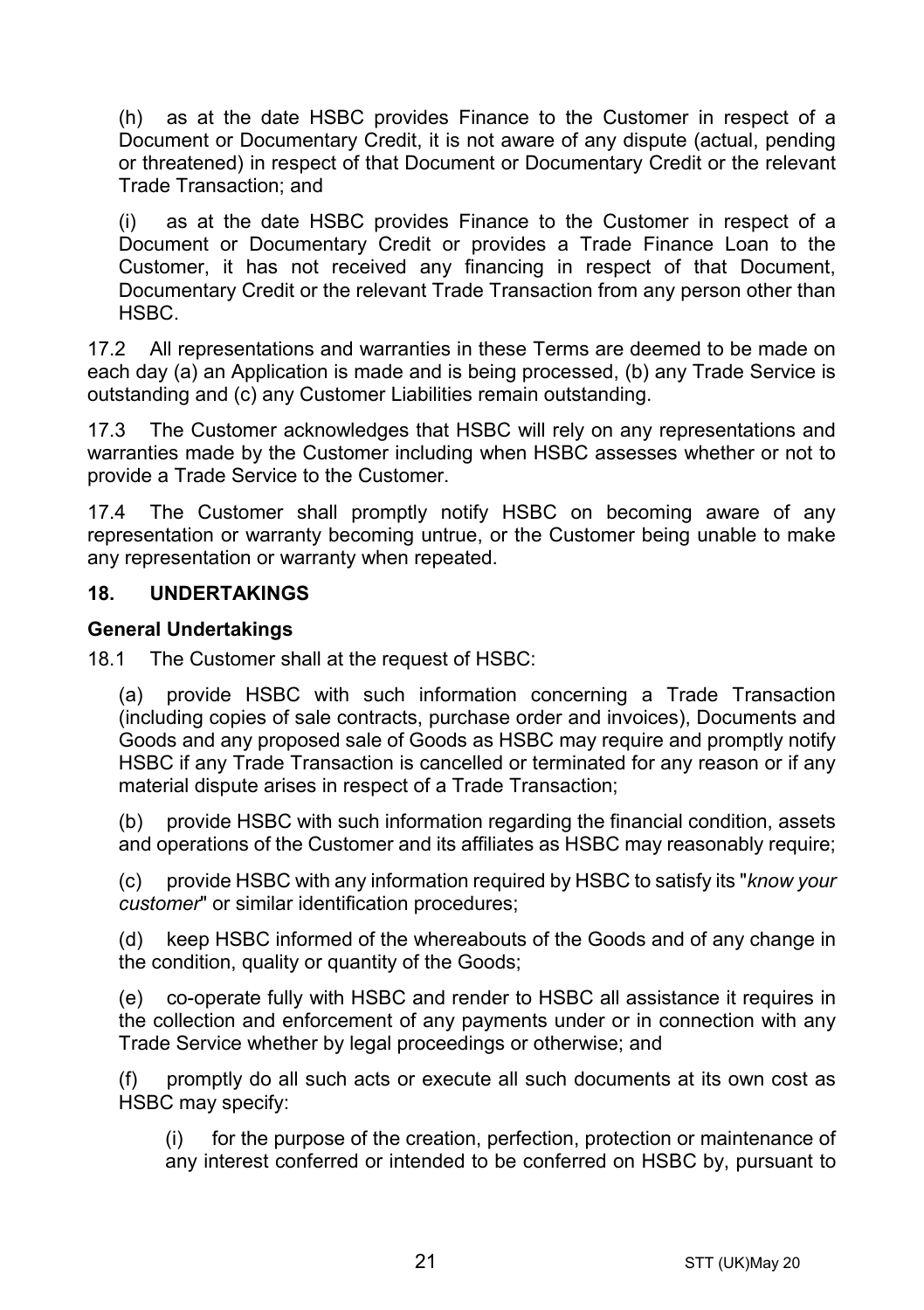(h) as at the date HSBC provides Finance to the Customer in respect of a Document or Documentary Credit, it is not aware of any dispute (actual, pending or threatened) in respect of that Document or Documentary Credit or the relevant Trade Transaction; and

(i) as at the date HSBC provides Finance to the Customer in respect of a Document or Documentary Credit or provides a Trade Finance Loan to the Customer, it has not received any financing in respect of that Document, Documentary Credit or the relevant Trade Transaction from any person other than HSBC.

17.2 All representations and warranties in these Terms are deemed to be made on each day (a) an Application is made and is being processed, (b) any Trade Service is outstanding and (c) any Customer Liabilities remain outstanding.

17.3 The Customer acknowledges that HSBC will rely on any representations and warranties made by the Customer including when HSBC assesses whether or not to provide a Trade Service to the Customer.

17.4 The Customer shall promptly notify HSBC on becoming aware of any representation or warranty becoming untrue, or the Customer being unable to make any representation or warranty when repeated.

#### **18. UNDERTAKINGS**

#### **General Undertakings**

18.1 The Customer shall at the request of HSBC:

(a) provide HSBC with such information concerning a Trade Transaction (including copies of sale contracts, purchase order and invoices), Documents and Goods and any proposed sale of Goods as HSBC may require and promptly notify HSBC if any Trade Transaction is cancelled or terminated for any reason or if any material dispute arises in respect of a Trade Transaction;

(b) provide HSBC with such information regarding the financial condition, assets and operations of the Customer and its affiliates as HSBC may reasonably require;

(c) provide HSBC with any information required by HSBC to satisfy its "*know your customer*" or similar identification procedures;

(d) keep HSBC informed of the whereabouts of the Goods and of any change in the condition, quality or quantity of the Goods;

(e) co-operate fully with HSBC and render to HSBC all assistance it requires in the collection and enforcement of any payments under or in connection with any Trade Service whether by legal proceedings or otherwise; and

(f) promptly do all such acts or execute all such documents at its own cost as HSBC may specify:

(i) for the purpose of the creation, perfection, protection or maintenance of any interest conferred or intended to be conferred on HSBC by, pursuant to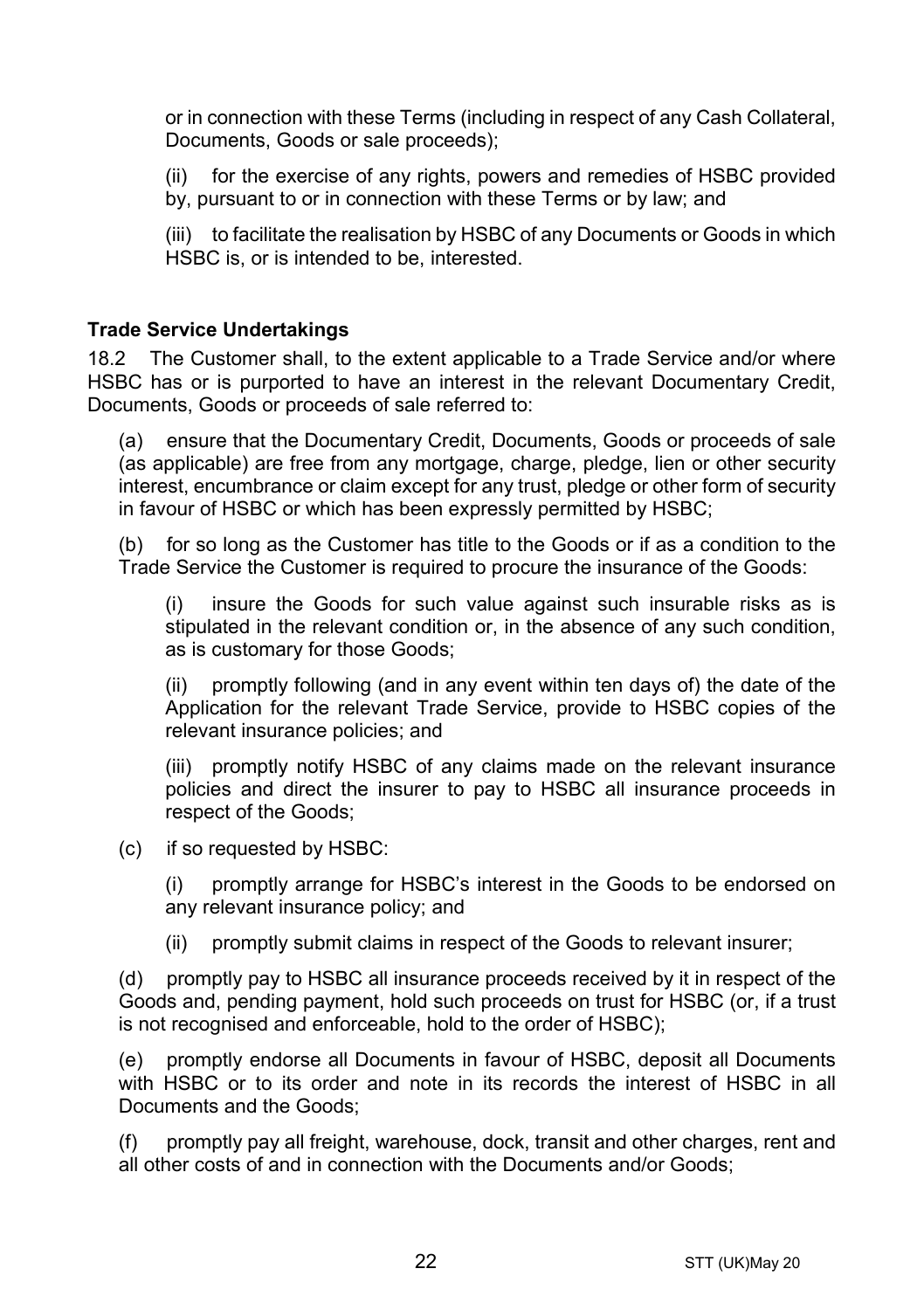or in connection with these Terms (including in respect of any Cash Collateral, Documents, Goods or sale proceeds);

(ii) for the exercise of any rights, powers and remedies of HSBC provided by, pursuant to or in connection with these Terms or by law; and

(iii) to facilitate the realisation by HSBC of any Documents or Goods in which HSBC is, or is intended to be, interested.

#### **Trade Service Undertakings**

18.2 The Customer shall, to the extent applicable to a Trade Service and/or where HSBC has or is purported to have an interest in the relevant Documentary Credit, Documents, Goods or proceeds of sale referred to:

(a) ensure that the Documentary Credit, Documents, Goods or proceeds of sale (as applicable) are free from any mortgage, charge, pledge, lien or other security interest, encumbrance or claim except for any trust, pledge or other form of security in favour of HSBC or which has been expressly permitted by HSBC;

(b) for so long as the Customer has title to the Goods or if as a condition to the Trade Service the Customer is required to procure the insurance of the Goods:

(i) insure the Goods for such value against such insurable risks as is stipulated in the relevant condition or, in the absence of any such condition, as is customary for those Goods;

(ii) promptly following (and in any event within ten days of) the date of the Application for the relevant Trade Service, provide to HSBC copies of the relevant insurance policies; and

(iii) promptly notify HSBC of any claims made on the relevant insurance policies and direct the insurer to pay to HSBC all insurance proceeds in respect of the Goods;

(c) if so requested by HSBC:

(i) promptly arrange for HSBC's interest in the Goods to be endorsed on any relevant insurance policy; and

(ii) promptly submit claims in respect of the Goods to relevant insurer;

(d) promptly pay to HSBC all insurance proceeds received by it in respect of the Goods and, pending payment, hold such proceeds on trust for HSBC (or, if a trust is not recognised and enforceable, hold to the order of HSBC);

(e) promptly endorse all Documents in favour of HSBC, deposit all Documents with HSBC or to its order and note in its records the interest of HSBC in all Documents and the Goods;

(f) promptly pay all freight, warehouse, dock, transit and other charges, rent and all other costs of and in connection with the Documents and/or Goods;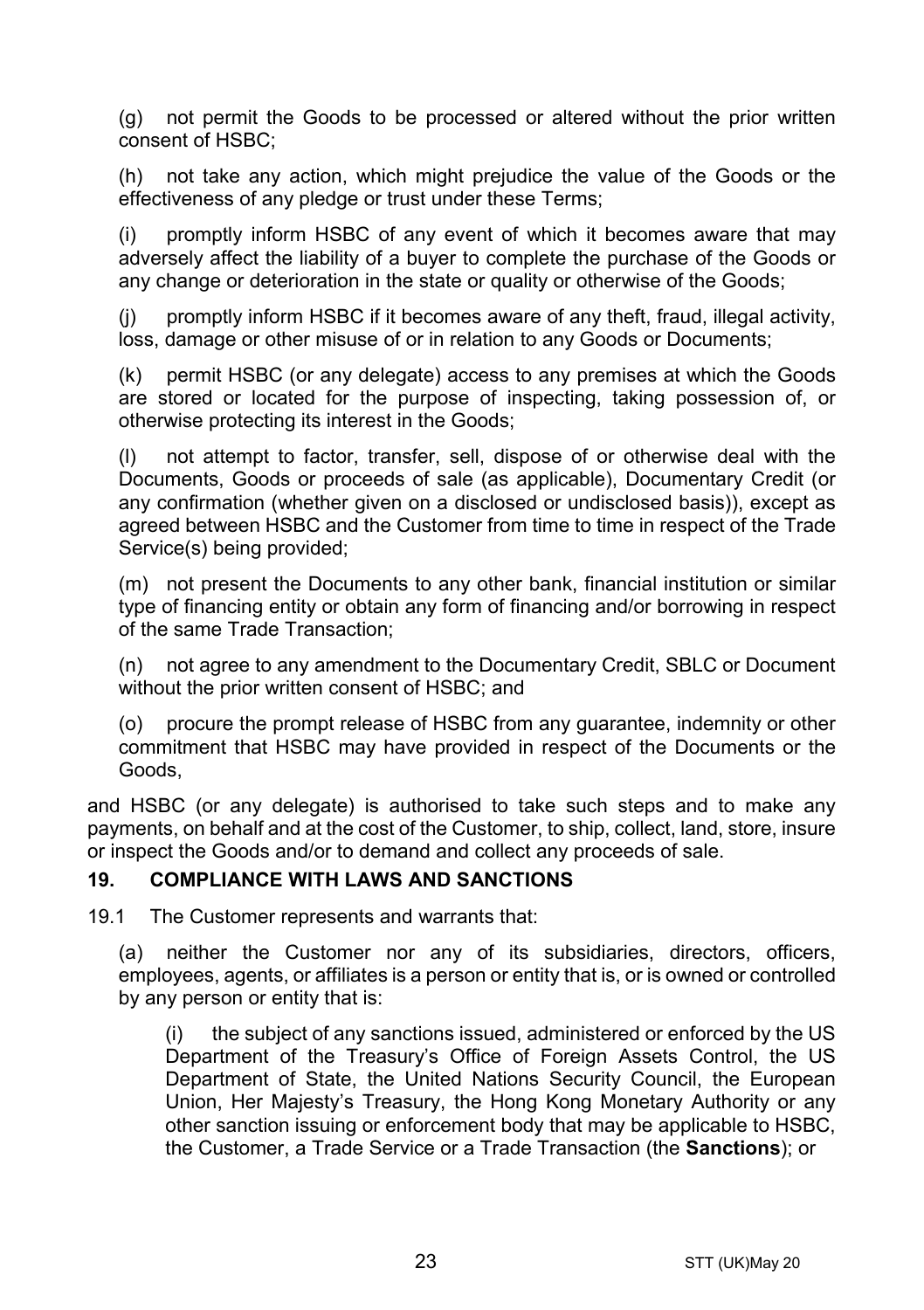(g) not permit the Goods to be processed or altered without the prior written consent of HSBC;

(h) not take any action, which might prejudice the value of the Goods or the effectiveness of any pledge or trust under these Terms;

(i) promptly inform HSBC of any event of which it becomes aware that may adversely affect the liability of a buyer to complete the purchase of the Goods or any change or deterioration in the state or quality or otherwise of the Goods;

(j) promptly inform HSBC if it becomes aware of any theft, fraud, illegal activity, loss, damage or other misuse of or in relation to any Goods or Documents;

(k) permit HSBC (or any delegate) access to any premises at which the Goods are stored or located for the purpose of inspecting, taking possession of, or otherwise protecting its interest in the Goods;

(l) not attempt to factor, transfer, sell, dispose of or otherwise deal with the Documents, Goods or proceeds of sale (as applicable), Documentary Credit (or any confirmation (whether given on a disclosed or undisclosed basis)), except as agreed between HSBC and the Customer from time to time in respect of the Trade Service(s) being provided;

(m) not present the Documents to any other bank, financial institution or similar type of financing entity or obtain any form of financing and/or borrowing in respect of the same Trade Transaction;

(n) not agree to any amendment to the Documentary Credit, SBLC or Document without the prior written consent of HSBC; and

(o) procure the prompt release of HSBC from any guarantee, indemnity or other commitment that HSBC may have provided in respect of the Documents or the Goods,

and HSBC (or any delegate) is authorised to take such steps and to make any payments, on behalf and at the cost of the Customer, to ship, collect, land, store, insure or inspect the Goods and/or to demand and collect any proceeds of sale.

#### <span id="page-22-0"></span>**19. COMPLIANCE WITH LAWS AND SANCTIONS**

19.1 The Customer represents and warrants that:

(a) neither the Customer nor any of its subsidiaries, directors, officers, employees, agents, or affiliates is a person or entity that is, or is owned or controlled by any person or entity that is:

(i) the subject of any sanctions issued, administered or enforced by the US Department of the Treasury's Office of Foreign Assets Control, the US Department of State, the United Nations Security Council, the European Union, Her Majesty's Treasury, the Hong Kong Monetary Authority or any other sanction issuing or enforcement body that may be applicable to HSBC, the Customer, a Trade Service or a Trade Transaction (the **Sanctions**); or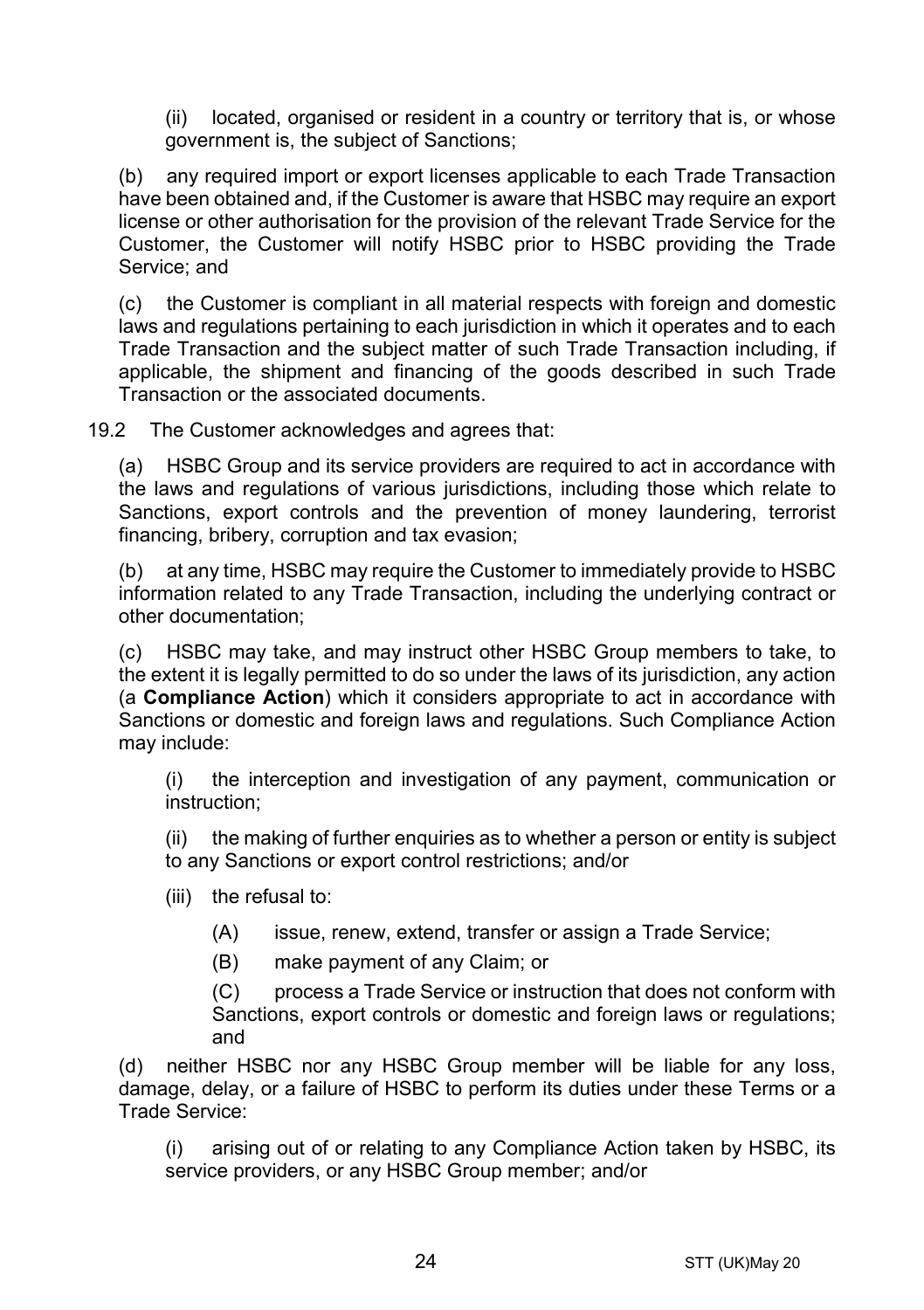(ii) located, organised or resident in a country or territory that is, or whose government is, the subject of Sanctions;

(b) any required import or export licenses applicable to each Trade Transaction have been obtained and, if the Customer is aware that HSBC may require an export license or other authorisation for the provision of the relevant Trade Service for the Customer, the Customer will notify HSBC prior to HSBC providing the Trade Service; and

(c) the Customer is compliant in all material respects with foreign and domestic laws and regulations pertaining to each jurisdiction in which it operates and to each Trade Transaction and the subject matter of such Trade Transaction including, if applicable, the shipment and financing of the goods described in such Trade Transaction or the associated documents.

19.2 The Customer acknowledges and agrees that:

(a) HSBC Group and its service providers are required to act in accordance with the laws and regulations of various jurisdictions, including those which relate to Sanctions, export controls and the prevention of money laundering, terrorist financing, bribery, corruption and tax evasion;

(b) at any time, HSBC may require the Customer to immediately provide to HSBC information related to any Trade Transaction, including the underlying contract or other documentation;

(c) HSBC may take, and may instruct other HSBC Group members to take, to the extent it is legally permitted to do so under the laws of its jurisdiction, any action (a **Compliance Action**) which it considers appropriate to act in accordance with Sanctions or domestic and foreign laws and regulations. Such Compliance Action may include:

(i) the interception and investigation of any payment, communication or instruction;

(ii) the making of further enquiries as to whether a person or entity is subject to any Sanctions or export control restrictions; and/or

- (iii) the refusal to:
	- (A) issue, renew, extend, transfer or assign a Trade Service;
	- (B) make payment of any Claim; or

(C) process a Trade Service or instruction that does not conform with Sanctions, export controls or domestic and foreign laws or regulations; and

(d) neither HSBC nor any HSBC Group member will be liable for any loss, damage, delay, or a failure of HSBC to perform its duties under these Terms or a Trade Service:

(i) arising out of or relating to any Compliance Action taken by HSBC, its service providers, or any HSBC Group member; and/or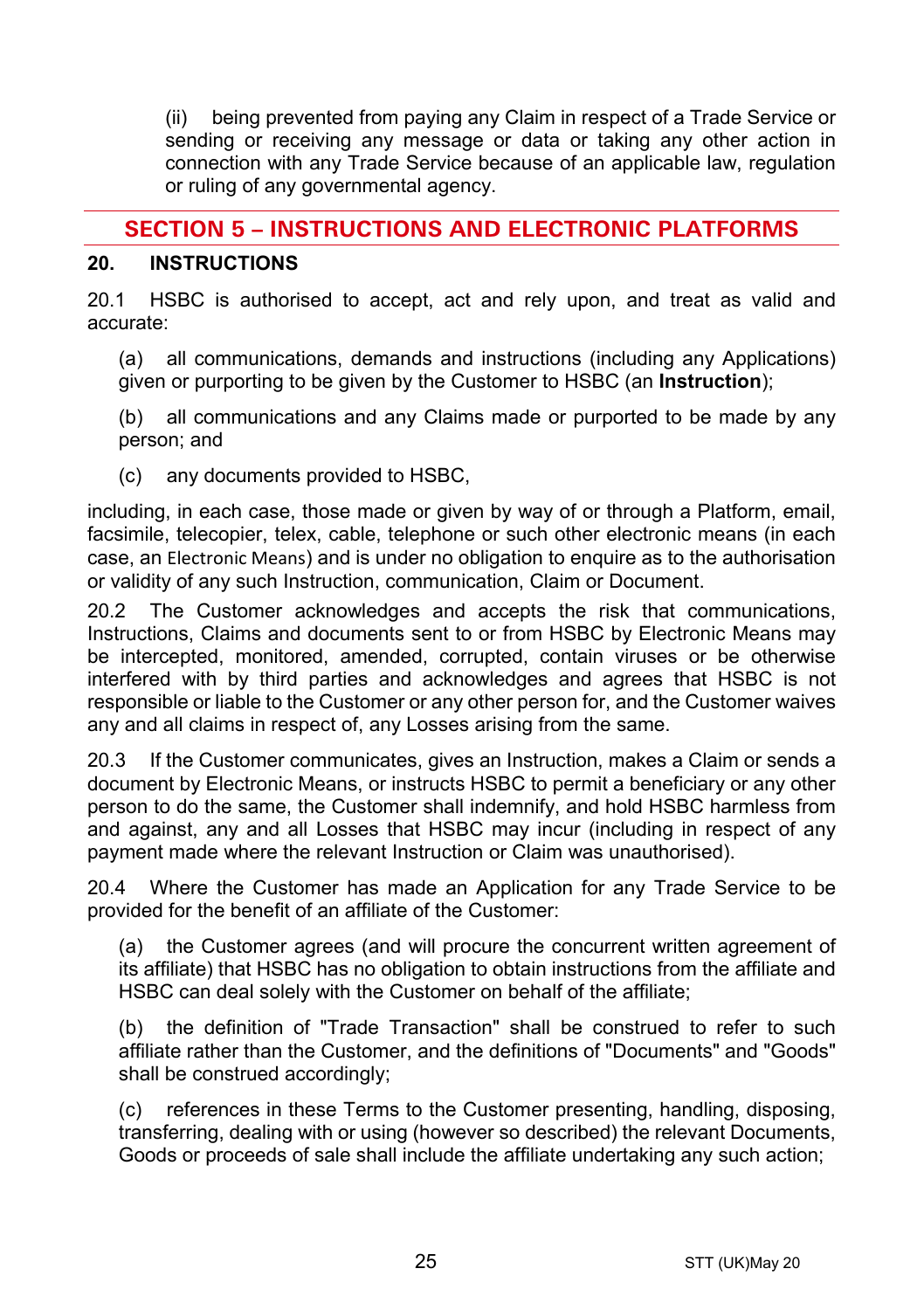(ii) being prevented from paying any Claim in respect of a Trade Service or sending or receiving any message or data or taking any other action in connection with any Trade Service because of an applicable law, regulation or ruling of any governmental agency.

# **SECTION 5 – INSTRUCTIONS AND ELECTRONIC PLATFORMS**

#### <span id="page-24-0"></span>**20. INSTRUCTIONS**

20.1 HSBC is authorised to accept, act and rely upon, and treat as valid and accurate:

(a) all communications, demands and instructions (including any Applications) given or purporting to be given by the Customer to HSBC (an **Instruction**);

(b) all communications and any Claims made or purported to be made by any person; and

(c) any documents provided to HSBC,

including, in each case, those made or given by way of or through a Platform, email, facsimile, telecopier, telex, cable, telephone or such other electronic means (in each case, an Electronic Means) and is under no obligation to enquire as to the authorisation or validity of any such Instruction, communication, Claim or Document.

20.2 The Customer acknowledges and accepts the risk that communications, Instructions, Claims and documents sent to or from HSBC by Electronic Means may be intercepted, monitored, amended, corrupted, contain viruses or be otherwise interfered with by third parties and acknowledges and agrees that HSBC is not responsible or liable to the Customer or any other person for, and the Customer waives any and all claims in respect of, any Losses arising from the same.

20.3 If the Customer communicates, gives an Instruction, makes a Claim or sends a document by Electronic Means, or instructs HSBC to permit a beneficiary or any other person to do the same, the Customer shall indemnify, and hold HSBC harmless from and against, any and all Losses that HSBC may incur (including in respect of any payment made where the relevant Instruction or Claim was unauthorised).

20.4 Where the Customer has made an Application for any Trade Service to be provided for the benefit of an affiliate of the Customer:

(a) the Customer agrees (and will procure the concurrent written agreement of its affiliate) that HSBC has no obligation to obtain instructions from the affiliate and HSBC can deal solely with the Customer on behalf of the affiliate;

(b) the definition of "Trade Transaction" shall be construed to refer to such affiliate rather than the Customer, and the definitions of "Documents" and "Goods" shall be construed accordingly;

(c) references in these Terms to the Customer presenting, handling, disposing, transferring, dealing with or using (however so described) the relevant Documents, Goods or proceeds of sale shall include the affiliate undertaking any such action;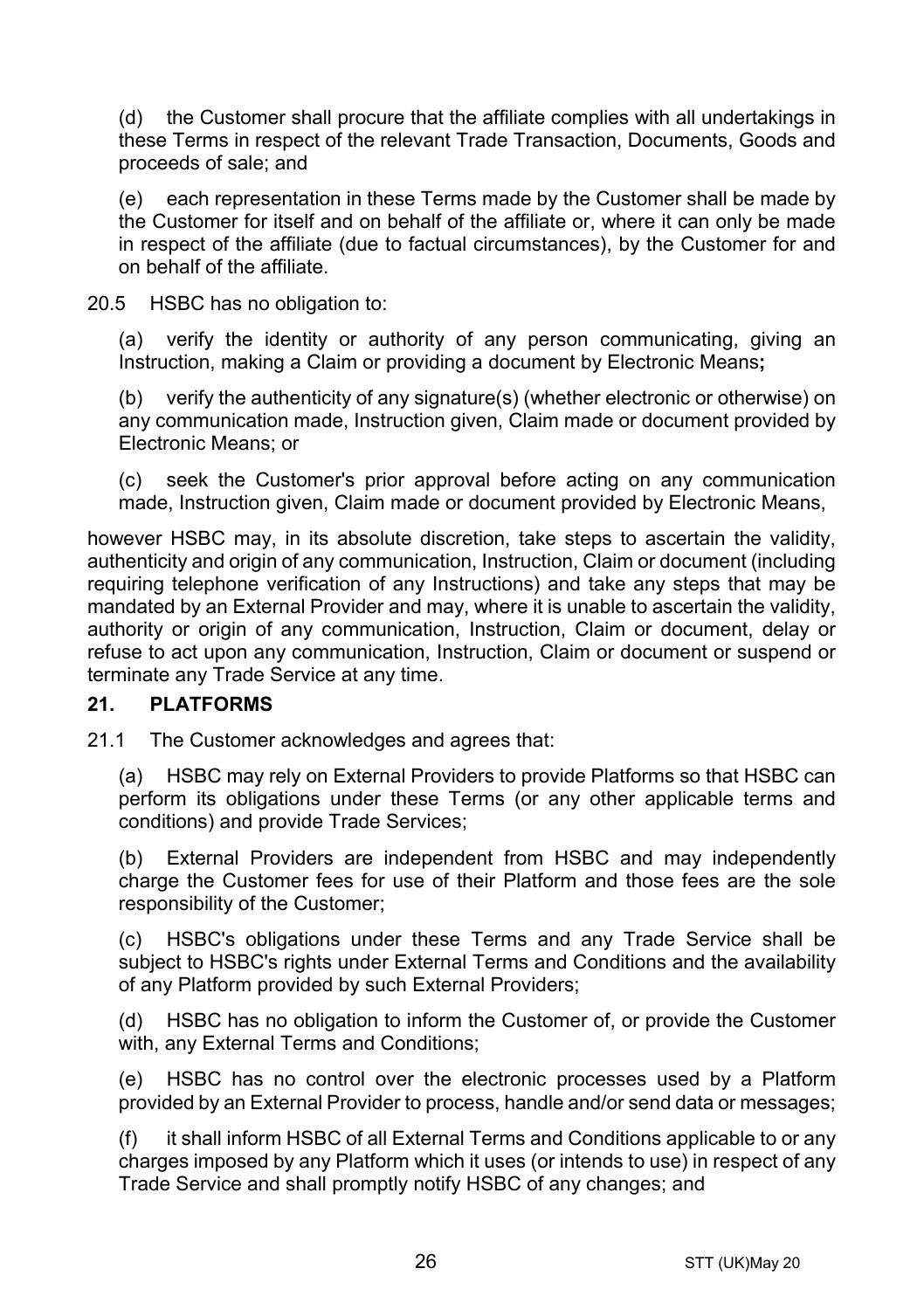(d) the Customer shall procure that the affiliate complies with all undertakings in these Terms in respect of the relevant Trade Transaction, Documents, Goods and proceeds of sale; and

(e) each representation in these Terms made by the Customer shall be made by the Customer for itself and on behalf of the affiliate or, where it can only be made in respect of the affiliate (due to factual circumstances), by the Customer for and on behalf of the affiliate.

20.5 HSBC has no obligation to:

(a) verify the identity or authority of any person communicating, giving an Instruction, making a Claim or providing a document by Electronic Means**;**

(b) verify the authenticity of any signature(s) (whether electronic or otherwise) on any communication made, Instruction given, Claim made or document provided by Electronic Means; or

(c) seek the Customer's prior approval before acting on any communication made, Instruction given, Claim made or document provided by Electronic Means,

however HSBC may, in its absolute discretion, take steps to ascertain the validity, authenticity and origin of any communication, Instruction, Claim or document (including requiring telephone verification of any Instructions) and take any steps that may be mandated by an External Provider and may, where it is unable to ascertain the validity, authority or origin of any communication, Instruction, Claim or document, delay or refuse to act upon any communication, Instruction, Claim or document or suspend or terminate any Trade Service at any time.

## **21. PLATFORMS**

21.1 The Customer acknowledges and agrees that:

(a) HSBC may rely on External Providers to provide Platforms so that HSBC can perform its obligations under these Terms (or any other applicable terms and conditions) and provide Trade Services;

(b) External Providers are independent from HSBC and may independently charge the Customer fees for use of their Platform and those fees are the sole responsibility of the Customer;

(c) HSBC's obligations under these Terms and any Trade Service shall be subject to HSBC's rights under External Terms and Conditions and the availability of any Platform provided by such External Providers;

(d) HSBC has no obligation to inform the Customer of, or provide the Customer with, any External Terms and Conditions;

(e) HSBC has no control over the electronic processes used by a Platform provided by an External Provider to process, handle and/or send data or messages;

(f) it shall inform HSBC of all External Terms and Conditions applicable to or any charges imposed by any Platform which it uses (or intends to use) in respect of any Trade Service and shall promptly notify HSBC of any changes; and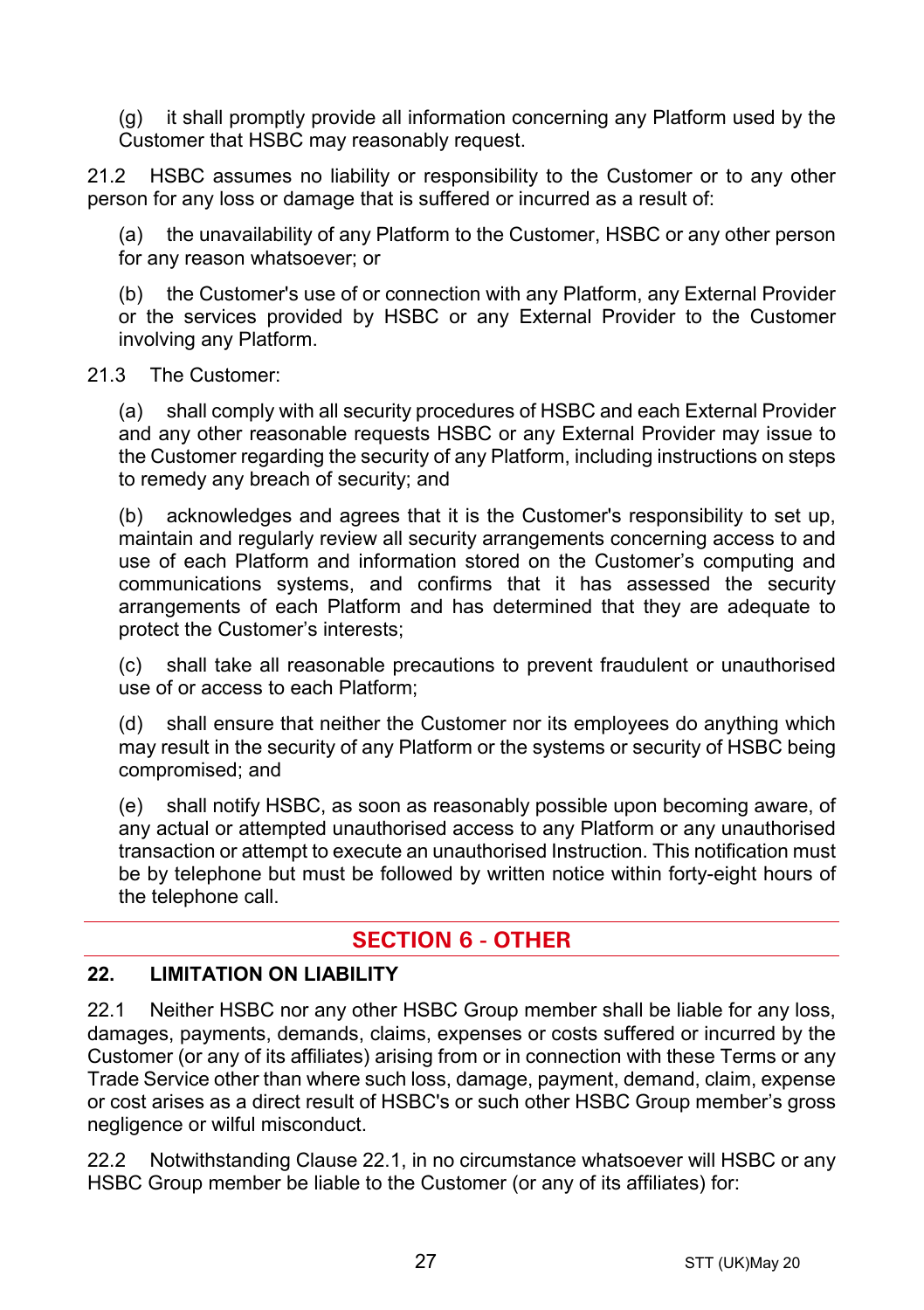(g) it shall promptly provide all information concerning any Platform used by the Customer that HSBC may reasonably request.

21.2 HSBC assumes no liability or responsibility to the Customer or to any other person for any loss or damage that is suffered or incurred as a result of:

(a) the unavailability of any Platform to the Customer, HSBC or any other person for any reason whatsoever; or

(b) the Customer's use of or connection with any Platform, any External Provider or the services provided by HSBC or any External Provider to the Customer involving any Platform.

#### 21.3 The Customer:

(a) shall comply with all security procedures of HSBC and each External Provider and any other reasonable requests HSBC or any External Provider may issue to the Customer regarding the security of any Platform, including instructions on steps to remedy any breach of security; and

(b) acknowledges and agrees that it is the Customer's responsibility to set up, maintain and regularly review all security arrangements concerning access to and use of each Platform and information stored on the Customer's computing and communications systems, and confirms that it has assessed the security arrangements of each Platform and has determined that they are adequate to protect the Customer's interests;

(c) shall take all reasonable precautions to prevent fraudulent or unauthorised use of or access to each Platform;

(d) shall ensure that neither the Customer nor its employees do anything which may result in the security of any Platform or the systems or security of HSBC being compromised; and

(e) shall notify HSBC, as soon as reasonably possible upon becoming aware, of any actual or attempted unauthorised access to any Platform or any unauthorised transaction or attempt to execute an unauthorised Instruction. This notification must be by telephone but must be followed by written notice within forty-eight hours of the telephone call.

# **SECTION 6 - OTHER**

## **22. LIMITATION ON LIABILITY**

<span id="page-26-0"></span>22.1 Neither HSBC nor any other HSBC Group member shall be liable for any loss, damages, payments, demands, claims, expenses or costs suffered or incurred by the Customer (or any of its affiliates) arising from or in connection with these Terms or any Trade Service other than where such loss, damage, payment, demand, claim, expense or cost arises as a direct result of HSBC's or such other HSBC Group member's gross negligence or wilful misconduct.

<span id="page-26-1"></span>22.2 Notwithstanding Clause [22.1,](#page-26-0) in no circumstance whatsoever will HSBC or any HSBC Group member be liable to the Customer (or any of its affiliates) for: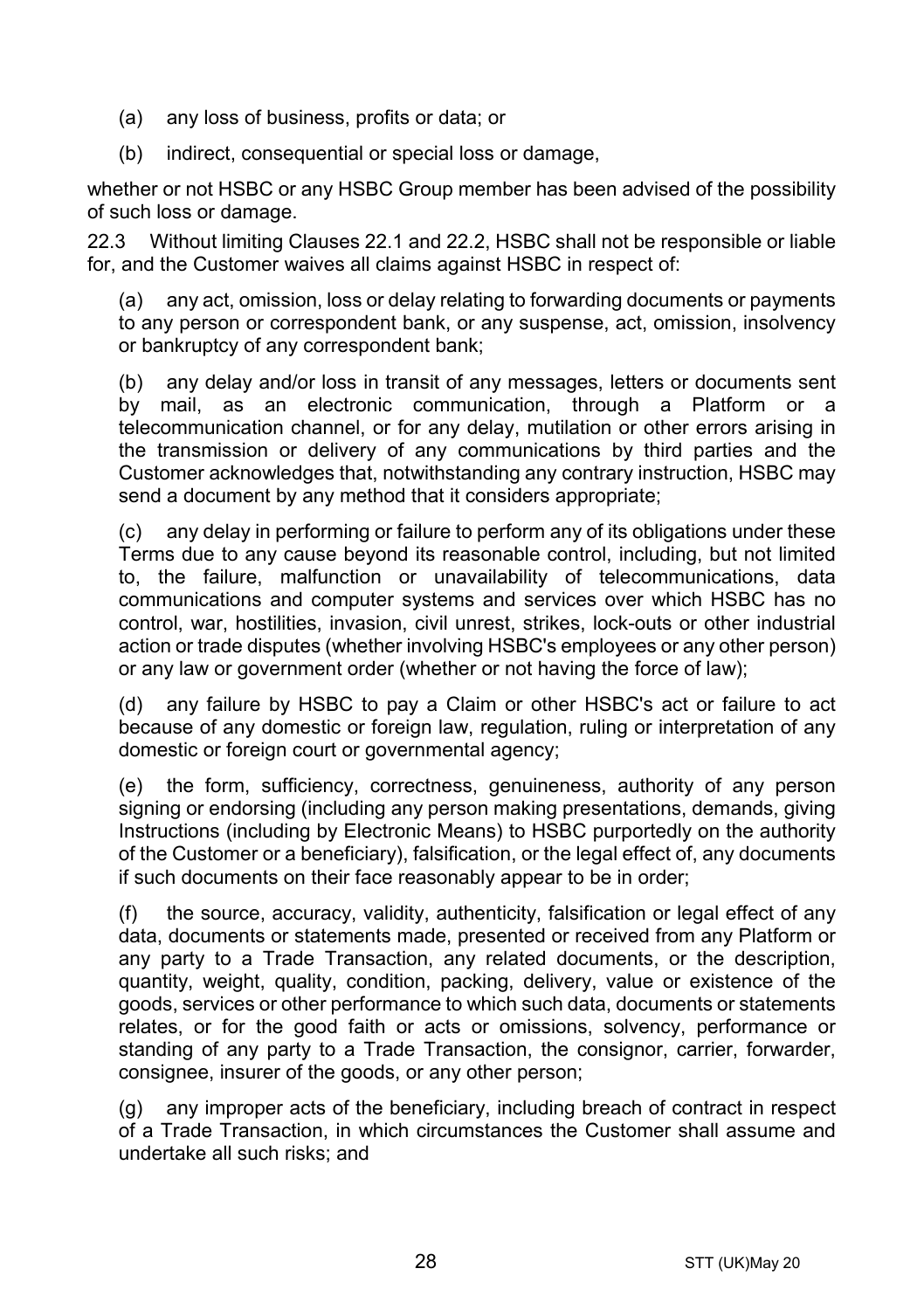- (a) any loss of business, profits or data; or
- (b) indirect, consequential or special loss or damage,

whether or not HSBC or any HSBC Group member has been advised of the possibility of such loss or damage.

22.3 Without limiting Clauses [22.1](#page-26-0) and [22.2,](#page-26-1) HSBC shall not be responsible or liable for, and the Customer waives all claims against HSBC in respect of:

(a) any act, omission, loss or delay relating to forwarding documents or payments to any person or correspondent bank, or any suspense, act, omission, insolvency or bankruptcy of any correspondent bank;

(b) any delay and/or loss in transit of any messages, letters or documents sent by mail, as an electronic communication, through a Platform or a telecommunication channel, or for any delay, mutilation or other errors arising in the transmission or delivery of any communications by third parties and the Customer acknowledges that, notwithstanding any contrary instruction, HSBC may send a document by any method that it considers appropriate;

(c) any delay in performing or failure to perform any of its obligations under these Terms due to any cause beyond its reasonable control, including, but not limited to, the failure, malfunction or unavailability of telecommunications, data communications and computer systems and services over which HSBC has no control, war, hostilities, invasion, civil unrest, strikes, lock-outs or other industrial action or trade disputes (whether involving HSBC's employees or any other person) or any law or government order (whether or not having the force of law);

(d) any failure by HSBC to pay a Claim or other HSBC's act or failure to act because of any domestic or foreign law, regulation, ruling or interpretation of any domestic or foreign court or governmental agency;

(e) the form, sufficiency, correctness, genuineness, authority of any person signing or endorsing (including any person making presentations, demands, giving Instructions (including by Electronic Means) to HSBC purportedly on the authority of the Customer or a beneficiary), falsification, or the legal effect of, any documents if such documents on their face reasonably appear to be in order;

(f) the source, accuracy, validity, authenticity, falsification or legal effect of any data, documents or statements made, presented or received from any Platform or any party to a Trade Transaction, any related documents, or the description, quantity, weight, quality, condition, packing, delivery, value or existence of the goods, services or other performance to which such data, documents or statements relates, or for the good faith or acts or omissions, solvency, performance or standing of any party to a Trade Transaction, the consignor, carrier, forwarder, consignee, insurer of the goods, or any other person;

(g) any improper acts of the beneficiary, including breach of contract in respect of a Trade Transaction, in which circumstances the Customer shall assume and undertake all such risks; and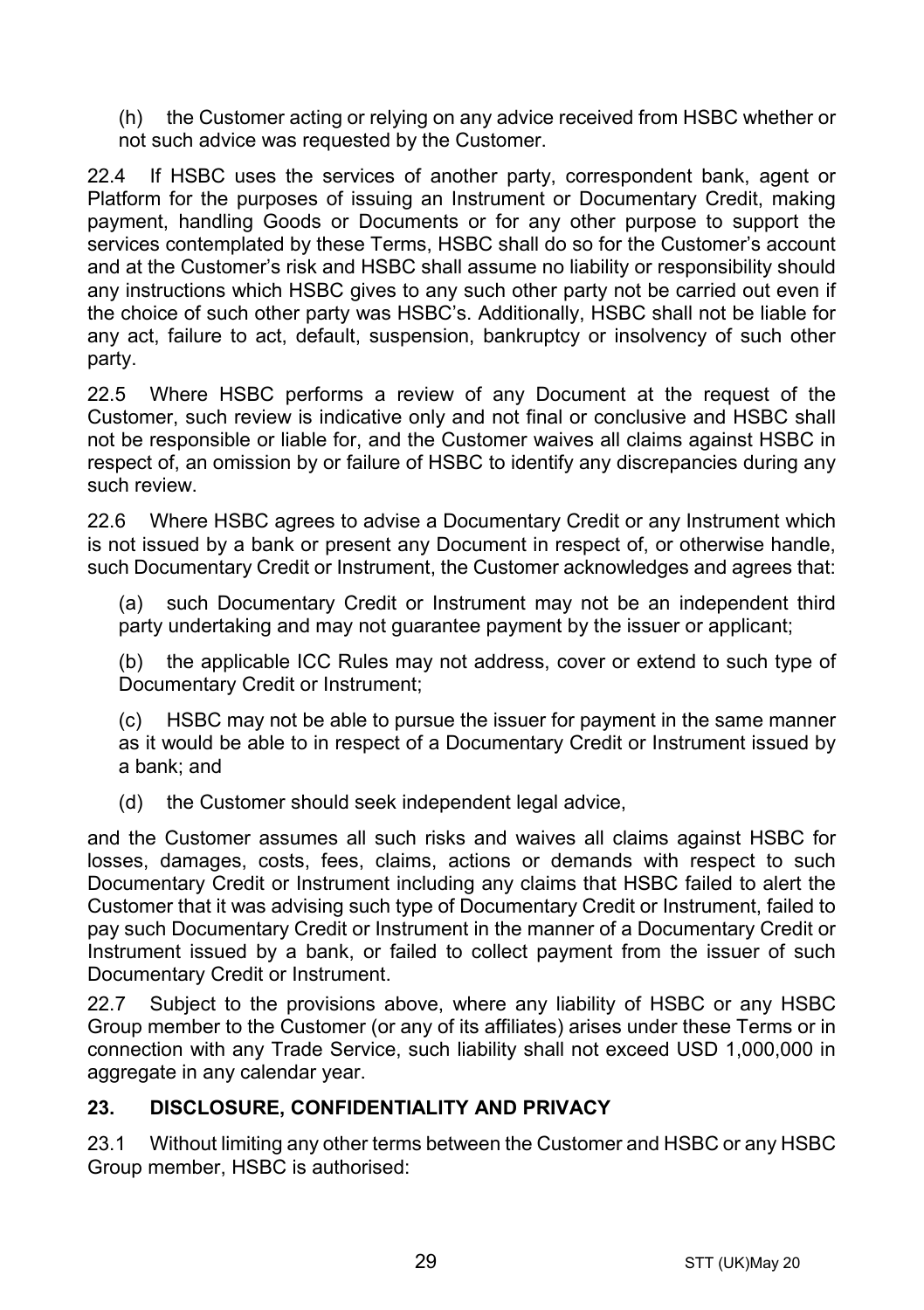(h) the Customer acting or relying on any advice received from HSBC whether or not such advice was requested by the Customer.

22.4 If HSBC uses the services of another party, correspondent bank, agent or Platform for the purposes of issuing an Instrument or Documentary Credit, making payment, handling Goods or Documents or for any other purpose to support the services contemplated by these Terms, HSBC shall do so for the Customer's account and at the Customer's risk and HSBC shall assume no liability or responsibility should any instructions which HSBC gives to any such other party not be carried out even if the choice of such other party was HSBC's. Additionally, HSBC shall not be liable for any act, failure to act, default, suspension, bankruptcy or insolvency of such other party.

22.5 Where HSBC performs a review of any Document at the request of the Customer, such review is indicative only and not final or conclusive and HSBC shall not be responsible or liable for, and the Customer waives all claims against HSBC in respect of, an omission by or failure of HSBC to identify any discrepancies during any such review.

22.6 Where HSBC agrees to advise a Documentary Credit or any Instrument which is not issued by a bank or present any Document in respect of, or otherwise handle, such Documentary Credit or Instrument, the Customer acknowledges and agrees that:

(a) such Documentary Credit or Instrument may not be an independent third party undertaking and may not quarantee payment by the issuer or applicant;

(b) the applicable ICC Rules may not address, cover or extend to such type of Documentary Credit or Instrument;

(c) HSBC may not be able to pursue the issuer for payment in the same manner as it would be able to in respect of a Documentary Credit or Instrument issued by a bank; and

(d) the Customer should seek independent legal advice,

and the Customer assumes all such risks and waives all claims against HSBC for losses, damages, costs, fees, claims, actions or demands with respect to such Documentary Credit or Instrument including any claims that HSBC failed to alert the Customer that it was advising such type of Documentary Credit or Instrument, failed to pay such Documentary Credit or Instrument in the manner of a Documentary Credit or Instrument issued by a bank, or failed to collect payment from the issuer of such Documentary Credit or Instrument.

22.7 Subject to the provisions above, where any liability of HSBC or any HSBC Group member to the Customer (or any of its affiliates) arises under these Terms or in connection with any Trade Service, such liability shall not exceed USD 1,000,000 in aggregate in any calendar year.

## <span id="page-28-0"></span>**23. DISCLOSURE, CONFIDENTIALITY AND PRIVACY**

23.1 Without limiting any other terms between the Customer and HSBC or any HSBC Group member, HSBC is authorised: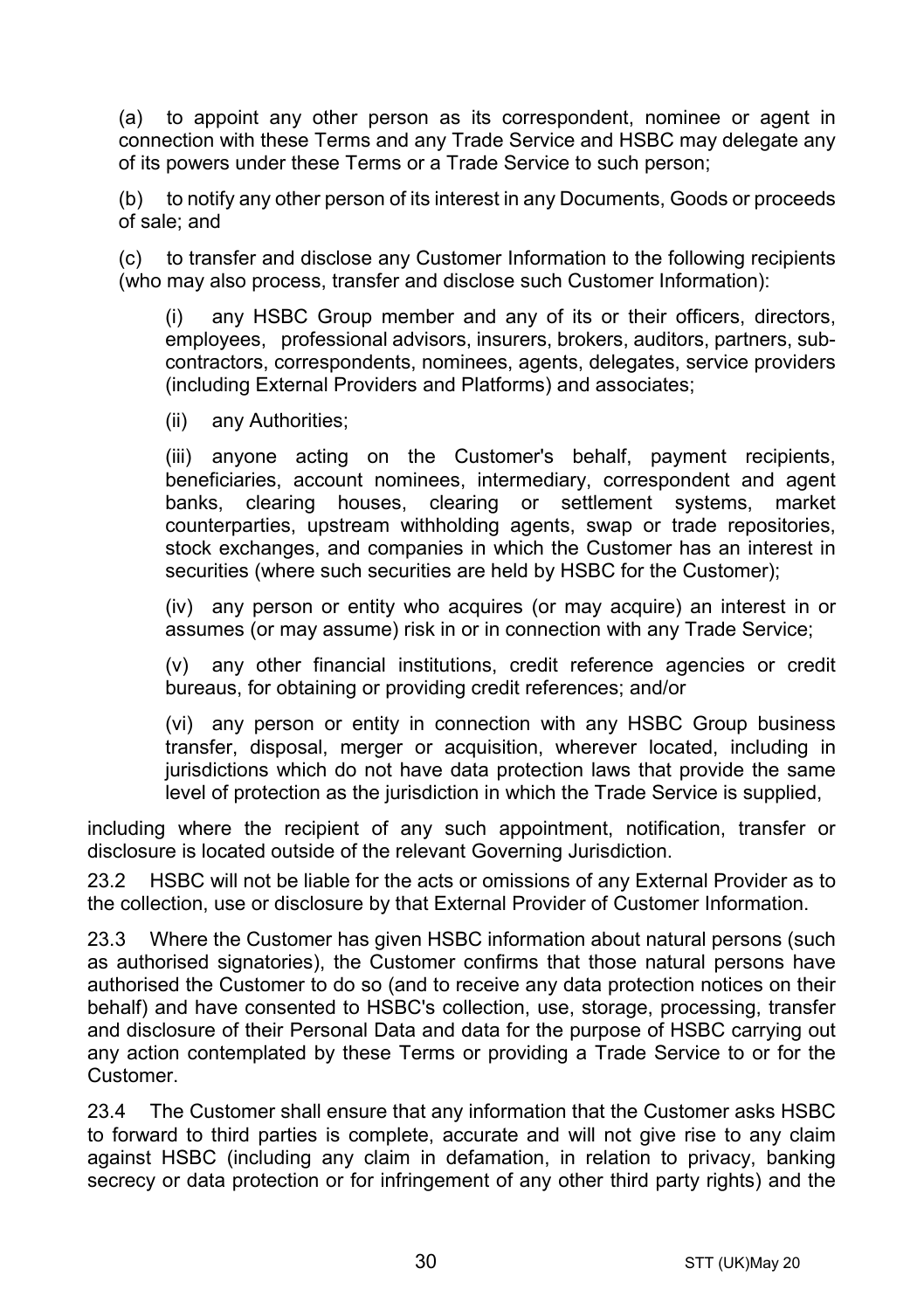<span id="page-29-0"></span>(a) to appoint any other person as its correspondent, nominee or agent in connection with these Terms and any Trade Service and HSBC may delegate any of its powers under these Terms or a Trade Service to such person;

(b) to notify any other person of its interest in any Documents, Goods or proceeds of sale; and

(c) to transfer and disclose any Customer Information to the following recipients (who may also process, transfer and disclose such Customer Information):

(i) any HSBC Group member and any of its or their officers, directors, employees, professional advisors, insurers, brokers, auditors, partners, subcontractors, correspondents, nominees, agents, delegates, service providers (including External Providers and Platforms) and associates;

(ii) any Authorities;

(iii) anyone acting on the Customer's behalf, payment recipients, beneficiaries, account nominees, intermediary, correspondent and agent banks, clearing houses, clearing or settlement systems, market counterparties, upstream withholding agents, swap or trade repositories, stock exchanges, and companies in which the Customer has an interest in securities (where such securities are held by HSBC for the Customer);

(iv) any person or entity who acquires (or may acquire) an interest in or assumes (or may assume) risk in or in connection with any Trade Service;

(v) any other financial institutions, credit reference agencies or credit bureaus, for obtaining or providing credit references; and/or

(vi) any person or entity in connection with any HSBC Group business transfer, disposal, merger or acquisition, wherever located, including in jurisdictions which do not have data protection laws that provide the same level of protection as the jurisdiction in which the Trade Service is supplied,

including where the recipient of any such appointment, notification, transfer or disclosure is located outside of the relevant Governing Jurisdiction.

23.2 HSBC will not be liable for the acts or omissions of any External Provider as to the collection, use or disclosure by that External Provider of Customer Information.

23.3 Where the Customer has given HSBC information about natural persons (such as authorised signatories), the Customer confirms that those natural persons have authorised the Customer to do so (and to receive any data protection notices on their behalf) and have consented to HSBC's collection, use, storage, processing, transfer and disclosure of their Personal Data and data for the purpose of HSBC carrying out any action contemplated by these Terms or providing a Trade Service to or for the Customer.

23.4 The Customer shall ensure that any information that the Customer asks HSBC to forward to third parties is complete, accurate and will not give rise to any claim against HSBC (including any claim in defamation, in relation to privacy, banking secrecy or data protection or for infringement of any other third party rights) and the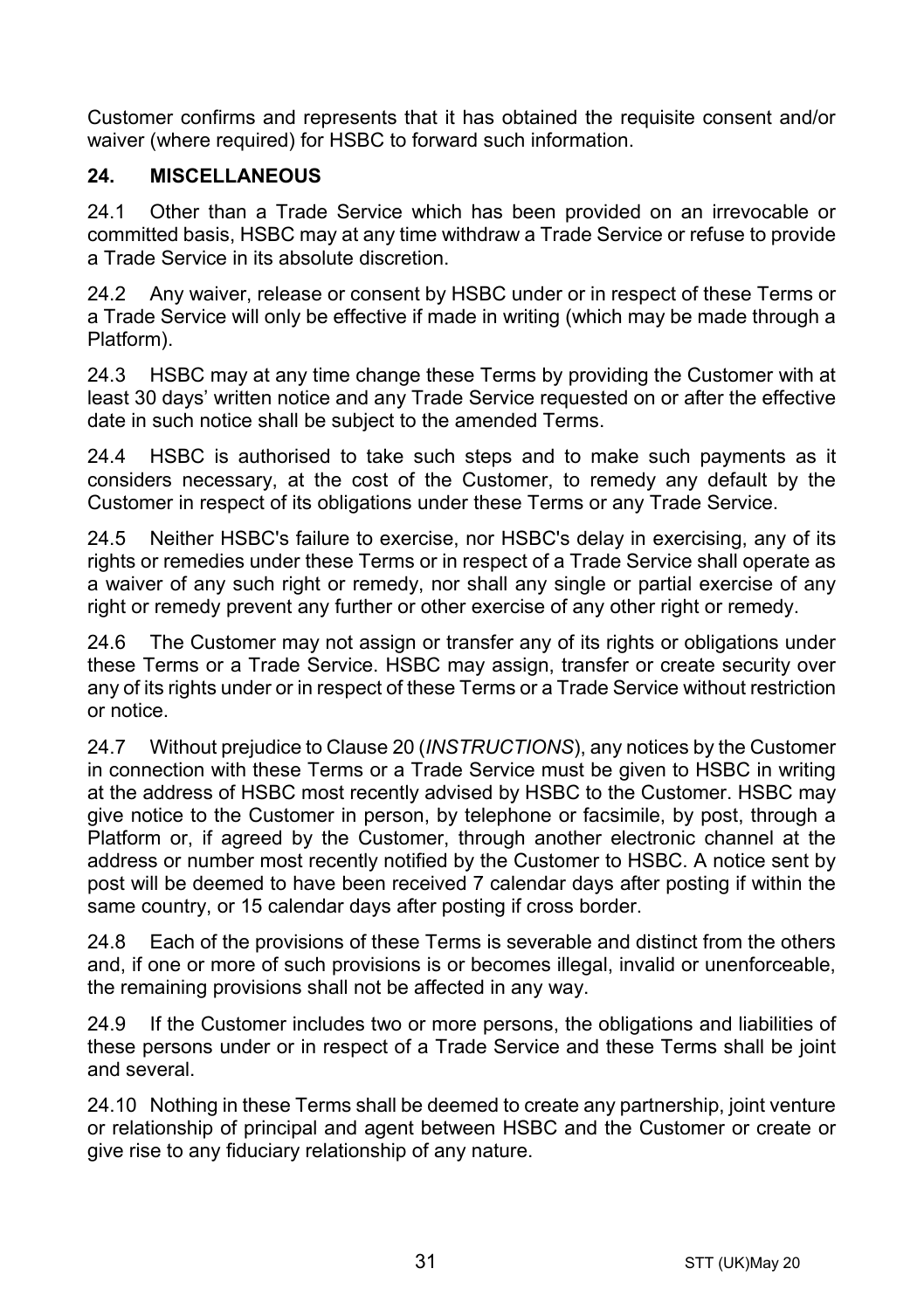Customer confirms and represents that it has obtained the requisite consent and/or waiver (where required) for HSBC to forward such information.

## **24. MISCELLANEOUS**

24.1 Other than a Trade Service which has been provided on an irrevocable or committed basis, HSBC may at any time withdraw a Trade Service or refuse to provide a Trade Service in its absolute discretion.

24.2 Any waiver, release or consent by HSBC under or in respect of these Terms or a Trade Service will only be effective if made in writing (which may be made through a Platform).

24.3 HSBC may at any time change these Terms by providing the Customer with at least 30 days' written notice and any Trade Service requested on or after the effective date in such notice shall be subject to the amended Terms.

24.4 HSBC is authorised to take such steps and to make such payments as it considers necessary, at the cost of the Customer, to remedy any default by the Customer in respect of its obligations under these Terms or any Trade Service.

24.5 Neither HSBC's failure to exercise, nor HSBC's delay in exercising, any of its rights or remedies under these Terms or in respect of a Trade Service shall operate as a waiver of any such right or remedy, nor shall any single or partial exercise of any right or remedy prevent any further or other exercise of any other right or remedy.

24.6 The Customer may not assign or transfer any of its rights or obligations under these Terms or a Trade Service. HSBC may assign, transfer or create security over any of its rights under or in respect of these Terms or a Trade Service without restriction or notice.

24.7 Without prejudice to Claus[e 20](#page-24-0) (*[INSTRUCTIONS](#page-24-0)*), any notices by the Customer in connection with these Terms or a Trade Service must be given to HSBC in writing at the address of HSBC most recently advised by HSBC to the Customer. HSBC may give notice to the Customer in person, by telephone or facsimile, by post, through a Platform or, if agreed by the Customer, through another electronic channel at the address or number most recently notified by the Customer to HSBC. A notice sent by post will be deemed to have been received 7 calendar days after posting if within the same country, or 15 calendar days after posting if cross border.

24.8 Each of the provisions of these Terms is severable and distinct from the others and, if one or more of such provisions is or becomes illegal, invalid or unenforceable, the remaining provisions shall not be affected in any way.

24.9 If the Customer includes two or more persons, the obligations and liabilities of these persons under or in respect of a Trade Service and these Terms shall be joint and several.

24.10 Nothing in these Terms shall be deemed to create any partnership, joint venture or relationship of principal and agent between HSBC and the Customer or create or give rise to any fiduciary relationship of any nature.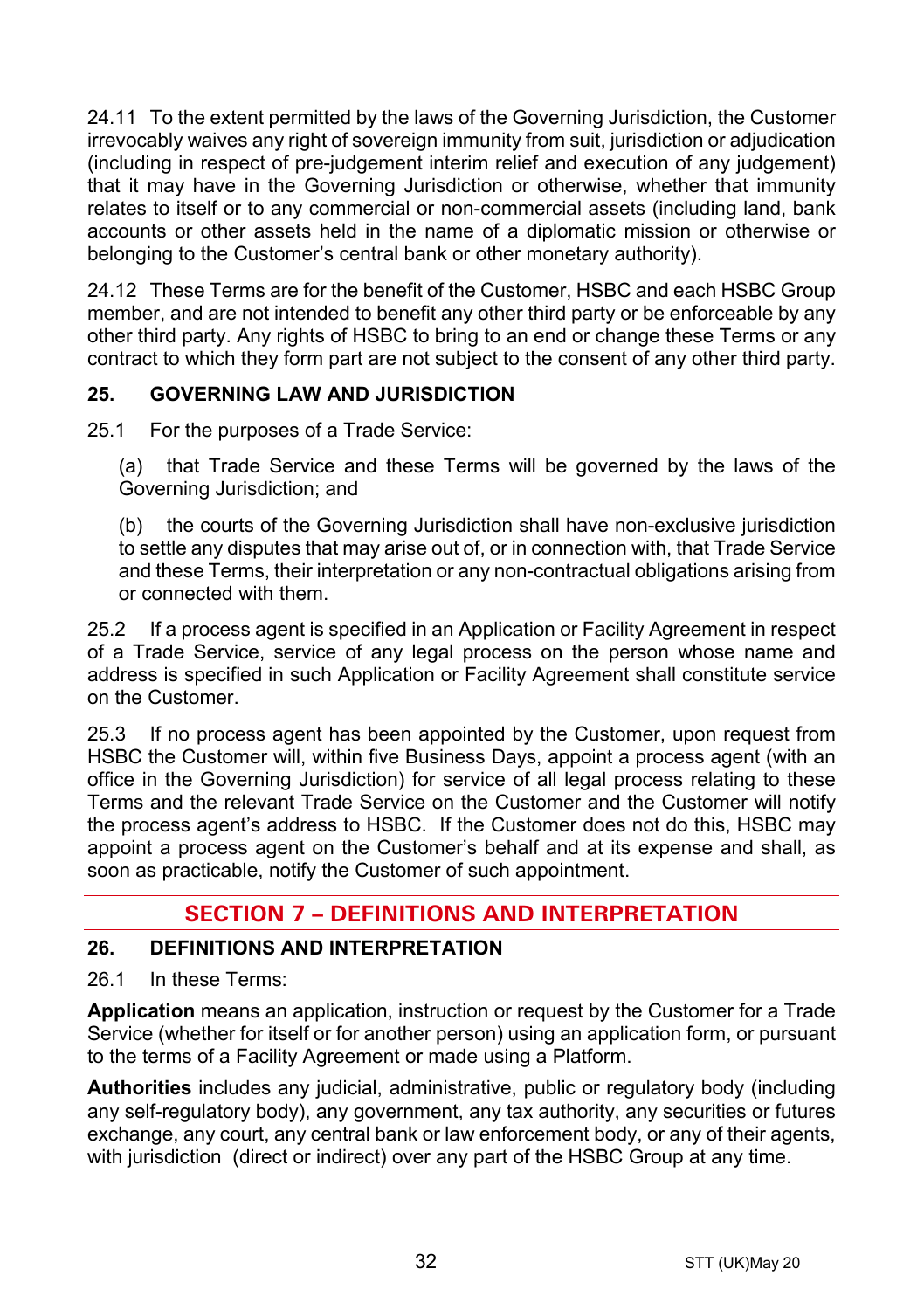24.11 To the extent permitted by the laws of the Governing Jurisdiction, the Customer irrevocably waives any right of sovereign immunity from suit, jurisdiction or adjudication (including in respect of pre-judgement interim relief and execution of any judgement) that it may have in the Governing Jurisdiction or otherwise, whether that immunity relates to itself or to any commercial or non-commercial assets (including land, bank accounts or other assets held in the name of a diplomatic mission or otherwise or belonging to the Customer's central bank or other monetary authority).

24.12 These Terms are for the benefit of the Customer, HSBC and each HSBC Group member, and are not intended to benefit any other third party or be enforceable by any other third party. Any rights of HSBC to bring to an end or change these Terms or any contract to which they form part are not subject to the consent of any other third party.

## **25. GOVERNING LAW AND JURISDICTION**

25.1 For the purposes of a Trade Service:

(a) that Trade Service and these Terms will be governed by the laws of the Governing Jurisdiction; and

(b) the courts of the Governing Jurisdiction shall have non-exclusive jurisdiction to settle any disputes that may arise out of, or in connection with, that Trade Service and these Terms, their interpretation or any non-contractual obligations arising from or connected with them.

25.2 If a process agent is specified in an Application or Facility Agreement in respect of a Trade Service, service of any legal process on the person whose name and address is specified in such Application or Facility Agreement shall constitute service on the Customer.

25.3 If no process agent has been appointed by the Customer, upon request from HSBC the Customer will, within five Business Days, appoint a process agent (with an office in the Governing Jurisdiction) for service of all legal process relating to these Terms and the relevant Trade Service on the Customer and the Customer will notify the process agent's address to HSBC. If the Customer does not do this, HSBC may appoint a process agent on the Customer's behalf and at its expense and shall, as soon as practicable, notify the Customer of such appointment.

# **SECTION 7 – DEFINITIONS AND INTERPRETATION**

## **26. DEFINITIONS AND INTERPRETATION**

26.1 In these Terms:

**Application** means an application, instruction or request by the Customer for a Trade Service (whether for itself or for another person) using an application form, or pursuant to the terms of a Facility Agreement or made using a Platform.

**Authorities** includes any judicial, administrative, public or regulatory body (including any self-regulatory body), any government, any tax authority, any securities or futures exchange, any court, any central bank or law enforcement body, or any of their agents, with jurisdiction (direct or indirect) over any part of the HSBC Group at any time.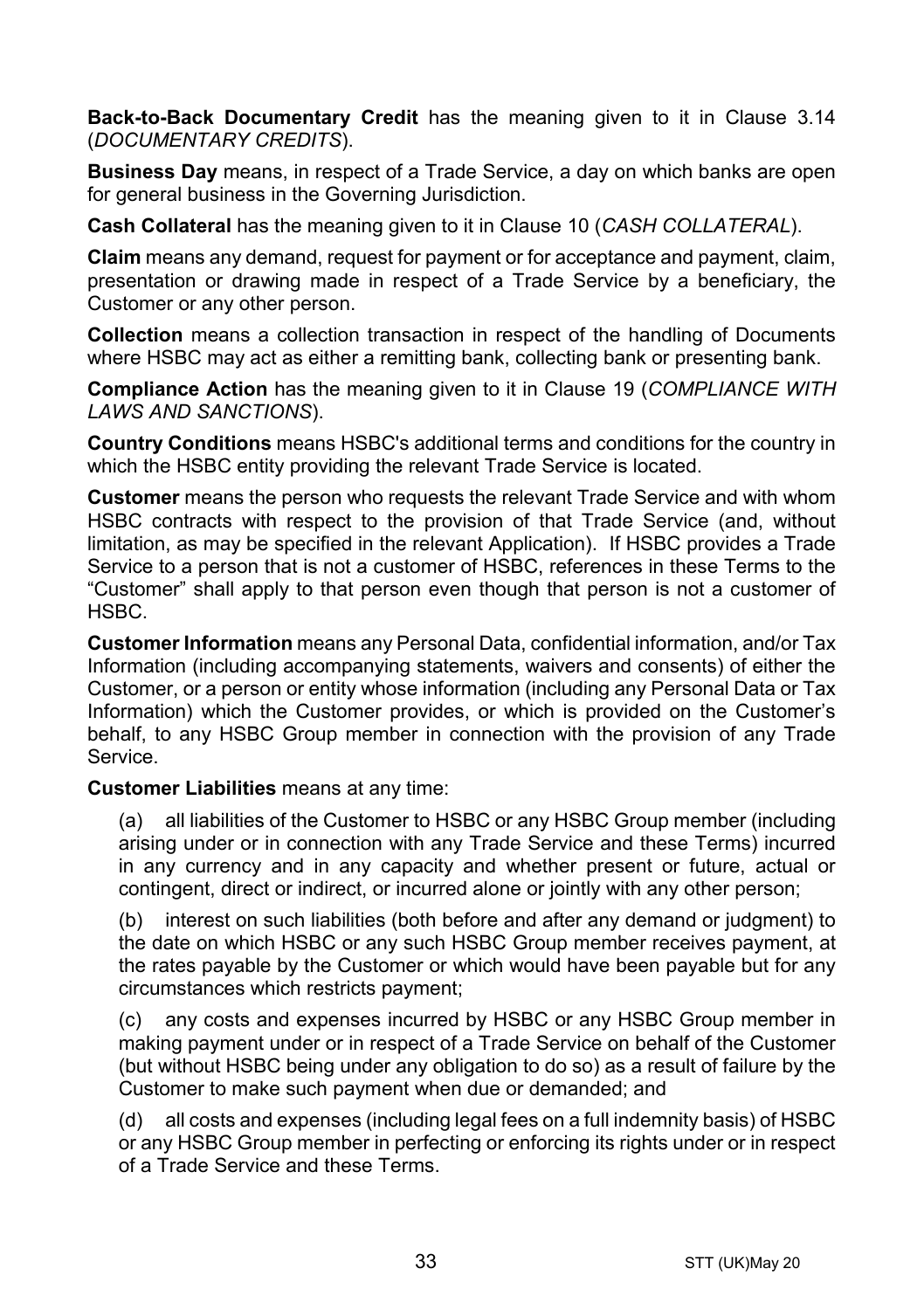**Back-to-Back Documentary Credit** has the meaning given to it in Clause [3.14](#page-5-0) (*[DOCUMENTARY CREDITS](#page-3-0)*).

**Business Day** means, in respect of a Trade Service, a day on which banks are open for general business in the Governing Jurisdiction.

**Cash Collateral** has the meaning given to it in Clause [10](#page-14-1) (*[CASH COLLATERAL](#page-14-1)*).

**Claim** means any demand, request for payment or for acceptance and payment, claim, presentation or drawing made in respect of a Trade Service by a beneficiary, the Customer or any other person.

**Collection** means a collection transaction in respect of the handling of Documents where HSBC may act as either a remitting bank, collecting bank or presenting bank.

**Compliance Action** has the meaning given to it in Clause [19](#page-22-0) (*[COMPLIANCE WITH](#page-22-0)  [LAWS AND SANCTIONS](#page-22-0)*).

**Country Conditions** means HSBC's additional terms and conditions for the country in which the HSBC entity providing the relevant Trade Service is located.

**Customer** means the person who requests the relevant Trade Service and with whom HSBC contracts with respect to the provision of that Trade Service (and, without limitation, as may be specified in the relevant Application). If HSBC provides a Trade Service to a person that is not a customer of HSBC, references in these Terms to the "Customer" shall apply to that person even though that person is not a customer of HSBC.

**Customer Information** means any Personal Data, confidential information, and/or Tax Information (including accompanying statements, waivers and consents) of either the Customer, or a person or entity whose information (including any Personal Data or Tax Information) which the Customer provides, or which is provided on the Customer's behalf, to any HSBC Group member in connection with the provision of any Trade Service.

**Customer Liabilities** means at any time:

(a) all liabilities of the Customer to HSBC or any HSBC Group member (including arising under or in connection with any Trade Service and these Terms) incurred in any currency and in any capacity and whether present or future, actual or contingent, direct or indirect, or incurred alone or jointly with any other person;

(b) interest on such liabilities (both before and after any demand or judgment) to the date on which HSBC or any such HSBC Group member receives payment, at the rates payable by the Customer or which would have been payable but for any circumstances which restricts payment;

(c) any costs and expenses incurred by HSBC or any HSBC Group member in making payment under or in respect of a Trade Service on behalf of the Customer (but without HSBC being under any obligation to do so) as a result of failure by the Customer to make such payment when due or demanded; and

(d) all costs and expenses (including legal fees on a full indemnity basis) of HSBC or any HSBC Group member in perfecting or enforcing its rights under or in respect of a Trade Service and these Terms.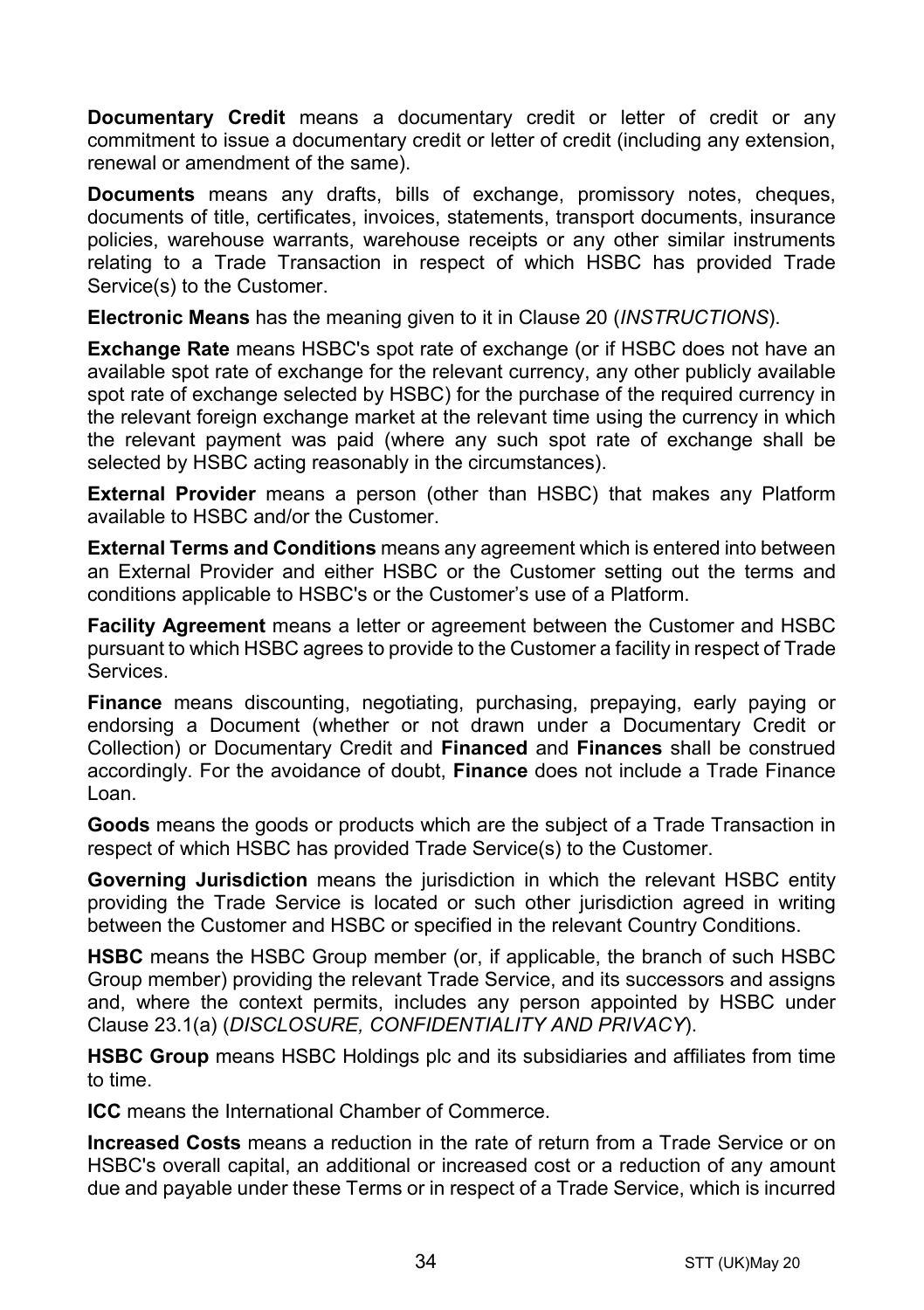**Documentary Credit** means a documentary credit or letter of credit or any commitment to issue a documentary credit or letter of credit (including any extension. renewal or amendment of the same).

**Documents** means any drafts, bills of exchange, promissory notes, cheques, documents of title, certificates, invoices, statements, transport documents, insurance policies, warehouse warrants, warehouse receipts or any other similar instruments relating to a Trade Transaction in respect of which HSBC has provided Trade Service(s) to the Customer.

**Electronic Means** has the meaning given to it in Clause [20](#page-24-0) (*[INSTRUCTIONS](#page-24-0)*).

**Exchange Rate** means HSBC's spot rate of exchange (or if HSBC does not have an available spot rate of exchange for the relevant currency, any other publicly available spot rate of exchange selected by HSBC) for the purchase of the required currency in the relevant foreign exchange market at the relevant time using the currency in which the relevant payment was paid (where any such spot rate of exchange shall be selected by HSBC acting reasonably in the circumstances).

**External Provider** means a person (other than HSBC) that makes any Platform available to HSBC and/or the Customer.

**External Terms and Conditions** means any agreement which is entered into between an External Provider and either HSBC or the Customer setting out the terms and conditions applicable to HSBC's or the Customer's use of a Platform.

**Facility Agreement** means a letter or agreement between the Customer and HSBC pursuant to which HSBC agrees to provide to the Customer a facility in respect of Trade Services.

**Finance** means discounting, negotiating, purchasing, prepaying, early paying or endorsing a Document (whether or not drawn under a Documentary Credit or Collection) or Documentary Credit and **Financed** and **Finances** shall be construed accordingly. For the avoidance of doubt, **Finance** does not include a Trade Finance Loan.

**Goods** means the goods or products which are the subject of a Trade Transaction in respect of which HSBC has provided Trade Service(s) to the Customer.

**Governing Jurisdiction** means the jurisdiction in which the relevant HSBC entity providing the Trade Service is located or such other jurisdiction agreed in writing between the Customer and HSBC or specified in the relevant Country Conditions.

**HSBC** means the HSBC Group member (or, if applicable, the branch of such HSBC Group member) providing the relevant Trade Service, and its successors and assigns and, where the context permits, includes any person appointed by HSBC under Clause [23.1\(a\)](#page-29-0) (*[DISCLOSURE, CONFIDENTIALITY AND PRIVACY](#page-28-0)*).

**HSBC Group** means HSBC Holdings plc and its subsidiaries and affiliates from time to time.

**ICC** means the International Chamber of Commerce.

**Increased Costs** means a reduction in the rate of return from a Trade Service or on HSBC's overall capital, an additional or increased cost or a reduction of any amount due and payable under these Terms or in respect of a Trade Service, which is incurred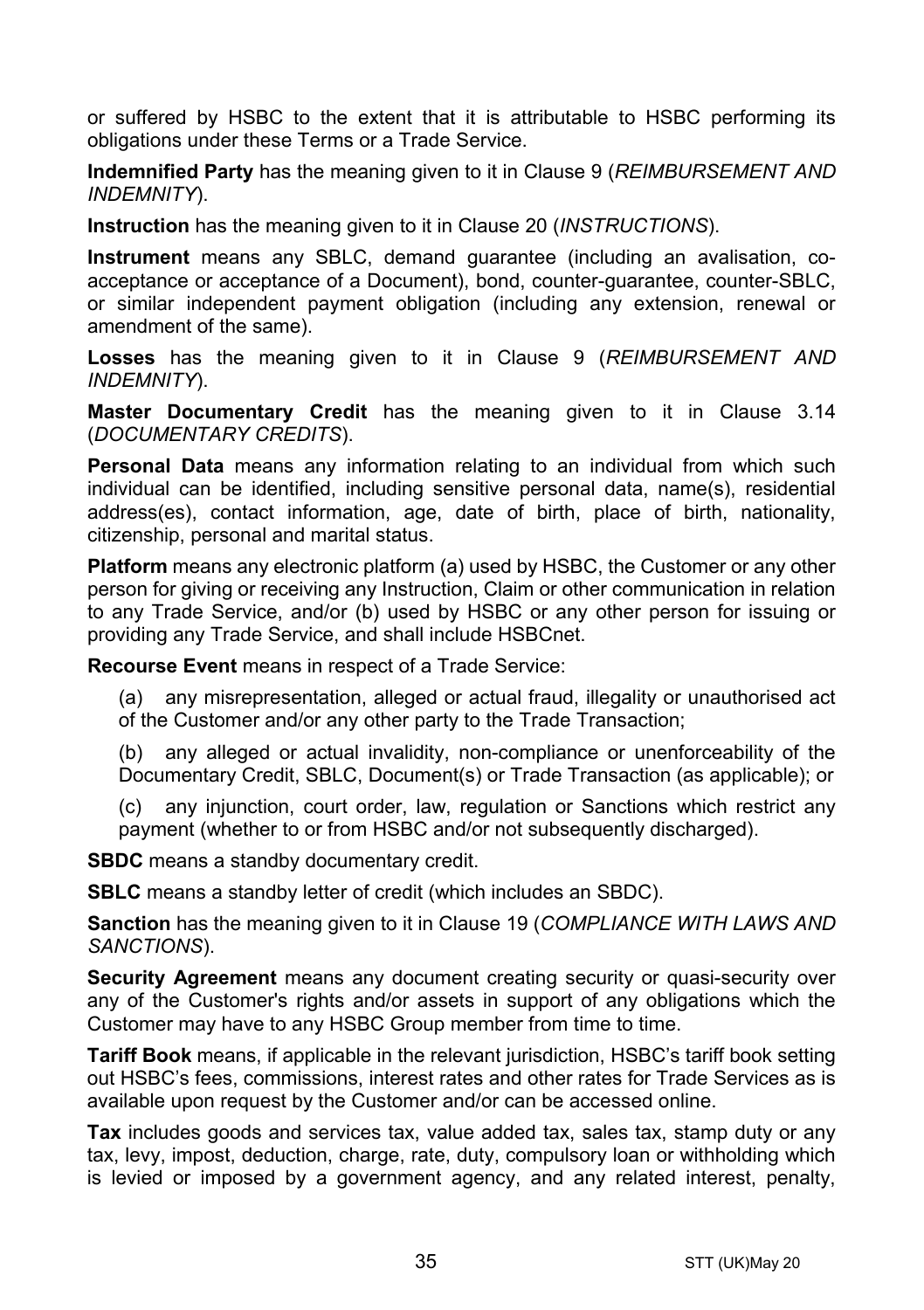or suffered by HSBC to the extent that it is attributable to HSBC performing its obligations under these Terms or a Trade Service.

**Indemnified Party** has the meaning given to it in Claus[e 9](#page-13-0) (*[REIMBURSEMENT AND](#page-13-0)  [INDEMNITY](#page-13-0)*).

**Instruction** has the meaning given to it in Clause [20](#page-24-0) (*[INSTRUCTIONS](#page-24-0)*).

**Instrument** means any SBLC, demand guarantee (including an avalisation, coacceptance or acceptance of a Document), bond, counter-guarantee, counter-SBLC, or similar independent payment obligation (including any extension, renewal or amendment of the same).

**Losses** has the meaning given to it in Clause [9](#page-13-0) (*[REIMBURSEMENT AND](#page-13-0)  [INDEMNITY](#page-13-0)*).

**Master Documentary Credit** has the meaning given to it in Clause [3.14](#page-5-0) (*[DOCUMENTARY CREDITS](#page-3-0)*).

**Personal Data** means any information relating to an individual from which such individual can be identified, including sensitive personal data, name(s), residential address(es), contact information, age, date of birth, place of birth, nationality, citizenship, personal and marital status.

**Platform** means any electronic platform (a) used by HSBC, the Customer or any other person for giving or receiving any Instruction, Claim or other communication in relation to any Trade Service, and/or (b) used by HSBC or any other person for issuing or providing any Trade Service, and shall include HSBCnet.

**Recourse Event** means in respect of a Trade Service:

(a) any misrepresentation, alleged or actual fraud, illegality or unauthorised act of the Customer and/or any other party to the Trade Transaction;

(b) any alleged or actual invalidity, non-compliance or unenforceability of the Documentary Credit, SBLC, Document(s) or Trade Transaction (as applicable); or

(c) any injunction, court order, law, regulation or Sanctions which restrict any payment (whether to or from HSBC and/or not subsequently discharged).

**SBDC** means a standby documentary credit.

**SBLC** means a standby letter of credit (which includes an SBDC).

**Sanction** has the meaning given to it in Clause [19](#page-22-0) (*[COMPLIANCE WITH LAWS AND](#page-22-0)  [SANCTIONS](#page-22-0)*).

**Security Agreement** means any document creating security or quasi-security over any of the Customer's rights and/or assets in support of any obligations which the Customer may have to any HSBC Group member from time to time.

**Tariff Book** means, if applicable in the relevant jurisdiction, HSBC's tariff book setting out HSBC's fees, commissions, interest rates and other rates for Trade Services as is available upon request by the Customer and/or can be accessed online.

**Tax** includes goods and services tax, value added tax, sales tax, stamp duty or any tax, levy, impost, deduction, charge, rate, duty, compulsory loan or withholding which is levied or imposed by a government agency, and any related interest, penalty,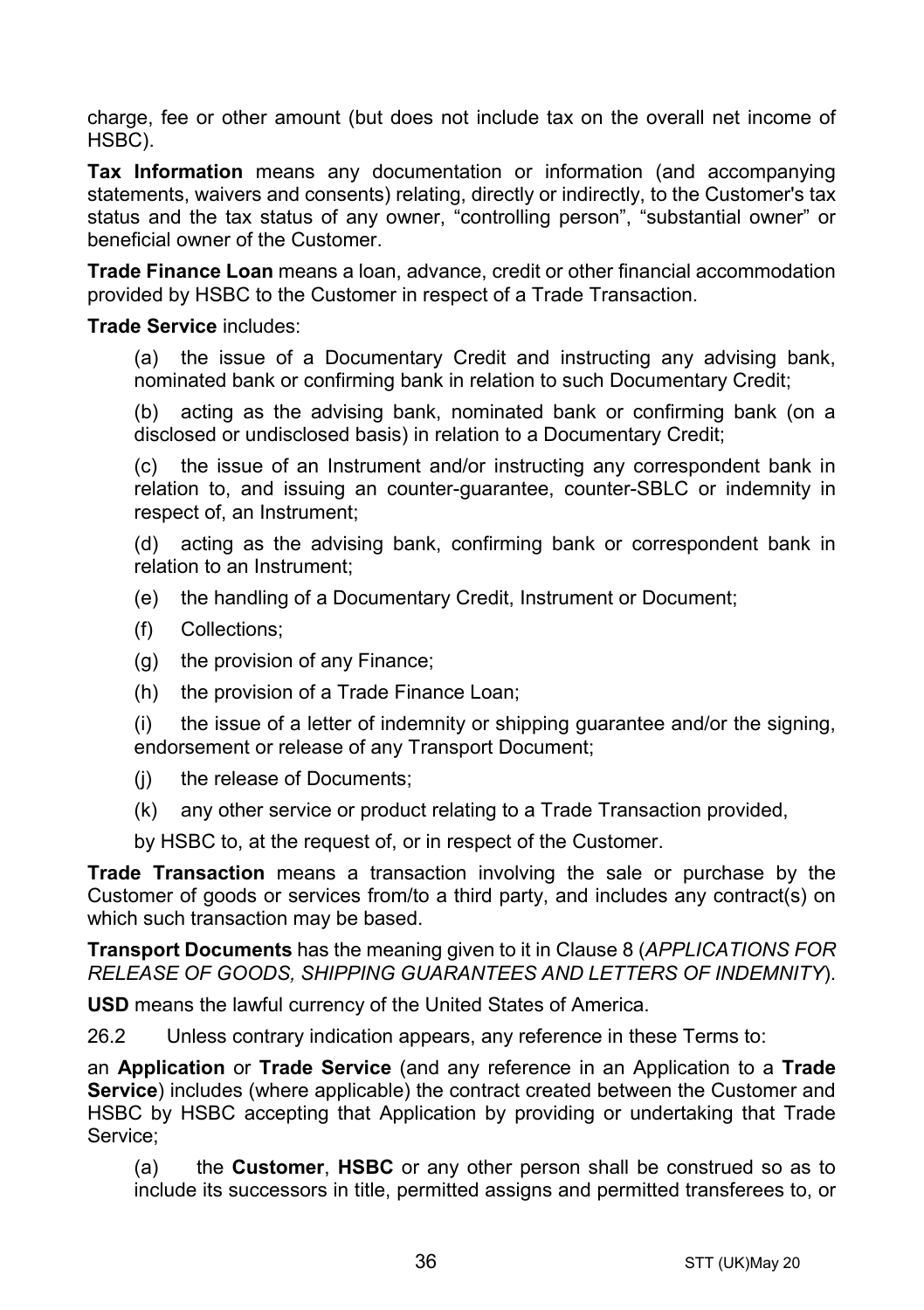charge, fee or other amount (but does not include tax on the overall net income of HSBC).

**Tax Information** means any documentation or information (and accompanying statements, waivers and consents) relating, directly or indirectly, to the Customer's tax status and the tax status of any owner, "controlling person", "substantial owner" or beneficial owner of the Customer.

**Trade Finance Loan** means a loan, advance, credit or other financial accommodation provided by HSBC to the Customer in respect of a Trade Transaction.

#### **Trade Service** includes:

(a) the issue of a Documentary Credit and instructing any advising bank, nominated bank or confirming bank in relation to such Documentary Credit;

(b) acting as the advising bank, nominated bank or confirming bank (on a disclosed or undisclosed basis) in relation to a Documentary Credit;

(c) the issue of an Instrument and/or instructing any correspondent bank in relation to, and issuing an counter-guarantee, counter-SBLC or indemnity in respect of, an Instrument;

(d) acting as the advising bank, confirming bank or correspondent bank in relation to an Instrument;

- (e) the handling of a Documentary Credit, Instrument or Document;
- (f) Collections;
- (g) the provision of any Finance;
- (h) the provision of a Trade Finance Loan;

(i) the issue of a letter of indemnity or shipping guarantee and/or the signing, endorsement or release of any Transport Document;

- (j) the release of Documents;
- (k) any other service or product relating to a Trade Transaction provided,

by HSBC to, at the request of, or in respect of the Customer.

**Trade Transaction** means a transaction involving the sale or purchase by the Customer of goods or services from/to a third party, and includes any contract(s) on which such transaction may be based.

**Transport Documents** has the meaning given to it in Clause [8](#page-12-0) (*[APPLICATIONS FOR](#page-12-0)  [RELEASE OF GOODS, SHIPPING GUARANTEES AND](#page-12-0) LETTERS OF INDEMNITY*).

**USD** means the lawful currency of the United States of America.

26.2 Unless contrary indication appears, any reference in these Terms to:

an **Application** or **Trade Service** (and any reference in an Application to a **Trade Service**) includes (where applicable) the contract created between the Customer and HSBC by HSBC accepting that Application by providing or undertaking that Trade Service;

(a) the **Customer**, **HSBC** or any other person shall be construed so as to include its successors in title, permitted assigns and permitted transferees to, or